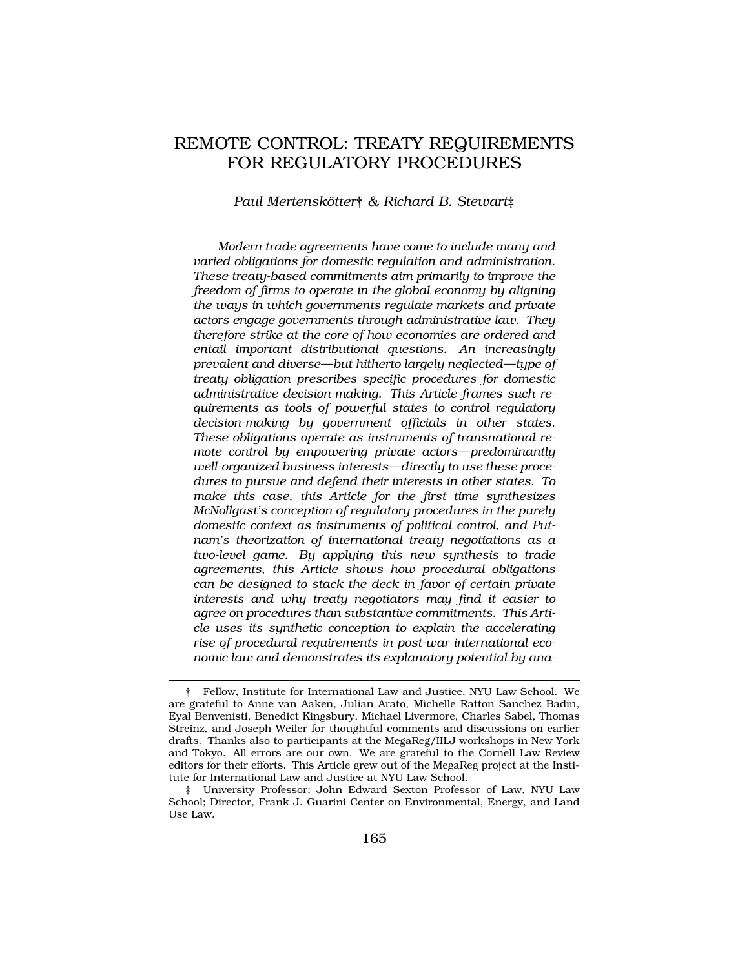# REMOTE CONTROL: TREATY REQUIREMENTS FOR REGULATORY PROCEDURES

*Paul Mertensk¨otter*† *& Richard B. Stewart*‡

*Modern trade agreements have come to include many and varied obligations for domestic regulation and administration. These treaty-based commitments aim primarily to improve the freedom of firms to operate in the global economy by aligning the ways in which governments regulate markets and private actors engage governments through administrative law. They therefore strike at the core of how economies are ordered and entail important distributional questions. An increasingly prevalent and diverse—but hitherto largely neglected—type of treaty obligation prescribes specific procedures for domestic administrative decision-making. This Article frames such requirements as tools of powerful states to control regulatory decision-making by government officials in other states. These obligations operate as instruments of transnational remote control by empowering private actors—predominantly well-organized business interests—directly to use these procedures to pursue and defend their interests in other states. To make this case, this Article for the first time synthesizes McNollgast's conception of regulatory procedures in the purely domestic context as instruments of political control, and Putnam's theorization of international treaty negotiations as a two-level game. By applying this new synthesis to trade agreements, this Article shows how procedural obligations can be designed to stack the deck in favor of certain private interests and why treaty negotiators may find it easier to agree on procedures than substantive commitments. This Article uses its synthetic conception to explain the accelerating rise of procedural requirements in post-war international economic law and demonstrates its explanatory potential by ana-*

<sup>†</sup> Fellow, Institute for International Law and Justice, NYU Law School. We are grateful to Anne van Aaken, Julian Arato, Michelle Ratton Sanchez Badin, Eyal Benvenisti, Benedict Kingsbury, Michael Livermore, Charles Sabel, Thomas Streinz, and Joseph Weiler for thoughtful comments and discussions on earlier drafts. Thanks also to participants at the MegaReg/IILJ workshops in New York and Tokyo. All errors are our own. We are grateful to the Cornell Law Review editors for their efforts. This Article grew out of the MegaReg project at the Institute for International Law and Justice at NYU Law School.

<sup>‡</sup> University Professor; John Edward Sexton Professor of Law, NYU Law School; Director, Frank J. Guarini Center on Environmental, Energy, and Land Use Law.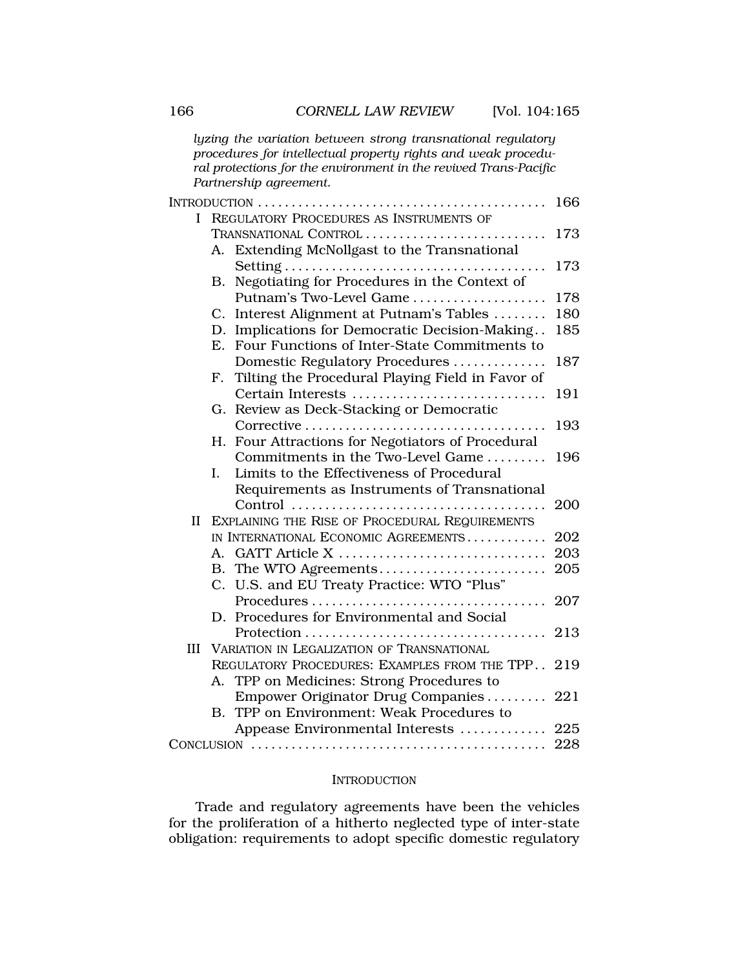*lyzing the variation between strong transnational regulatory procedures for intellectual property rights and weak procedural protections for the environment in the revived Trans-Pacific Partnership agreement.* 

|           |                                                |                                                     | 166 |
|-----------|------------------------------------------------|-----------------------------------------------------|-----|
| L         | REGULATORY PROCEDURES AS INSTRUMENTS OF        |                                                     |     |
|           | TRANSNATIONAL CONTROL                          |                                                     | 173 |
|           | А.                                             | Extending McNollgast to the Transnational           |     |
|           |                                                |                                                     | 173 |
|           | В.                                             | Negotiating for Procedures in the Context of        |     |
|           |                                                | Putnam's Two-Level Game                             | 178 |
|           |                                                | C. Interest Alignment at Putnam's Tables            | 180 |
|           | D.                                             | Implications for Democratic Decision-Making         | 185 |
|           | E.                                             | Four Functions of Inter-State Commitments to        |     |
|           |                                                | Domestic Regulatory Procedures                      | 187 |
|           |                                                | F. Tilting the Procedural Playing Field in Favor of |     |
|           |                                                | Certain Interests                                   | 191 |
|           |                                                | G. Review as Deck-Stacking or Democratic            |     |
|           |                                                |                                                     | 193 |
|           | Н.                                             | Four Attractions for Negotiators of Procedural      |     |
|           |                                                | Commitments in the Two-Level Game                   | 196 |
|           | I.                                             | Limits to the Effectiveness of Procedural           |     |
|           |                                                | Requirements as Instruments of Transnational        |     |
|           |                                                |                                                     | 200 |
| $\rm{II}$ | EXPLAINING THE RISE OF PROCEDURAL REQUIREMENTS |                                                     |     |
|           |                                                | IN INTERNATIONAL ECONOMIC AGREEMENTS                | 202 |
|           | А.                                             | GATT Article X                                      | 203 |
|           |                                                | B. The WTO Agreements                               | 205 |
|           |                                                | C. U.S. and EU Treaty Practice: WTO "Plus"          |     |
|           |                                                | Procedures                                          | 207 |
|           |                                                | D. Procedures for Environmental and Social          |     |
|           |                                                |                                                     | 213 |
| Ш         | VARIATION IN LEGALIZATION OF TRANSNATIONAL     |                                                     |     |
|           |                                                | REGULATORY PROCEDURES: EXAMPLES FROM THE TPP        | 219 |
|           | А.                                             | TPP on Medicines: Strong Procedures to              |     |
|           |                                                | Empower Originator Drug Companies                   | 221 |
|           |                                                | B. TPP on Environment: Weak Procedures to           |     |
|           |                                                | Appease Environmental Interests  225                |     |
|           |                                                |                                                     | 228 |

#### **INTRODUCTION**

Trade and regulatory agreements have been the vehicles for the proliferation of a hitherto neglected type of inter-state obligation: requirements to adopt specific domestic regulatory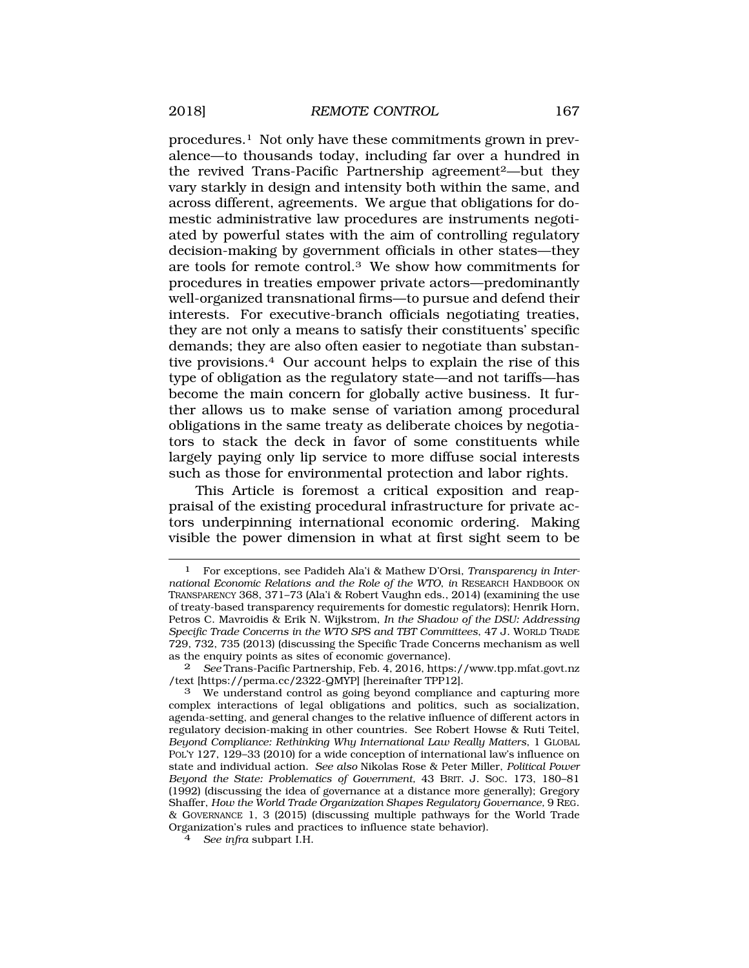procedures.1 Not only have these commitments grown in prevalence—to thousands today, including far over a hundred in the revived Trans-Pacific Partnership agreement<sup>2</sup>—but they vary starkly in design and intensity both within the same, and across different, agreements. We argue that obligations for domestic administrative law procedures are instruments negotiated by powerful states with the aim of controlling regulatory decision-making by government officials in other states—they are tools for remote control.3 We show how commitments for procedures in treaties empower private actors—predominantly well-organized transnational firms—to pursue and defend their interests. For executive-branch officials negotiating treaties, they are not only a means to satisfy their constituents' specific demands; they are also often easier to negotiate than substantive provisions.4 Our account helps to explain the rise of this type of obligation as the regulatory state—and not tariffs—has become the main concern for globally active business. It further allows us to make sense of variation among procedural obligations in the same treaty as deliberate choices by negotiators to stack the deck in favor of some constituents while largely paying only lip service to more diffuse social interests such as those for environmental protection and labor rights.

This Article is foremost a critical exposition and reappraisal of the existing procedural infrastructure for private actors underpinning international economic ordering. Making visible the power dimension in what at first sight seem to be

<sup>1</sup> For exceptions, see Padideh Ala'i & Mathew D'Orsi, *Transparency in International Economic Relations and the Role of the WTO*, *in* RESEARCH HANDBOOK ON TRANSPARENCY 368, 371–73 (Ala'i & Robert Vaughn eds., 2014) (examining the use of treaty-based transparency requirements for domestic regulators); Henrik Horn, Petros C. Mavroidis & Erik N. Wijkstrom, *In the Shadow of the DSU: Addressing Specific Trade Concerns in the WTO SPS and TBT Committees*, 47 J. WORLD TRADE 729, 732, 735 (2013) (discussing the Specific Trade Concerns mechanism as well as the enquiry points as sites of economic governance).

<sup>2</sup> *See* Trans-Pacific Partnership, Feb. 4, 2016,<https://www.tpp.mfat.govt.nz> /text [\[https://perma.cc/2322-QMYP\]](https://perma.cc/2322-QMYP) [hereinafter TPP12].

<sup>3</sup> We understand control as going beyond compliance and capturing more complex interactions of legal obligations and politics, such as socialization, agenda-setting, and general changes to the relative influence of different actors in regulatory decision-making in other countries. See Robert Howse & Ruti Teitel, *Beyond Compliance: Rethinking Why International Law Really Matters*, 1 GLOBAL POL'Y 127, 129–33 (2010) for a wide conception of international law's influence on state and individual action. *See also* Nikolas Rose & Peter Miller, *Political Power Beyond the State: Problematics of Government,* 43 BRIT. J. SOC. 173, 180–81 (1992) (discussing the idea of governance at a distance more generally); Gregory Shaffer, *How the World Trade Organization Shapes Regulatory Governance,* 9 REG. & GOVERNANCE 1, 3 (2015) (discussing multiple pathways for the World Trade Organization's rules and practices to influence state behavior). 4 *See infra* subpart I.H.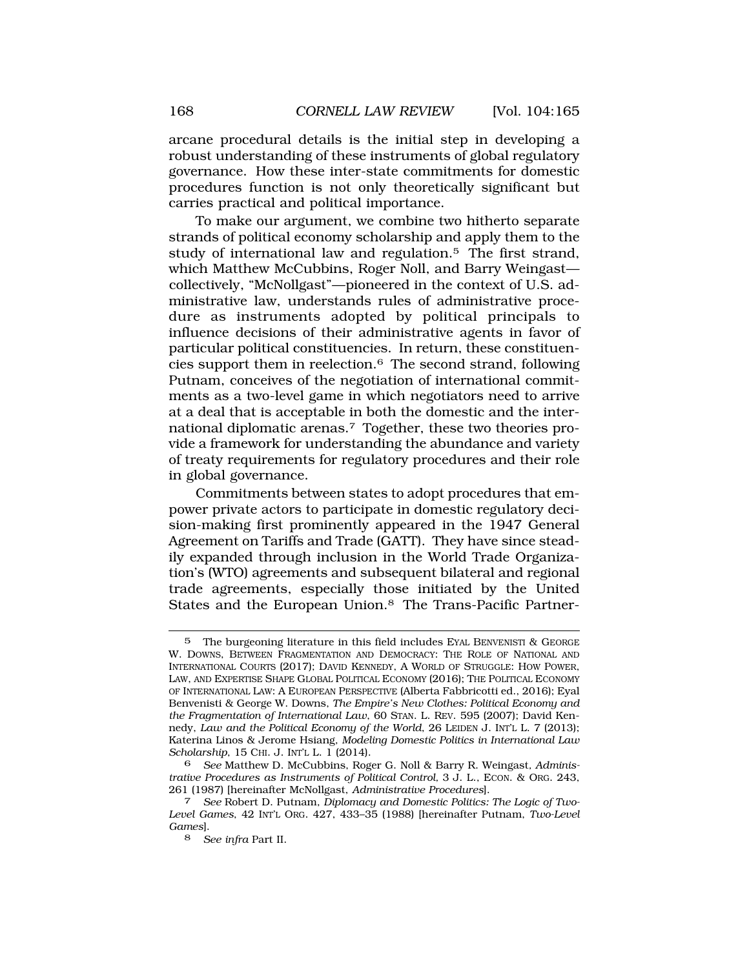arcane procedural details is the initial step in developing a robust understanding of these instruments of global regulatory governance. How these inter-state commitments for domestic procedures function is not only theoretically significant but carries practical and political importance.

To make our argument, we combine two hitherto separate strands of political economy scholarship and apply them to the study of international law and regulation.<sup>5</sup> The first strand, which Matthew McCubbins, Roger Noll, and Barry Weingast collectively, "McNollgast"—pioneered in the context of U.S. administrative law, understands rules of administrative procedure as instruments adopted by political principals to influence decisions of their administrative agents in favor of particular political constituencies. In return, these constituencies support them in reelection.6 The second strand, following Putnam, conceives of the negotiation of international commitments as a two-level game in which negotiators need to arrive at a deal that is acceptable in both the domestic and the international diplomatic arenas.7 Together, these two theories provide a framework for understanding the abundance and variety of treaty requirements for regulatory procedures and their role in global governance.

Commitments between states to adopt procedures that empower private actors to participate in domestic regulatory decision-making first prominently appeared in the 1947 General Agreement on Tariffs and Trade (GATT). They have since steadily expanded through inclusion in the World Trade Organization's (WTO) agreements and subsequent bilateral and regional trade agreements, especially those initiated by the United States and the European Union.<sup>8</sup> The Trans-Pacific Partner-

<sup>5</sup> The burgeoning literature in this field includes EYAL BENVENISTI & GEORGE W. DOWNS, BETWEEN FRAGMENTATION AND DEMOCRACY: THE ROLE OF NATIONAL AND INTERNATIONAL COURTS (2017); DAVID KENNEDY, A WORLD OF STRUGGLE: HOW POWER, LAW, AND EXPERTISE SHAPE GLOBAL POLITICAL ECONOMY (2016); THE POLITICAL ECONOMY OF INTERNATIONAL LAW: A EUROPEAN PERSPECTIVE (Alberta Fabbricotti ed., 2016); Eyal Benvenisti & George W. Downs, *The Empire's New Clothes: Political Economy and the Fragmentation of International Law*, 60 STAN. L. REV. 595 (2007); David Kennedy, *Law and the Political Economy of the World*, 26 LEIDEN J. INT'L L. 7 (2013); Katerina Linos & Jerome Hsiang, *Modeling Domestic Politics in International Law Scholarship*, 15 CHI. J. INT'L L. 1 (2014).

<sup>6</sup> *See* Matthew D. McCubbins, Roger G. Noll & Barry R. Weingast*, Administrative Procedures as Instruments of Political Control, 3 J. L., ECON. & ORG. 243,* 261 (1987) [hereinafter McNollgast, *Administrative Procedures*].

<sup>261 (1987) [</sup>hereinafter McNollgast, *Administrative Procedures*]. 7 *See* Robert D. Putnam, *Diplomacy and Domestic Politics: The Logic of Two-Level Games*, 42 INT'L ORG. 427, 433–35 (1988) [hereinafter Putnam, *Two-Level Games*].

<sup>8</sup> *See infra* Part II.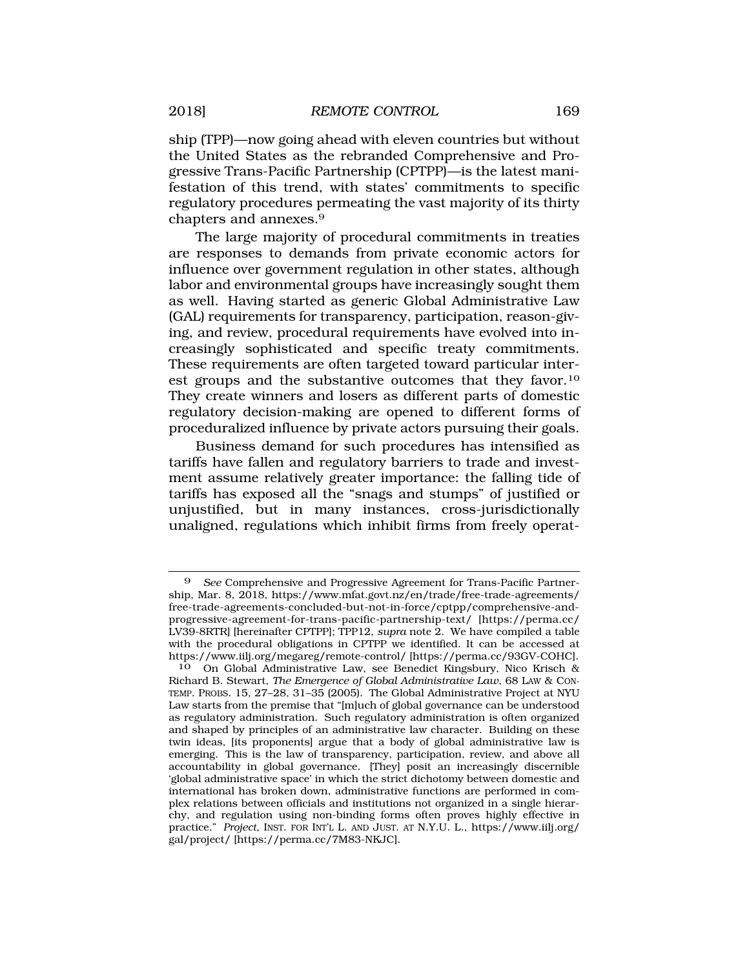ship (TPP)—now going ahead with eleven countries but without the United States as the rebranded Comprehensive and Progressive Trans-Pacific Partnership (CPTPP)—is the latest manifestation of this trend, with states' commitments to specific regulatory procedures permeating the vast majority of its thirty chapters and annexes.9

The large majority of procedural commitments in treaties are responses to demands from private economic actors for influence over government regulation in other states, although labor and environmental groups have increasingly sought them as well. Having started as generic Global Administrative Law (GAL) requirements for transparency, participation, reason-giving, and review, procedural requirements have evolved into increasingly sophisticated and specific treaty commitments. These requirements are often targeted toward particular interest groups and the substantive outcomes that they [favor.10](http:favor.10)  They create winners and losers as different parts of domestic regulatory decision-making are opened to different forms of proceduralized influence by private actors pursuing their goals.

Business demand for such procedures has intensified as tariffs have fallen and regulatory barriers to trade and investment assume relatively greater importance: the falling tide of tariffs has exposed all the "snags and stumps" of justified or unjustified, but in many instances, cross-jurisdictionally unaligned, regulations which inhibit firms from freely operat-

See Comprehensive and Progressive Agreement for Trans-Pacific Partnership, Mar. 8, 2018, [https://www.mfat.govt.nz/en/trade/free-trade-agreements/](https://www.mfat.govt.nz/en/trade/free-trade-agreements) free-trade-agreements-concluded-but-not-in-force/cptpp/comprehensive-andprogressive-agreement-for-trans-pacific-partnership-text/ [[https://perma.cc/](http:https://perma.cc) LV39-8RTR] [hereinafter CPTPP]; TPP12, *supra* note 2. We have compiled a table with the procedural obligations in CPTPP we identified. It can be accessed at <https://www.iilj.org/megareg/remote-control>/ [\[https://perma.cc/93GV-COHC](https://perma.cc/93GV-COHC)].

<sup>10</sup> On Global Administrative Law, see Benedict Kingsbury, Nico Krisch & Richard B. Stewart, *The Emergence of Global Administrative Law*, 68 LAW & CON-TEMP. PROBS. 15, 27–28, 31–35 (2005). The Global Administrative Project at NYU Law starts from the premise that "[m]uch of global governance can be understood as regulatory administration. Such regulatory administration is often organized and shaped by principles of an administrative law character. Building on these twin ideas, [its proponents] argue that a body of global administrative law is emerging. This is the law of transparency, participation, review, and above all accountability in global governance. [They] posit an increasingly discernible 'global administrative space' in which the strict dichotomy between domestic and international has broken down, administrative functions are performed in complex relations between officials and institutions not organized in a single hierarchy, and regulation using non-binding forms often proves highly effective in practice." *Project*, INST. FOR INT'L L. AND JUST. AT N.Y.U. L., [https://www.iilj.org/](http:https://www.iilj.org) gal/project/ [<https://perma.cc/7M83-NKJC>].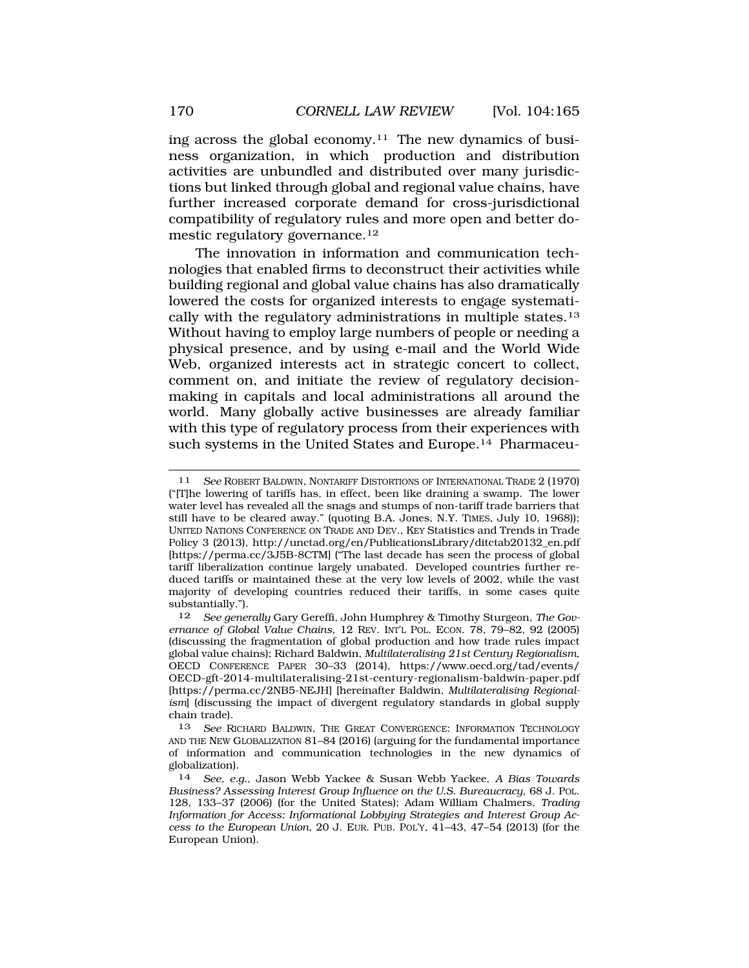ing across the global economy.<sup>11</sup> The new dynamics of business organization, in which production and distribution activities are unbundled and distributed over many jurisdictions but linked through global and regional value chains, have further increased corporate demand for cross-jurisdictional compatibility of regulatory rules and more open and better domestic regulatory [governance.12](http:governance.12) 

The innovation in information and communication technologies that enabled firms to deconstruct their activities while building regional and global value chains has also dramatically lowered the costs for organized interests to engage systematically with the regulatory administrations in multiple [states.13](http:states.13)  Without having to employ large numbers of people or needing a physical presence, and by using e-mail and the World Wide Web, organized interests act in strategic concert to collect, comment on, and initiate the review of regulatory decisionmaking in capitals and local administrations all around the world. Many globally active businesses are already familiar with this type of regulatory process from their experiences with such systems in the United States and Europe.<sup>14</sup> Pharmaceu-

<sup>11</sup> *See* ROBERT BALDWIN, NONTARIFF DISTORTIONS OF INTERNATIONAL TRADE 2 (1970) ("[T]he lowering of tariffs has, in effect, been like draining a swamp. The lower water level has revealed all the snags and stumps of non-tariff trade barriers that still have to be cleared away." (quoting B.A. Jones, N.Y. TIMES, July 10, 1968)); UNITED NATIONS CONFERENCE ON TRADE AND DEV., KEY Statistics and Trends in Trade Policy 3 (2013), [http://unctad.org/en/PublicationsLibrary/ditctab20132\\_en.pdf](http://unctad.org/en/PublicationsLibrary/ditctab20132_en.pdf)  [<https://perma.cc/3J5B-8CTM>] ("The last decade has seen the process of global tariff liberalization continue largely unabated. Developed countries further reduced tariffs or maintained these at the very low levels of 2002, while the vast majority of developing countries reduced their tariffs, in some cases quite substantially.").

<sup>12</sup> *See generally* Gary Gereffi, John Humphrey & Timothy Sturgeon, *The Governance of Global Value Chains*, 12 REV. INT'L POL. ECON. 78, 79–82, 92 (2005) (discussing the fragmentation of global production and how trade rules impact global value chains); Richard Baldwin, *Multilateralising 21st Century Regionalism*, OECD CONFERENCE PAPER 30–33 (2014), [https://www.oecd.org/tad/events/](https://www.oecd.org/tad/events) OECD-gft-2014-multilateralising-21st-century-regionalism-baldwin-paper.pdf [<https://perma.cc/2NB5-NEJH>] [hereinafter Baldwin, *Multilateralising Regionalism*] (discussing the impact of divergent regulatory standards in global supply chain trade).

<sup>13</sup> *See* RICHARD BALDWIN, THE GREAT CONVERGENCE: INFORMATION TECHNOLOGY AND THE NEW GLOBALIZATION 81–84 (2016) (arguing for the fundamental importance of information and communication technologies in the new dynamics of globalization).

<sup>14</sup> *See, e.g.*, Jason Webb Yackee & Susan Webb Yackee, *A Bias Towards Business? Assessing Interest Group Influence on the U.S. Bureaucracy*, 68 J. POL. 128, 133–37 (2006) (for the United States); Adam William Chalmers, *Trading Information for Access: Informational Lobbying Strategies and Interest Group Access to the European Union*, 20 J. EUR. PUB. POL'Y, 41–43, 47–54 (2013) (for the European Union).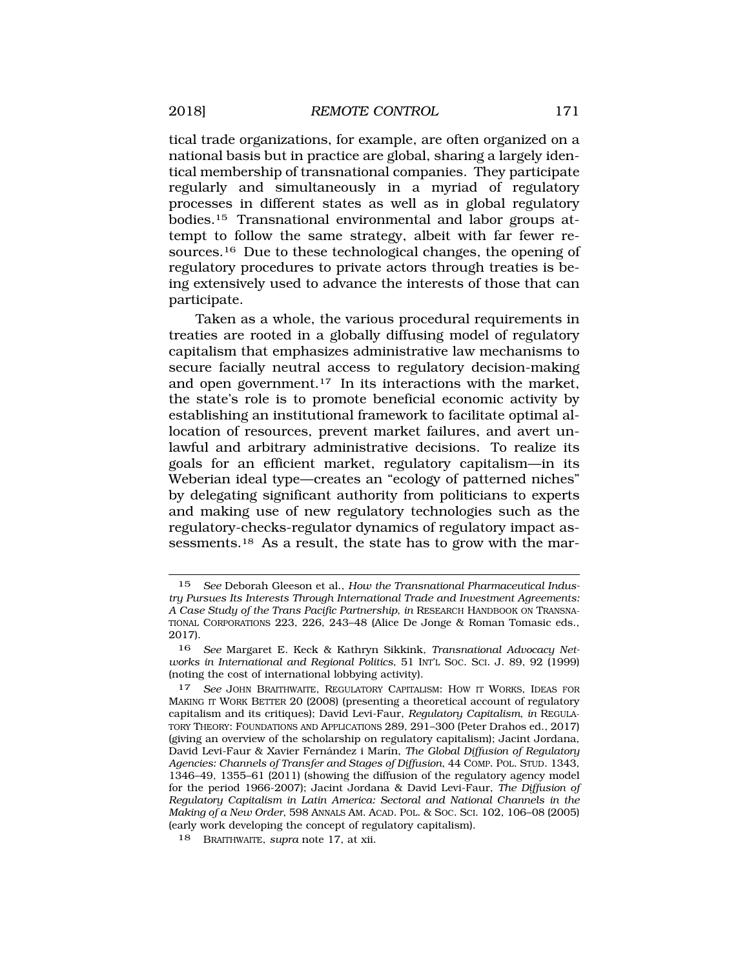tical trade organizations, for example, are often organized on a national basis but in practice are global, sharing a largely identical membership of transnational companies. They participate regularly and simultaneously in a myriad of regulatory processes in different states as well as in global regulatory [bodies.15](http:bodies.15) Transnational environmental and labor groups attempt to follow the same strategy, albeit with far fewer re[sources.16](http:sources.16) Due to these technological changes, the opening of regulatory procedures to private actors through treaties is being extensively used to advance the interests of those that can participate.

Taken as a whole, the various procedural requirements in treaties are rooted in a globally diffusing model of regulatory capitalism that emphasizes administrative law mechanisms to secure facially neutral access to regulatory decision-making and open [government.17](http:government.17) In its interactions with the market, the state's role is to promote beneficial economic activity by establishing an institutional framework to facilitate optimal allocation of resources, prevent market failures, and avert unlawful and arbitrary administrative decisions. To realize its goals for an efficient market, regulatory capitalism—in its Weberian ideal type—creates an "ecology of patterned niches" by delegating significant authority from politicians to experts and making use of new regulatory technologies such as the regulatory-checks-regulator dynamics of regulatory impact assessments.<sup>18</sup> As a result, the state has to grow with the mar-

<sup>15</sup> *See* Deborah Gleeson et al., *How the Transnational Pharmaceutical Industry Pursues Its Interests Through International Trade and Investment Agreements: A Case Study of the Trans Pacific Partnership*, *in* RESEARCH HANDBOOK ON TRANSNA-TIONAL CORPORATIONS 223, 226, 243–48 (Alice De Jonge & Roman Tomasic eds., 2017).

<sup>16</sup> *See* Margaret E. Keck & Kathryn Sikkink, *Transnational Advocacy Networks in International and Regional Politics*, 51 INT'L SOC. SCI. J. 89, 92 (1999) (noting the cost of international lobbying activity).

<sup>17</sup> *See* JOHN BRAITHWAITE, REGULATORY CAPITALISM: HOW IT WORKS, IDEAS FOR MAKING IT WORK BETTER 20 (2008) (presenting a theoretical account of regulatory capitalism and its critiques); David Levi-Faur, *Regulatory Capitalism*, *in* REGULA-TORY THEORY: FOUNDATIONS AND APPLICATIONS 289, 291–300 (Peter Drahos ed., 2017) (giving an overview of the scholarship on regulatory capitalism); Jacint Jordana, David Levi-Faur & Xavier Fernández i Marín, *The Global Diffusion of Requlatory Agencies: Channels of Transfer and Stages of Diffusion*, 44 COMP. POL. STUD. 1343, 1346–49, 1355–61 (2011) (showing the diffusion of the regulatory agency model for the period 1966-2007); Jacint Jordana & David Levi-Faur, *The Diffusion of Regulatory Capitalism in Latin America: Sectoral and National Channels in the Making of a New Order*, 598 ANNALS AM. ACAD. POL. & SOC. SCI. 102, 106–08 (2005) (early work developing the concept of regulatory capitalism).

<sup>18</sup> BRAITHWAITE, *supra* note 17, at xii.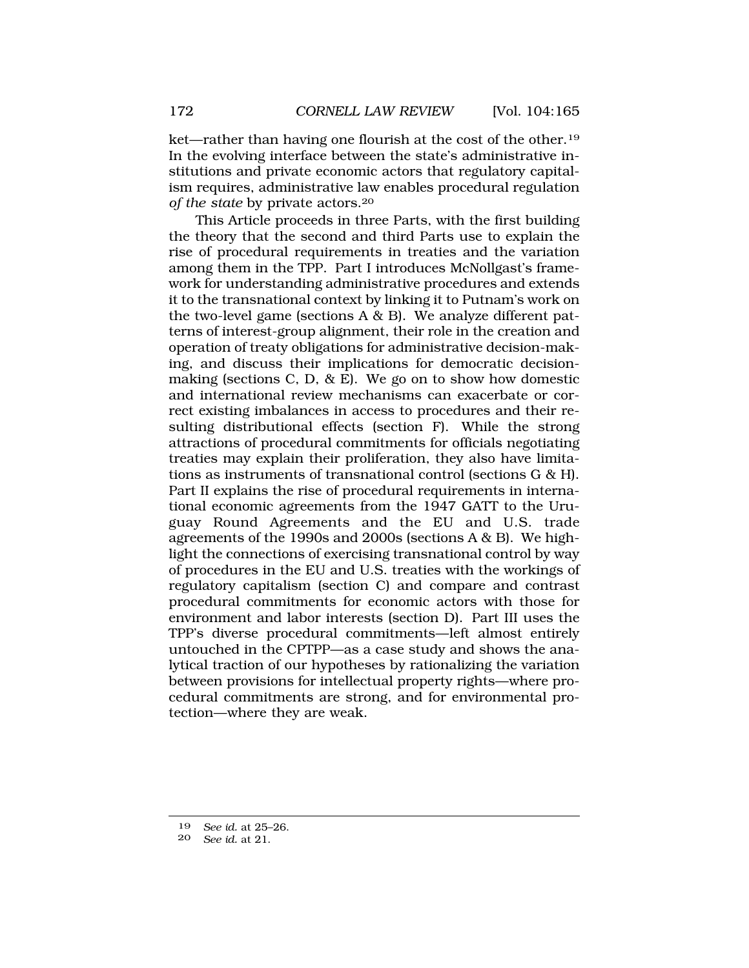ket—rather than having one flourish at the cost of the [other.19](http:other.19)  In the evolving interface between the state's administrative institutions and private economic actors that regulatory capitalism requires, administrative law enables procedural regulation *of the state* by private [actors.20](http:actors.20) 

This Article proceeds in three Parts, with the first building the theory that the second and third Parts use to explain the rise of procedural requirements in treaties and the variation among them in the TPP. Part I introduces McNollgast's framework for understanding administrative procedures and extends it to the transnational context by linking it to Putnam's work on the two-level game (sections  $A \& B$ ). We analyze different patterns of interest-group alignment, their role in the creation and operation of treaty obligations for administrative decision-making, and discuss their implications for democratic decisionmaking (sections C, D,  $\&$  E). We go on to show how domestic and international review mechanisms can exacerbate or correct existing imbalances in access to procedures and their resulting distributional effects (section F). While the strong attractions of procedural commitments for officials negotiating treaties may explain their proliferation, they also have limitations as instruments of transnational control (sections G & H). Part II explains the rise of procedural requirements in international economic agreements from the 1947 GATT to the Uruguay Round Agreements and the EU and U.S. trade agreements of the 1990s and 2000s (sections A & B). We highlight the connections of exercising transnational control by way of procedures in the EU and U.S. treaties with the workings of regulatory capitalism (section C) and compare and contrast procedural commitments for economic actors with those for environment and labor interests (section D). Part III uses the TPP's diverse procedural commitments—left almost entirely untouched in the CPTPP—as a case study and shows the analytical traction of our hypotheses by rationalizing the variation between provisions for intellectual property rights—where procedural commitments are strong, and for environmental protection—where they are weak.

<sup>19</sup> *See id.* at 25–26.

<sup>20</sup> *See id.* at 21.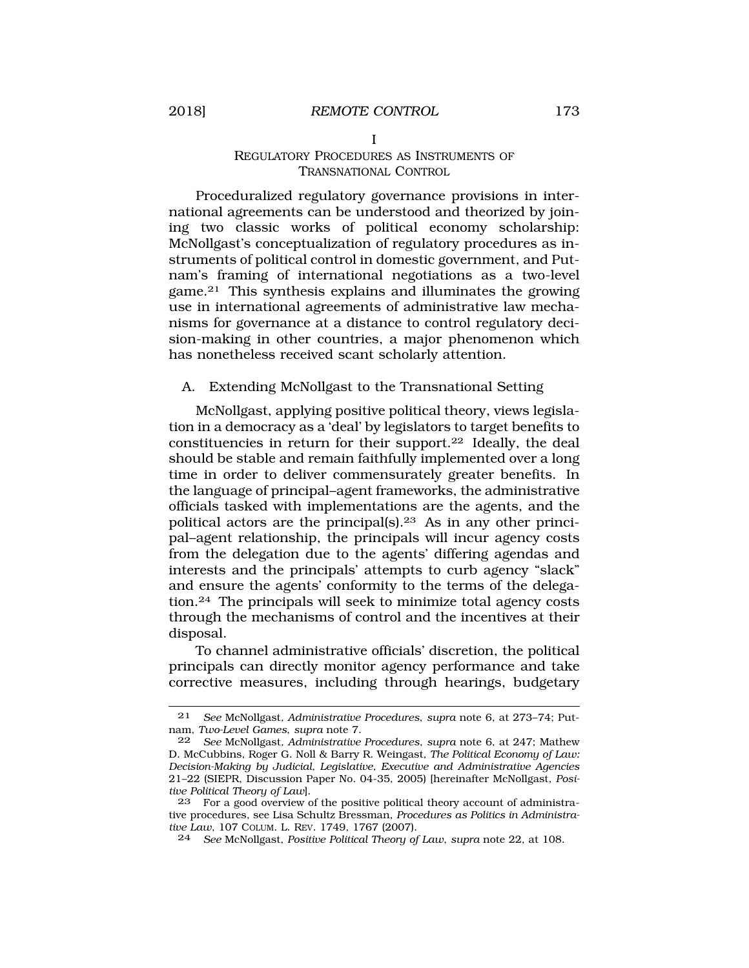#### I

#### REGULATORY PROCEDURES AS INSTRUMENTS OF TRANSNATIONAL CONTROL

<span id="page-8-0"></span>Proceduralized regulatory governance provisions in international agreements can be understood and theorized by joining two classic works of political economy scholarship: McNollgast's conceptualization of regulatory procedures as instruments of political control in domestic government, and Putnam's framing of international negotiations as a two-level game.21 This synthesis explains and illuminates the growing use in international agreements of administrative law mechanisms for governance at a distance to control regulatory decision-making in other countries, a major phenomenon which has nonetheless received scant scholarly attention.

### A. Extending McNollgast to the Transnational Setting

McNollgast, applying positive political theory, views legislation in a democracy as a 'deal' by legislators to target benefits to constituencies in return for their [support.22](http:support.22) Ideally, the deal should be stable and remain faithfully implemented over a long time in order to deliver commensurately greater benefits. In the language of principal–agent frameworks, the administrative officials tasked with implementations are the agents, and the political actors are the [principal\(s\).23](http:principal(s).23) As in any other principal–agent relationship, the principals will incur agency costs from the delegation due to the agents' differing agendas and interests and the principals' attempts to curb agency "slack" and ensure the agents' conformity to the terms of the delegation.24 The principals will seek to minimize total agency costs through the mechanisms of control and the incentives at their disposal.

To channel administrative officials' discretion, the political principals can directly monitor agency performance and take corrective measures, including through hearings, budgetary

<sup>21</sup> *See* McNollgast*, Administrative Procedures*, *supra* note 6, at 273–74; Putnam, *Two-Level Games*, *supra* note 7.

<sup>22</sup> *See* McNollgast*, Administrative Procedures*, *supra* note 6, at 247; Mathew D. McCubbins, Roger G. Noll & Barry R. Weingast, *The Political Economy of Law: Decision-Making by Judicial, Legislative, Executive and Administrative Agencies*  21–22 (SIEPR, Discussion Paper No. 04-35, 2005) [hereinafter McNollgast, *Positive Political Theory of Law*].

<sup>23</sup> For a good overview of the positive political theory account of administrative procedures, see Lisa Schultz Bressman, *Procedures as Politics in Administrative Law*, 107 COLUM. L. REV. 1749, 1767 (2007).

<sup>24</sup> *See* McNollgast, *Positive Political Theory of Law*, *supra* note 22, at 108.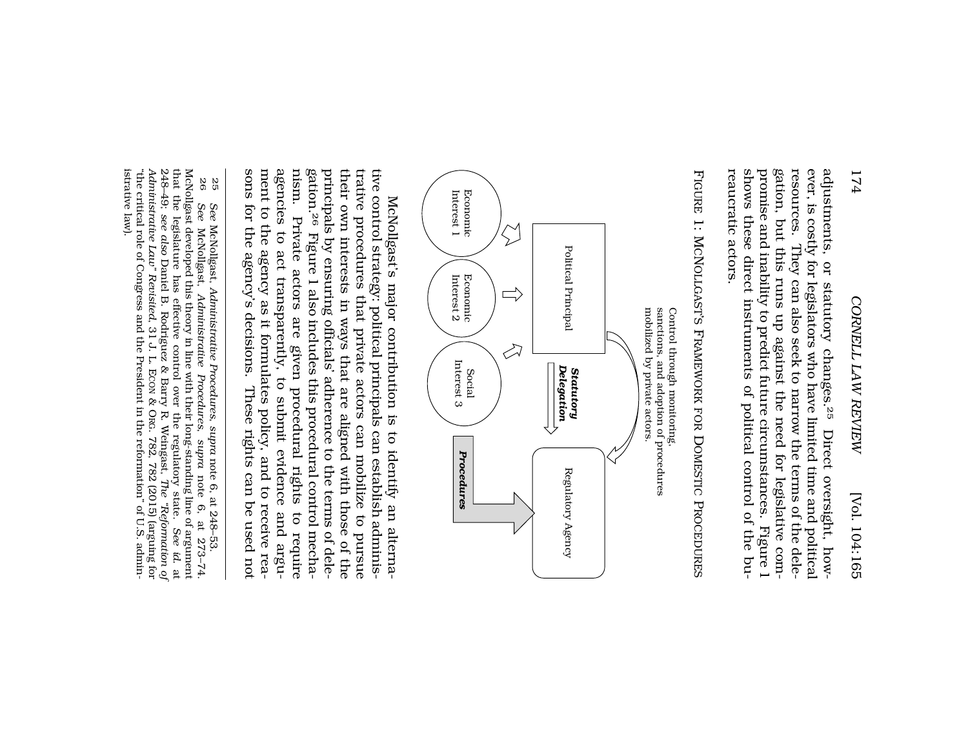FIGURE 1: MCNOLLGAST'S FRAMEWORK FOR DOMESTIC PROCEDURES IGURE 1: MCNOLLGAST'S FRAMEWORK FOR DOMESTIC PROCEDURES reaucratic actors.

reaucratic actors.



ment to the agency as it formulates policy, and to receive reanism. Private actors are given procedural rights to require<br>agencies to act transparently, to submit evidence and argugation.<sup>26</sup> Figure 1 also includes this procedural control mechasons for the agency's decisions. These rights can be used not sons for the agency's decisions. These rights can be used not ment to the agency as it formulates policy, and to receive reaagencies to act transparently, to submit evidence and argu nism. Private actors are given procedural rights to require gation.<sup>26</sup> Figure 1 also includes this procedural control mechatheir own interests in ways that are aligned with those of the<br>principals by ensuring officials' adherence to the terms of deleprincipals by ensuring officials' adherence to the terms of dele their own interests in ways that are aligned with those of the trative procedures that private actors can mobilize to pursue trative procedures that private actors can mobilize to pursue tive control strategy: political principals can establish administive control strategy: political principals can establish adminis-McNollgast's major contribution is to identify an alterna-McNollgast's major contribution is to identify an alterna-

<sup>25</sup> *See* McNollgast, *Administrative Procedures*, See McNollgast, Administrative Procedures, supra note 6, at 248-53. note 6, at 248–53.

<sup>&</sup>quot;the critical role of Congress and the President in the reformation" of U.S. administrative law). istrative law) "the critical role of Congress and the President in the reformation" of U.S. admin-248–49; see also Daniel B. Rodriguez & Barry R. Weingast, The "Reformation of Administrative Law" Revisited, 31 J. L. ECON & ORG. 782, 782 (2015) (arguing for *Administrative Law" Revisited*that the legislature has effective control over the regulatory state. that the legislature has effective control over the regulatory state. McNollgast developed this theory in line with their long-standing line of argument 26 See McNollgast, Administrative Procedures, supra note 6, at 273-74 *see also* Daniel B. Rodriguez & Barry R. Weingast, McNollgast, *Administrative Procedures*, *supra* , 31 J. L. ECON & ORG. 782, 782 (2015) (arguing for The "Reformation of note 6, at 273–74. *The "Reformation of See id.* at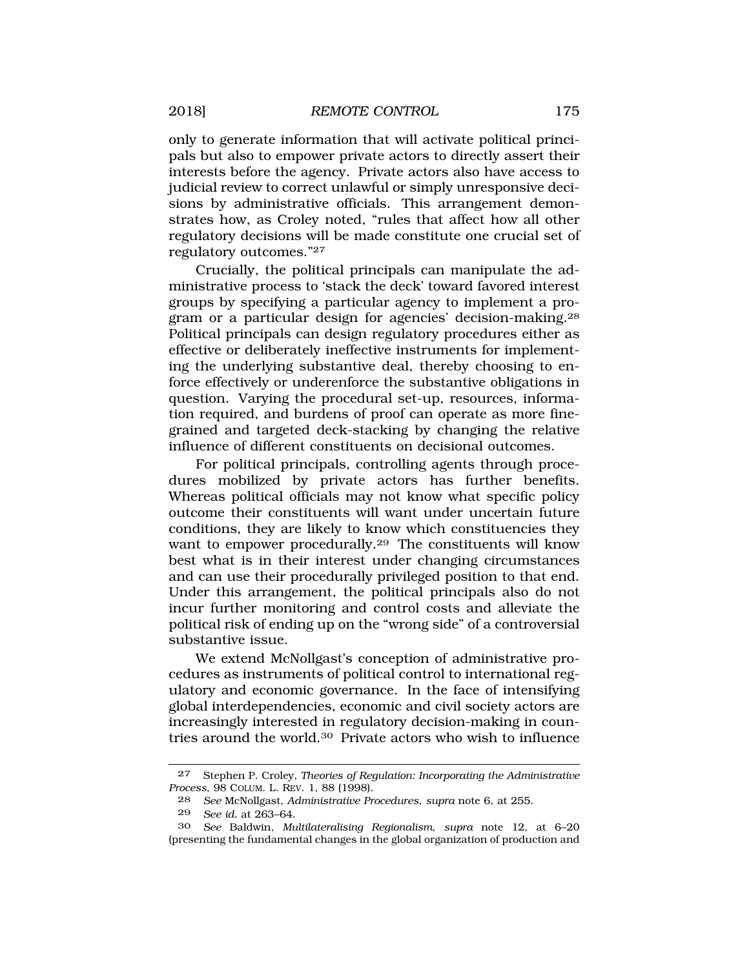only to generate information that will activate political principals but also to empower private actors to directly assert their interests before the agency. Private actors also have access to judicial review to correct unlawful or simply unresponsive decisions by administrative officials. This arrangement demonstrates how, as Croley noted, "rules that affect how all other regulatory decisions will be made constitute one crucial set of regulatory outcomes."27

Crucially, the political principals can manipulate the administrative process to 'stack the deck' toward favored interest groups by specifying a particular agency to implement a program or a particular design for agencies' [decision-making.28](http:decision-making.28)  Political principals can design regulatory procedures either as effective or deliberately ineffective instruments for implementing the underlying substantive deal, thereby choosing to enforce effectively or underenforce the substantive obligations in question. Varying the procedural set-up, resources, information required, and burdens of proof can operate as more finegrained and targeted deck-stacking by changing the relative influence of different constituents on decisional outcomes.

For political principals, controlling agents through procedures mobilized by private actors has further benefits. Whereas political officials may not know what specific policy outcome their constituents will want under uncertain future conditions, they are likely to know which constituencies they want to empower procedurally.<sup>29</sup> The constituents will know best what is in their interest under changing circumstances and can use their procedurally privileged position to that end. Under this arrangement, the political principals also do not incur further monitoring and control costs and alleviate the political risk of ending up on the "wrong side" of a controversial substantive issue.

We extend McNollgast's conception of administrative procedures as instruments of political control to international regulatory and economic governance. In the face of intensifying global interdependencies, economic and civil society actors are increasingly interested in regulatory decision-making in countries around the [world.30](http:world.30) Private actors who wish to influence

<sup>27</sup> Stephen P. Croley, *Theories of Regulation: Incorporating the Administrative Process*, 98 COLUM. L. REV. 1, 88 (1998).

<sup>28</sup> *See* McNollgast*, Administrative Procedures*, *supra* note 6, at 255.

<sup>29</sup> *See id.* at 263–64.

<sup>30</sup> *See* Baldwin, *Multilateralising Regionalism*, *supra* note 12, at 6–20 (presenting the fundamental changes in the global organization of production and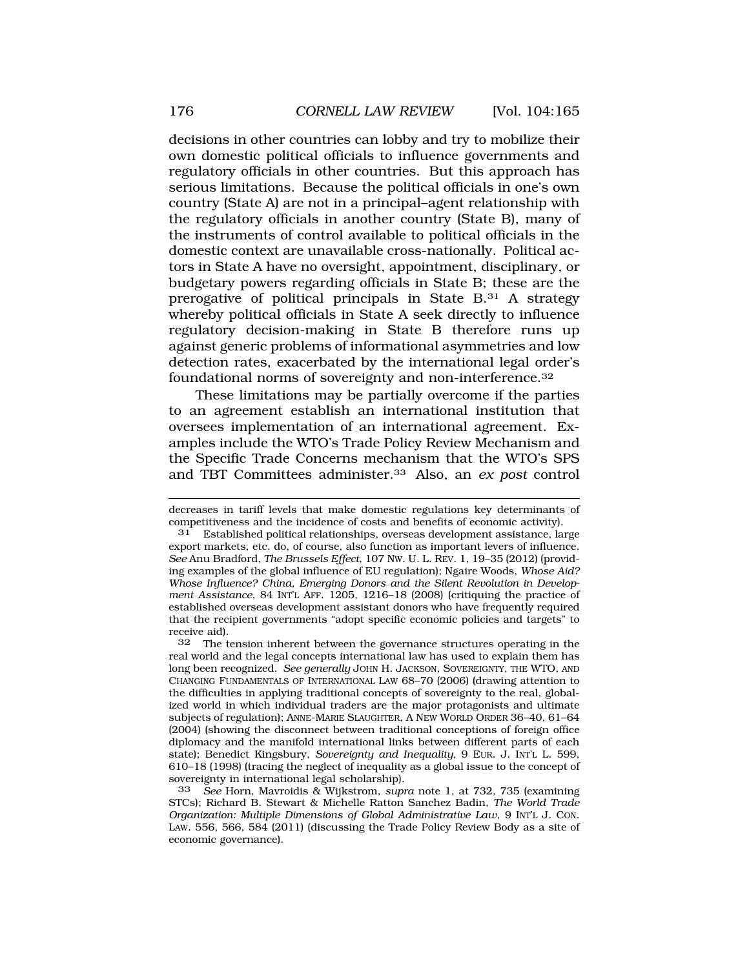decisions in other countries can lobby and try to mobilize their own domestic political officials to influence governments and regulatory officials in other countries. But this approach has serious limitations. Because the political officials in one's own country (State A) are not in a principal–agent relationship with the regulatory officials in another country (State B), many of the instruments of control available to political officials in the domestic context are unavailable cross-nationally. Political actors in State A have no oversight, appointment, disciplinary, or budgetary powers regarding officials in State B; these are the prerogative of political principals in State B.31 A strategy whereby political officials in State A seek directly to influence regulatory decision-making in State B therefore runs up against generic problems of informational asymmetries and low detection rates, exacerbated by the international legal order's foundational norms of sovereignty and [non-interference.32](http:non-interference.32) 

These limitations may be partially overcome if the parties to an agreement establish an international institution that oversees implementation of an international agreement. Examples include the WTO's Trade Policy Review Mechanism and the Specific Trade Concerns mechanism that the WTO's SPS and TBT Committees [administer.33](http:administer.33) Also, an *ex post* control

decreases in tariff levels that make domestic regulations key determinants of competitiveness and the incidence of costs and benefits of economic activity).

Established political relationships, overseas development assistance, large export markets, etc. do, of course, also function as important levers of influence. *See* Anu Bradford, *The Brussels Effect*, 107 NW. U. L. REV. 1, 19–35 (2012) (providing examples of the global influence of EU regulation); Ngaire Woods, *Whose Aid? Whose Influence? China, Emerging Donors and the Silent Revolution in Development Assistance*, 84 INT'L AFF. 1205, 1216–18 (2008) (critiquing the practice of established overseas development assistant donors who have frequently required that the recipient governments "adopt specific economic policies and targets" to receive aid).<br>32 The t

The tension inherent between the governance structures operating in the real world and the legal concepts international law has used to explain them has long been recognized. *See generally* JOHN H. JACKSON, SOVEREIGNTY, THE WTO, AND CHANGING FUNDAMENTALS OF INTERNATIONAL LAW 68–70 (2006) (drawing attention to the difficulties in applying traditional concepts of sovereignty to the real, globalized world in which individual traders are the major protagonists and ultimate subjects of regulation); ANNE-MARIE SLAUGHTER, A NEW WORLD ORDER 36–40, 61–64 (2004) (showing the disconnect between traditional conceptions of foreign office diplomacy and the manifold international links between different parts of each state); Benedict Kingsbury, *Sovereignty and Inequality,* 9 EUR. J. INT'L L. 599, 610–18 (1998) (tracing the neglect of inequality as a global issue to the concept of sovereignty in international legal scholarship).

<sup>33</sup> *See* Horn, Mavroidis & Wijkstrom, *supra* note 1, at 732, 735 (examining STCs); Richard B. Stewart & Michelle Ratton Sanchez Badin, *The World Trade Organization: Multiple Dimensions of Global Administrative Law*, 9 INT'L J. CON. LAW. 556, 566, 584 (2011) (discussing the Trade Policy Review Body as a site of economic governance).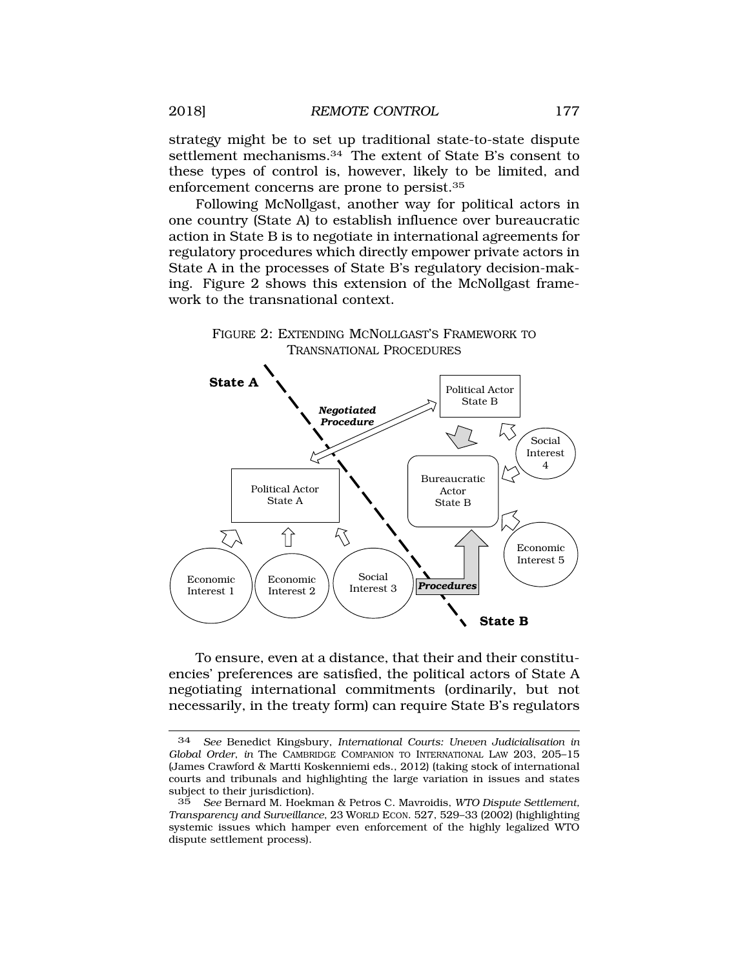strategy might be to set up traditional state-to-state dispute settlement [mechanisms.34](http:mechanisms.34) The extent of State B's consent to these types of control is, however, likely to be limited, and enforcement concerns are prone to [persist.35](http:persist.35) 

Following McNollgast, another way for political actors in one country (State A) to establish influence over bureaucratic action in State B is to negotiate in international agreements for regulatory procedures which directly empower private actors in State A in the processes of State B's regulatory decision-making. Figure 2 shows this extension of the McNollgast framework to the transnational context.

> FIGURE 2: EXTENDING MCNOLLGAST'S FRAMEWORK TO TRANSNATIONAL PROCEDURES



To ensure, even at a distance, that their and their constituencies' preferences are satisfied, the political actors of State A negotiating international commitments (ordinarily, but not necessarily, in the treaty form) can require State B's regulators

<sup>34</sup> *See* Benedict Kingsbury, *International Courts: Uneven Judicialisation in Global Order*, *in* The CAMBRIDGE COMPANION TO INTERNATIONAL LAW 203, 205–15 (James Crawford & Martti Koskenniemi eds., 2012) (taking stock of international courts and tribunals and highlighting the large variation in issues and states subject to their jurisdiction).

<sup>35</sup> *See* Bernard M. Hoekman & Petros C. Mavroidis, *WTO Dispute Settlement, Transparency and Surveillance*, 23 WORLD ECON. 527, 529–33 (2002) (highlighting systemic issues which hamper even enforcement of the highly legalized WTO dispute settlement process).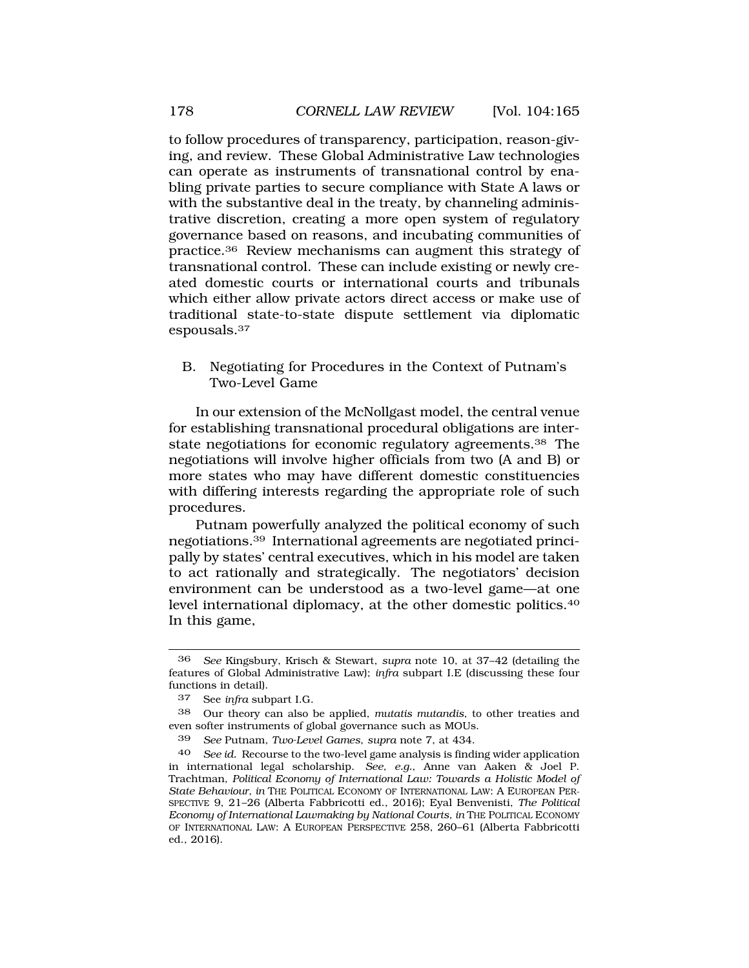<span id="page-13-0"></span>to follow procedures of transparency, participation, reason-giving, and review. These Global Administrative Law technologies can operate as instruments of transnational control by enabling private parties to secure compliance with State A laws or with the substantive deal in the treaty, by channeling administrative discretion, creating a more open system of regulatory governance based on reasons, and incubating communities of [practice.36](http:practice.36) Review mechanisms can augment this strategy of transnational control. These can include existing or newly created domestic courts or international courts and tribunals which either allow private actors direct access or make use of traditional state-to-state dispute settlement via diplomatic [espousals.37](http:espousals.37)

B. Negotiating for Procedures in the Context of Putnam's Two-Level Game

In our extension of the McNollgast model, the central venue for establishing transnational procedural obligations are interstate negotiations for economic regulatory [agreements.38](http:agreements.38) The negotiations will involve higher officials from two (A and B) or more states who may have different domestic constituencies with differing interests regarding the appropriate role of such procedures.

Putnam powerfully analyzed the political economy of such [negotiations.39](http:negotiations.39) International agreements are negotiated principally by states' central executives, which in his model are taken to act rationally and strategically. The negotiators' decision environment can be understood as a two-level game—at one level international diplomacy, at the other domestic [politics.40](http:politics.40)  In this game,

<sup>36</sup> *See* Kingsbury, Krisch & Stewart, *supra* note 10, at 37–42 (detailing the features of Global Administrative Law); *infra* subpart I.E (discussing these four functions in detail).

<sup>37</sup> See *infra* subpart I.G.

<sup>38</sup> Our theory can also be applied, *mutatis mutandis*, to other treaties and even softer instruments of global governance such as MOUs.

<sup>39</sup> *See* Putnam, *Two-Level Games*, *supra* note 7, at 434.

<sup>40</sup> *See id.* Recourse to the two-level game analysis is finding wider application in international legal scholarship. *See, e.g.*, Anne van Aaken & Joel P. Trachtman, *Political Economy of International Law: Towards a Holistic Model of State Behaviour, in* THE POLITICAL ECONOMY OF INTERNATIONAL LAW: A EUROPEAN PER-SPECTIVE 9, 21–26 (Alberta Fabbricotti ed., 2016); Eyal Benvenisti, *The Political Economy of International Lawmaking by National Courts, in* THE POLITICAL ECONOMY OF INTERNATIONAL LAW: A EUROPEAN PERSPECTIVE 258, 260–61 (Alberta Fabbricotti ed., 2016).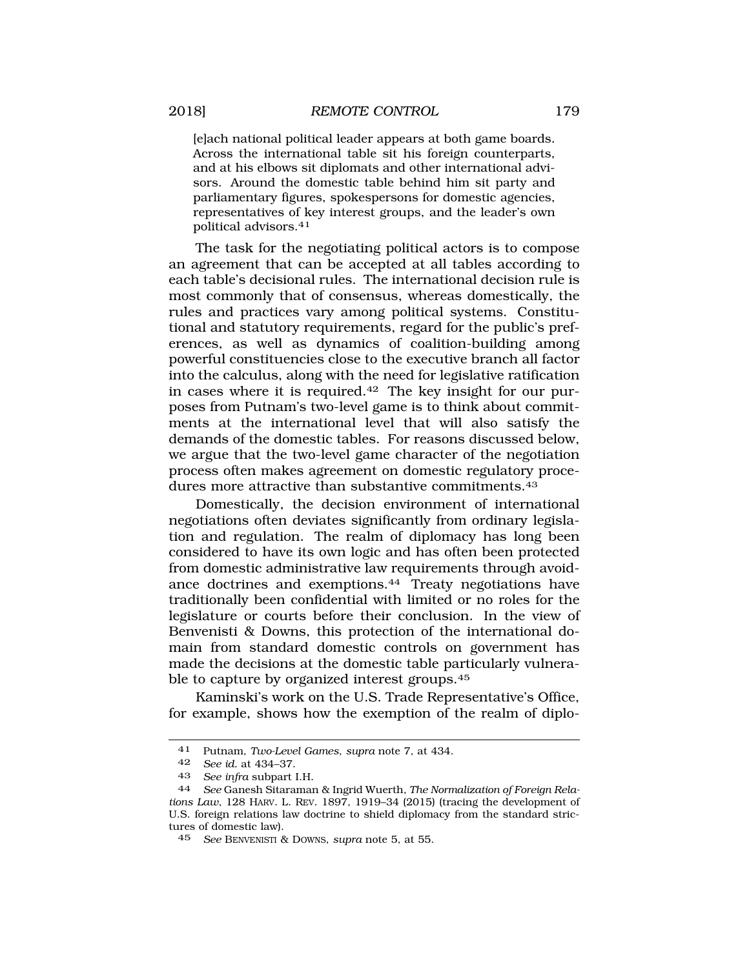[e]ach national political leader appears at both game boards. Across the international table sit his foreign counterparts, and at his elbows sit diplomats and other international advisors. Around the domestic table behind him sit party and parliamentary figures, spokespersons for domestic agencies, representatives of key interest groups, and the leader's own political [advisors.41](http:advisors.41) 

The task for the negotiating political actors is to compose an agreement that can be accepted at all tables according to each table's decisional rules. The international decision rule is most commonly that of consensus, whereas domestically, the rules and practices vary among political systems. Constitutional and statutory requirements, regard for the public's preferences, as well as dynamics of coalition-building among powerful constituencies close to the executive branch all factor into the calculus, along with the need for legislative ratification in cases where it is [required.42](http:required.42) The key insight for our purposes from Putnam's two-level game is to think about commitments at the international level that will also satisfy the demands of the domestic tables. For reasons discussed below, we argue that the two-level game character of the negotiation process often makes agreement on domestic regulatory procedures more attractive than substantive commitments.<sup>43</sup>

Domestically, the decision environment of international negotiations often deviates significantly from ordinary legislation and regulation. The realm of diplomacy has long been considered to have its own logic and has often been protected from domestic administrative law requirements through avoidance doctrines and [exemptions.44](http:exemptions.44) Treaty negotiations have traditionally been confidential with limited or no roles for the legislature or courts before their conclusion. In the view of Benvenisti & Downs, this protection of the international domain from standard domestic controls on government has made the decisions at the domestic table particularly vulnerable to capture by organized interest [groups.45](http:groups.45)

Kaminski's work on the U.S. Trade Representative's Office, for example, shows how the exemption of the realm of diplo-

<sup>41</sup> Putnam, *Two-Level Games*, *supra* note 7, at 434.

<sup>42</sup> *See id.* at 434–37.

<sup>43</sup> *See infra* subpart I.H.

<sup>44</sup> *See* Ganesh Sitaraman & Ingrid Wuerth, *The Normalization of Foreign Relations Law*, 128 HARV. L. REV. 1897, 1919–34 (2015) (tracing the development of U.S. foreign relations law doctrine to shield diplomacy from the standard strictures of domestic law).

<sup>45</sup> *See* BENVENISTI & DOWNS, *supra* note 5, at 55.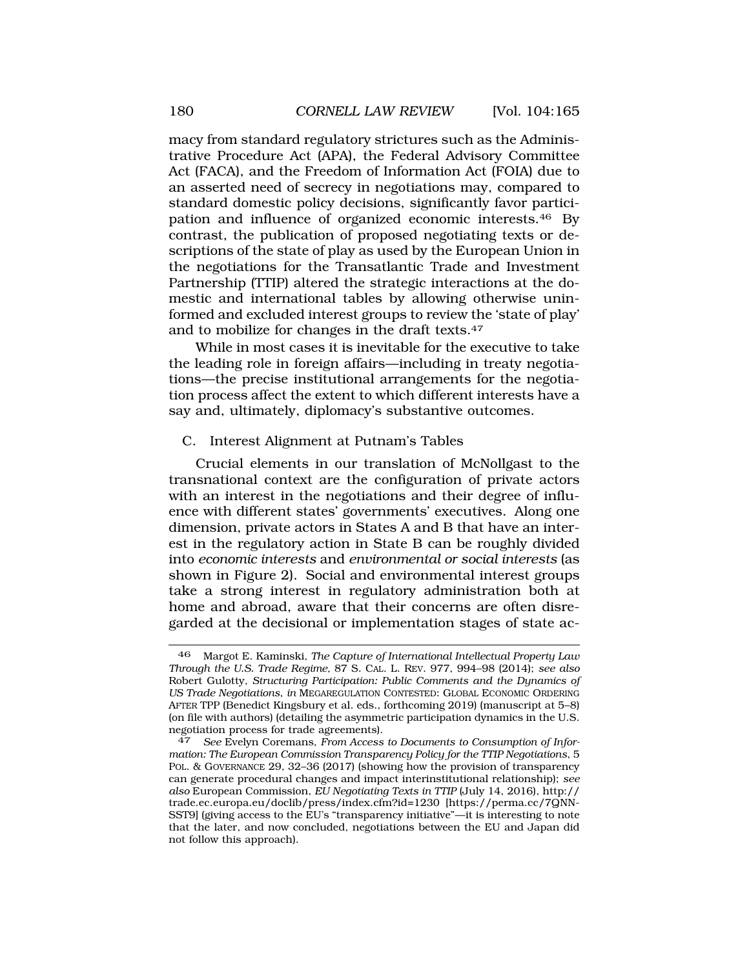<span id="page-15-0"></span>macy from standard regulatory strictures such as the Administrative Procedure Act (APA), the Federal Advisory Committee Act (FACA), and the Freedom of Information Act (FOIA) due to an asserted need of secrecy in negotiations may, compared to standard domestic policy decisions, significantly favor participation and influence of organized economic [interests.46](http:interests.46) By contrast, the publication of proposed negotiating texts or descriptions of the state of play as used by the European Union in the negotiations for the Transatlantic Trade and Investment Partnership (TTIP) altered the strategic interactions at the domestic and international tables by allowing otherwise uninformed and excluded interest groups to review the 'state of play' and to mobilize for changes in the draft [texts.47](http:texts.47)

While in most cases it is inevitable for the executive to take the leading role in foreign affairs—including in treaty negotiations—the precise institutional arrangements for the negotiation process affect the extent to which different interests have a say and, ultimately, diplomacy's substantive outcomes.

#### C. Interest Alignment at Putnam's Tables

Crucial elements in our translation of McNollgast to the transnational context are the configuration of private actors with an interest in the negotiations and their degree of influence with different states' governments' executives. Along one dimension, private actors in States A and B that have an interest in the regulatory action in State B can be roughly divided into *economic interests* and *environmental or social interests* (as shown in Figure 2). Social and environmental interest groups take a strong interest in regulatory administration both at home and abroad, aware that their concerns are often disregarded at the decisional or implementation stages of state ac-

<sup>46</sup> Margot E. Kaminski, *The Capture of International Intellectual Property Law Through the U.S. Trade Regime,* 87 S. CAL. L. REV. 977, 994–98 (2014); *see also*  Robert Gulotty, *Structuring Participation: Public Comments and the Dynamics of US Trade Negotiations*, *in* MEGAREGULATION CONTESTED: GLOBAL ECONOMIC ORDERING AFTER TPP (Benedict Kingsbury et al. eds., forthcoming 2019) (manuscript at 5–8) (on file with authors) (detailing the asymmetric participation dynamics in the U.S. negotiation process for trade agreements).

<sup>47</sup> *See* Evelyn Coremans, *From Access to Documents to Consumption of Information: The European Commission Transparency Policy for the TTIP Negotiations*, 5 POL. & GOVERNANCE 29, 32–36 (2017) (showing how the provision of transparency can generate procedural changes and impact interinstitutional relationship); *see also* European Commission, *EU Negotiating Texts in TTIP* (July 14, 2016), http:// trade.ec.europa.eu/doclib/press/index.cfm?id=1230 [[https://perma.cc/7QNN-](https://perma.cc/7QNN)SST9] (giving access to the EU's "transparency initiative"—it is interesting to note that the later, and now concluded, negotiations between the EU and Japan did not follow this approach).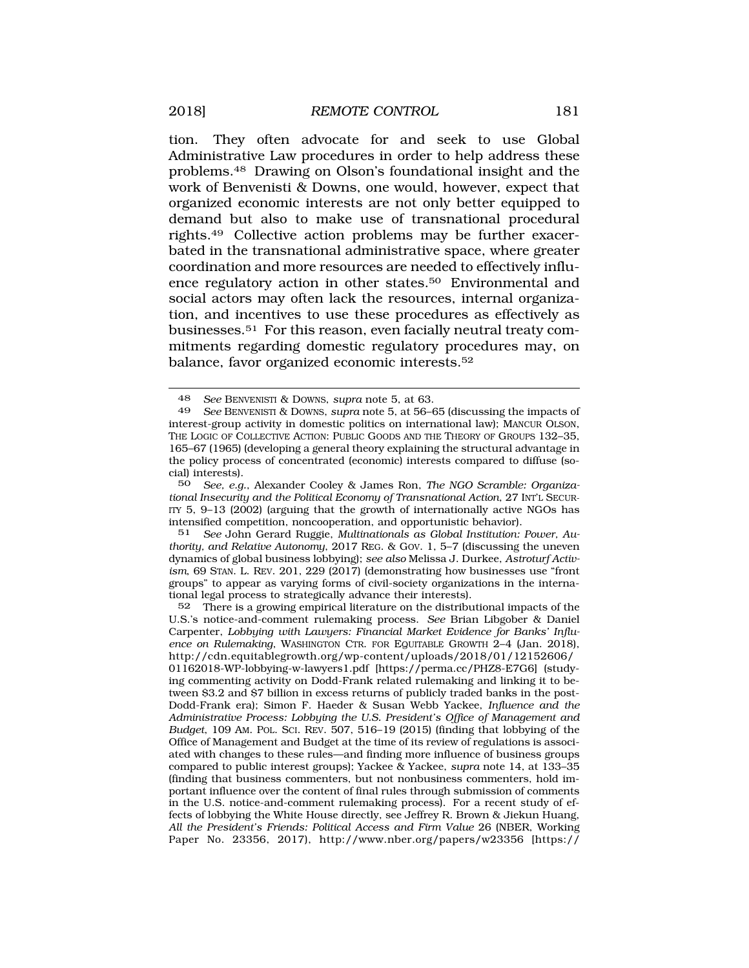tion. They often advocate for and seek to use Global Administrative Law procedures in order to help address these [problems.48](http:problems.48) Drawing on Olson's foundational insight and the work of Benvenisti & Downs, one would, however, expect that organized economic interests are not only better equipped to demand but also to make use of transnational procedural [rights.49](http:rights.49) Collective action problems may be further exacerbated in the transnational administrative space, where greater coordination and more resources are needed to effectively influence regulatory action in other [states.50](http:states.50) Environmental and social actors may often lack the resources, internal organization, and incentives to use these procedures as effectively as [businesses.51](http:businesses.51) For this reason, even facially neutral treaty commitments regarding domestic regulatory procedures may, on balance, favor organized economic [interests.52](http:interests.52)

See John Gerard Ruggie, *Multinationals as Global Institution: Power*, Au*thority, and Relative Autonomy*, 2017 REG. & GOV. 1, 5–7 (discussing the uneven dynamics of global business lobbying); *see also* Melissa J. Durkee, *Astroturf Activism*, 69 STAN. L. REV. 201, 229 (2017) (demonstrating how businesses use "front groups" to appear as varying forms of civil-society organizations in the international legal process to strategically advance their interests).

52 There is a growing empirical literature on the distributional impacts of the U.S.'s notice-and-comment rulemaking process. *See* Brian Libgober & Daniel Carpenter, *Lobbying with Lawyers: Financial Market Evidence for Banks' Influence on Rulemaking*, WASHINGTON CTR. FOR EQUITABLE GROWTH 2–4 (Jan. 2018), <http://cdn.equitablegrowth.org/wp-content/uploads/2018/01/12152606>/ 01162018-WP-lobbying-w-lawyers1.pdf [\[https://perma.cc/PHZ8-E7G6\]](https://perma.cc/PHZ8-E7G6) (studying commenting activity on Dodd-Frank related rulemaking and linking it to between \$3.2 and \$7 billion in excess returns of publicly traded banks in the post-Dodd-Frank era); Simon F. Haeder & Susan Webb Yackee, *Influence and the Administrative Process: Lobbying the U.S. President's Office of Management and Budget*, 109 AM. POL. SCI. REV. 507, 516–19 (2015) (finding that lobbying of the Office of Management and Budget at the time of its review of regulations is associated with changes to these rules—and finding more influence of business groups compared to public interest groups); Yackee & Yackee, *supra* note 14, at 133–35 (finding that business commenters, but not nonbusiness commenters, hold important influence over the content of final rules through submission of comments in the U.S. notice-and-comment rulemaking process). For a recent study of effects of lobbying the White House directly, see Jeffrey R. Brown & Jiekun Huang, *All the President's Friends: Political Access and Firm Value* 26 (NBER, Working Paper No. 23356, 2017), <http://www.nber.org/papers/w23356> [https://

<sup>48</sup> *See* BENVENISTI & DOWNS, *supra* note 5, at 63.

<sup>49</sup> *See* BENVENISTI & DOWNS, *supra* note 5, at 56–65 (discussing the impacts of interest-group activity in domestic politics on international law); MANCUR OLSON, THE LOGIC OF COLLECTIVE ACTION: PUBLIC GOODS AND THE THEORY OF GROUPS 132–35, 165–67 (1965) (developing a general theory explaining the structural advantage in the policy process of concentrated (economic) interests compared to diffuse (social) interests).

<sup>50</sup> *See, e.g.*, Alexander Cooley & James Ron, *The NGO Scramble: Organizational Insecurity and the Political Economy of Transnational Action*, 27 INT'L SECUR-ITY 5, 9–13 (2002) (arguing that the growth of internationally active NGOs has intensified competition, noncooperation, and opportunistic behavior).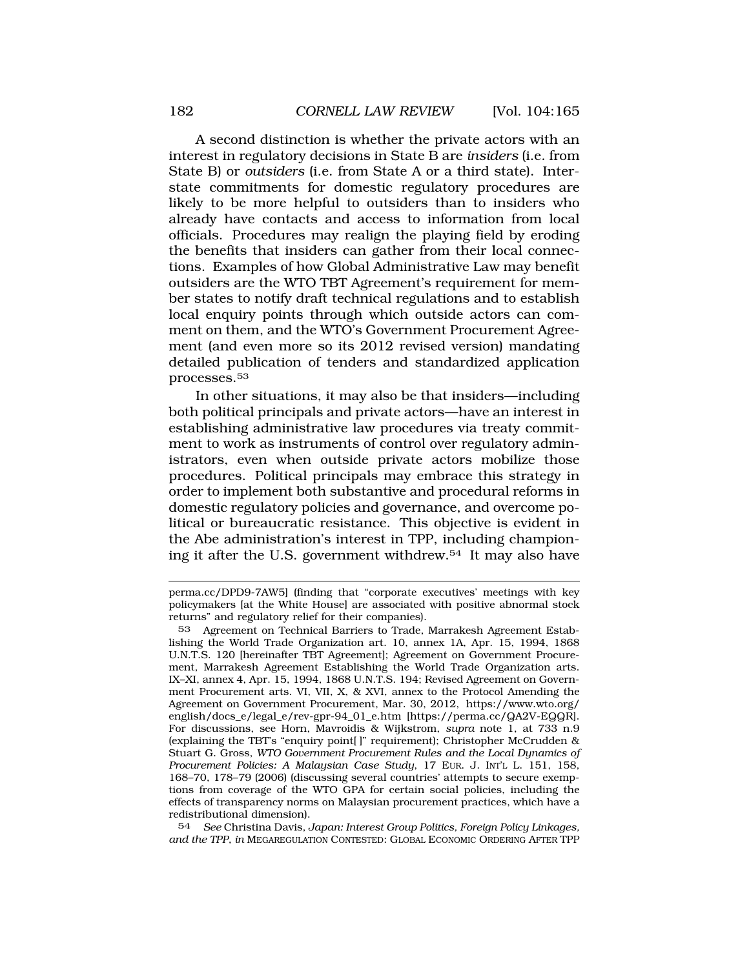A second distinction is whether the private actors with an interest in regulatory decisions in State B are *insiders* (i.e. from State B) or *outsiders* (i.e. from State A or a third state). Interstate commitments for domestic regulatory procedures are likely to be more helpful to outsiders than to insiders who already have contacts and access to information from local officials. Procedures may realign the playing field by eroding the benefits that insiders can gather from their local connections. Examples of how Global Administrative Law may benefit outsiders are the WTO TBT Agreement's requirement for member states to notify draft technical regulations and to establish local enquiry points through which outside actors can comment on them, and the WTO's Government Procurement Agreement (and even more so its 2012 revised version) mandating detailed publication of tenders and standardized application [processes.53](http:processes.53) 

In other situations, it may also be that insiders—including both political principals and private actors—have an interest in establishing administrative law procedures via treaty commitment to work as instruments of control over regulatory administrators, even when outside private actors mobilize those procedures. Political principals may embrace this strategy in order to implement both substantive and procedural reforms in domestic regulatory policies and governance, and overcome political or bureaucratic resistance. This objective is evident in the Abe administration's interest in TPP, including championing it after the U.S. government [withdrew.54](http:withdrew.54) It may also have

54 *See* Christina Davis, *Japan: Interest Group Politics, Foreign Policy Linkages, and the TPP*, *in* MEGAREGULATION CONTESTED: GLOBAL ECONOMIC ORDERING AFTER TPP

perma.cc/DPD9-7AW5] (finding that "corporate executives' meetings with key policymakers [at the White House] are associated with positive abnormal stock returns" and regulatory relief for their companies).

<sup>53</sup> Agreement on Technical Barriers to Trade, Marrakesh Agreement Establishing the World Trade Organization art. 10, annex 1A, Apr. 15, 1994, 1868 U.N.T.S. 120 [hereinafter TBT Agreement]; Agreement on Government Procurement, Marrakesh Agreement Establishing the World Trade Organization arts. IX–XI, annex 4, Apr. 15, 1994, 1868 U.N.T.S. 194; Revised Agreement on Government Procurement arts. VI, VII, X, & XVI, annex to the Protocol Amending the Agreement on Government Procurement, Mar. 30, 2012, [https://www.wto.org/](http:https://www.wto.org) english/docs\_e/legal\_e/rev-gpr-94\_01\_e.htm [\[https://perma.cc/QA2V-EQQR](https://perma.cc/QA2V-EQQR)]. For discussions, see Horn, Mavroidis & Wijkstrom, *supra* note 1, at 733 n.9 (explaining the TBT's "enquiry point[ ]" requirement); Christopher McCrudden & Stuart G. Gross, *WTO Government Procurement Rules and the Local Dynamics of Procurement Policies: A Malaysian Case Study*, 17 EUR. J. INT'L L. 151, 158, 168–70, 178–79 (2006) (discussing several countries' attempts to secure exemptions from coverage of the WTO GPA for certain social policies, including the effects of transparency norms on Malaysian procurement practices, which have a redistributional dimension).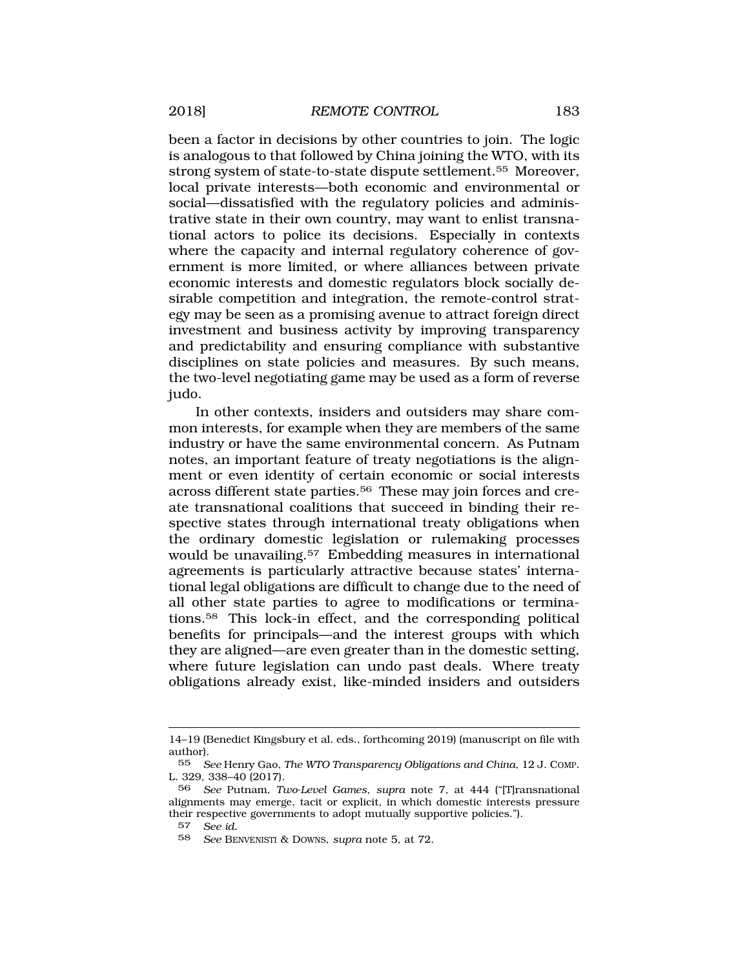been a factor in decisions by other countries to join. The logic is analogous to that followed by China joining the WTO, with its strong system of state-to-state dispute [settlement.55](http:settlement.55) Moreover, local private interests—both economic and environmental or social—dissatisfied with the regulatory policies and administrative state in their own country, may want to enlist transnational actors to police its decisions. Especially in contexts where the capacity and internal regulatory coherence of government is more limited, or where alliances between private economic interests and domestic regulators block socially desirable competition and integration, the remote-control strategy may be seen as a promising avenue to attract foreign direct investment and business activity by improving transparency and predictability and ensuring compliance with substantive disciplines on state policies and measures. By such means, the two-level negotiating game may be used as a form of reverse judo.

In other contexts, insiders and outsiders may share common interests, for example when they are members of the same industry or have the same environmental concern. As Putnam notes, an important feature of treaty negotiations is the alignment or even identity of certain economic or social interests across different state [parties.56](http:parties.56) These may join forces and create transnational coalitions that succeed in binding their respective states through international treaty obligations when the ordinary domestic legislation or rulemaking processes would be unavailing.<sup>57</sup> Embedding measures in international agreements is particularly attractive because states' international legal obligations are difficult to change due to the need of all other state parties to agree to modifications or termina[tions.58](http:tions.58) This lock-in effect, and the corresponding political benefits for principals—and the interest groups with which they are aligned—are even greater than in the domestic setting, where future legislation can undo past deals. Where treaty obligations already exist, like-minded insiders and outsiders

<sup>14–19 (</sup>Benedict Kingsbury et al. eds., forthcoming 2019) (manuscript on file with author).

<sup>55</sup> *See* Henry Gao, *The WTO Transparency Obligations and China*, 12 J. COMP. L. 329, 338–40 (2017).

<sup>56</sup> *See* Putnam, *Two-Level Games*, *supra* note 7, at 444 ("[T]ransnational alignments may emerge, tacit or explicit, in which domestic interests pressure their respective governments to adopt mutually supportive policies.").

<sup>57</sup> *See id.* 

<sup>58</sup> *See* BENVENISTI & DOWNS, *supra* note 5, at 72.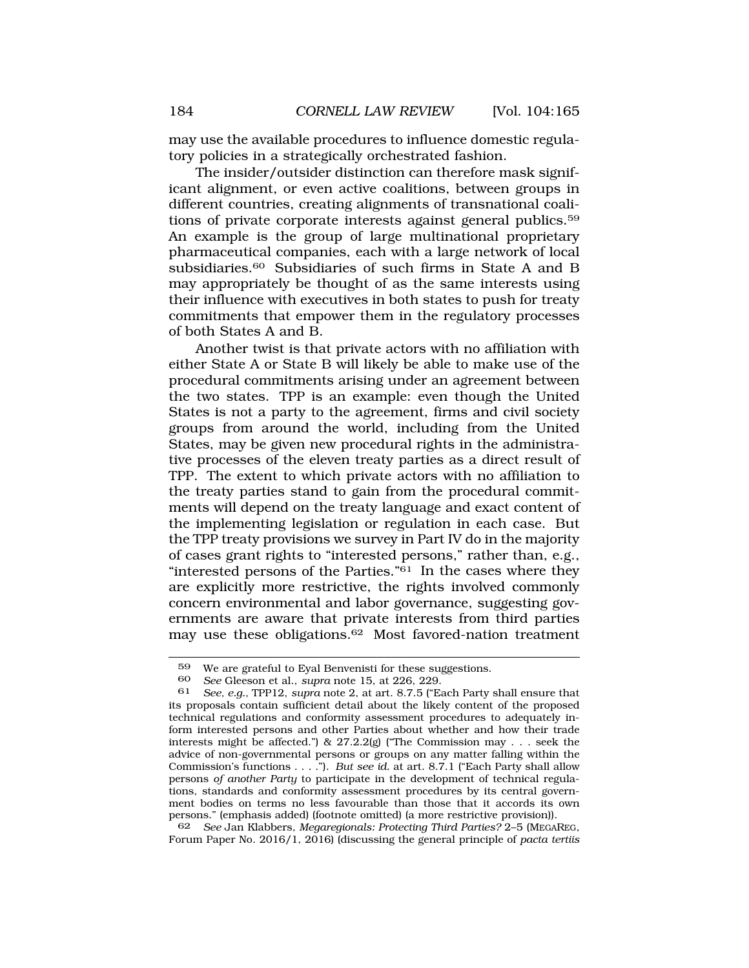may use the available procedures to influence domestic regulatory policies in a strategically orchestrated fashion.

The insider/outsider distinction can therefore mask significant alignment, or even active coalitions, between groups in different countries, creating alignments of transnational coalitions of private corporate interests against general [publics.59](http:publics.59)  An example is the group of large multinational proprietary pharmaceutical companies, each with a large network of local subsidiaries.<sup>60</sup> Subsidiaries of such firms in State A and B may appropriately be thought of as the same interests using their influence with executives in both states to push for treaty commitments that empower them in the regulatory processes of both States A and B.

Another twist is that private actors with no affiliation with either State A or State B will likely be able to make use of the procedural commitments arising under an agreement between the two states. TPP is an example: even though the United States is not a party to the agreement, firms and civil society groups from around the world, including from the United States, may be given new procedural rights in the administrative processes of the eleven treaty parties as a direct result of TPP. The extent to which private actors with no affiliation to the treaty parties stand to gain from the procedural commitments will depend on the treaty language and exact content of the implementing legislation or regulation in each case. But the TPP treaty provisions we survey in Part IV do in the majority of cases grant rights to "interested persons," rather than, e.g., "interested persons of the Parties."<sup>61</sup> In the cases where they are explicitly more restrictive, the rights involved commonly concern environmental and labor governance, suggesting governments are aware that private interests from third parties may use these [obligations.62](http:obligations.62) Most favored-nation treatment

62 *See* Jan Klabbers, *Megaregionals: Protecting Third Parties?* 2–5 (MEGAREG, Forum Paper No. 2016/1, 2016) (discussing the general principle of *pacta tertiis* 

<sup>&</sup>lt;sup>59</sup> We are grateful to Eyal Benvenisti for these suggestions.<br>60 See Gleeson et al. sunra pote 15 at 226 229

<sup>60</sup> *See* Gleeson et al., *supra* note 15, at 226, 229.

<sup>61</sup> *See, e.g.*, TPP12, *supra* note 2, at art. 8.7.5 ("Each Party shall ensure that its proposals contain sufficient detail about the likely content of the proposed technical regulations and conformity assessment procedures to adequately inform interested persons and other Parties about whether and how their trade interests might be affected.") &  $27.2.2(g)$  ("The Commission may . . . seek the advice of non-governmental persons or groups on any matter falling within the Commission's functions . . . ."). *But see id.* at art. 8.7.1 ("Each Party shall allow persons *of another Party* to participate in the development of technical regulations, standards and conformity assessment procedures by its central government bodies on terms no less favourable than those that it accords its own persons." (emphasis added) (footnote omitted) (a more restrictive provision)).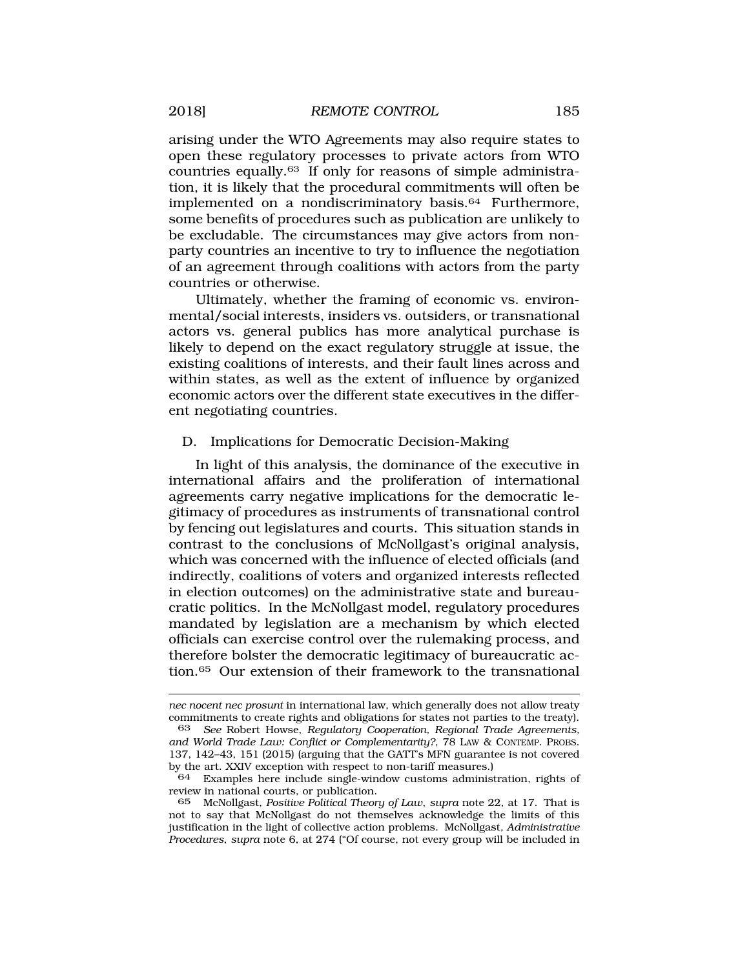<span id="page-20-0"></span>arising under the WTO Agreements may also require states to open these regulatory processes to private actors from WTO countries [equally.63](http:equally.63) If only for reasons of simple administration, it is likely that the procedural commitments will often be implemented on a nondiscriminatory [basis.64](http:basis.64) Furthermore, some benefits of procedures such as publication are unlikely to be excludable. The circumstances may give actors from nonparty countries an incentive to try to influence the negotiation of an agreement through coalitions with actors from the party countries or otherwise.

Ultimately, whether the framing of economic vs. environmental/social interests, insiders vs. outsiders, or transnational actors vs. general publics has more analytical purchase is likely to depend on the exact regulatory struggle at issue, the existing coalitions of interests, and their fault lines across and within states, as well as the extent of influence by organized economic actors over the different state executives in the different negotiating countries.

#### D. Implications for Democratic Decision-Making

In light of this analysis, the dominance of the executive in international affairs and the proliferation of international agreements carry negative implications for the democratic legitimacy of procedures as instruments of transnational control by fencing out legislatures and courts. This situation stands in contrast to the conclusions of McNollgast's original analysis, which was concerned with the influence of elected officials (and indirectly, coalitions of voters and organized interests reflected in election outcomes) on the administrative state and bureaucratic politics. In the McNollgast model, regulatory procedures mandated by legislation are a mechanism by which elected officials can exercise control over the rulemaking process, and therefore bolster the democratic legitimacy of bureaucratic action.65 Our extension of their framework to the transnational

*nec nocent nec prosunt* in international law, which generally does not allow treaty commitments to create rights and obligations for states not parties to the treaty).<br>63 See Robert Howse, Requilatory Cooperation, Regional Trade Agreements

<sup>63</sup> *See* Robert Howse, *Regulatory Cooperation, Regional Trade Agreements, and World Trade Law: Conflict or Complementarity?*, 78 LAW & CONTEMP. PROBS. 137, 142–43, 151 (2015) (arguing that the GATT's MFN guarantee is not covered by the art. XXIV exception with respect to non-tariff measures.)

<sup>64</sup> Examples here include single-window customs administration, rights of review in national courts, or publication.

<sup>65</sup> McNollgast, *Positive Political Theory of Law*, *supra* note 22, at 17. That is not to say that McNollgast do not themselves acknowledge the limits of this justification in the light of collective action problems. McNollgast*, Administrative Procedures*, *supra* note 6, at 274 ("Of course, not every group will be included in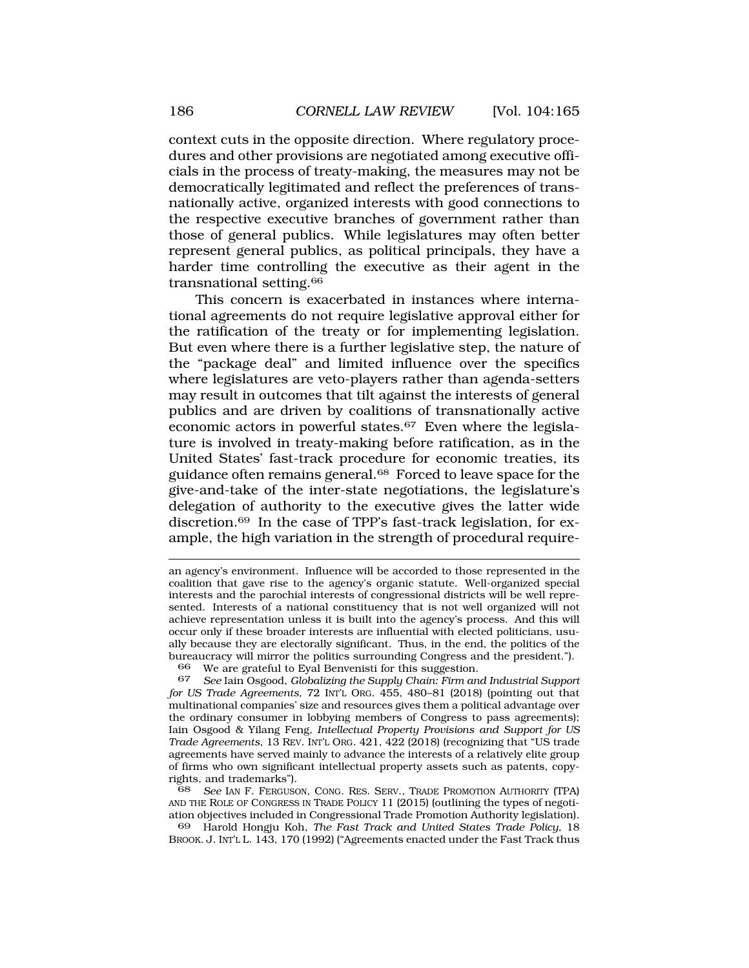context cuts in the opposite direction. Where regulatory procedures and other provisions are negotiated among executive officials in the process of treaty-making, the measures may not be democratically legitimated and reflect the preferences of transnationally active, organized interests with good connections to the respective executive branches of government rather than those of general publics. While legislatures may often better represent general publics, as political principals, they have a harder time controlling the executive as their agent in the transnational [setting.66](http:setting.66)

This concern is exacerbated in instances where international agreements do not require legislative approval either for the ratification of the treaty or for implementing legislation. But even where there is a further legislative step, the nature of the "package deal" and limited influence over the specifics where legislatures are veto-players rather than agenda-setters may result in outcomes that tilt against the interests of general publics and are driven by coalitions of transnationally active economic actors in powerful states.<sup>67</sup> Even where the legislature is involved in treaty-making before ratification, as in the United States' fast-track procedure for economic treaties, its guidance often remains general.<sup>68</sup> Forced to leave space for the give-and-take of the inter-state negotiations, the legislature's delegation of authority to the executive gives the latter wide [discretion.69](http:discretion.69) In the case of TPP's fast-track legislation, for example, the high variation in the strength of procedural require-

66 We are grateful to Eyal Benvenisti for this suggestion.

67 *See* Iain Osgood, *Globalizing the Supply Chain: Firm and Industrial Support for US Trade Agreements*, 72 INT'L ORG. 455, 480–81 (2018) (pointing out that multinational companies' size and resources gives them a political advantage over the ordinary consumer in lobbying members of Congress to pass agreements); Iain Osgood & Yilang Feng, *Intellectual Property Provisions and Support for US Trade Agreements*, 13 REV. INT'L ORG. 421, 422 (2018) (recognizing that "US trade agreements have served mainly to advance the interests of a relatively elite group of firms who own significant intellectual property assets such as patents, copyrights, and trademarks").

68 *See* IAN F. FERGUSON, CONG. RES. SERV., TRADE PROMOTION AUTHORITY (TPA) AND THE ROLE OF CONGRESS IN TRADE POLICY 11 (2015) (outlining the types of negotiation objectives included in Congressional Trade Promotion Authority legislation).

69 Harold Hongju Koh, *The Fast Track and United States Trade Policy*, 18 BROOK. J. INT'L L. 143, 170 (1992) ("Agreements enacted under the Fast Track thus

an agency's environment. Influence will be accorded to those represented in the coalition that gave rise to the agency's organic statute. Well-organized special interests and the parochial interests of congressional districts will be well represented. Interests of a national constituency that is not well organized will not achieve representation unless it is built into the agency's process. And this will occur only if these broader interests are influential with elected politicians, usually because they are electorally significant. Thus, in the end, the politics of the bureaucracy will mirror the politics surrounding Congress and the president.").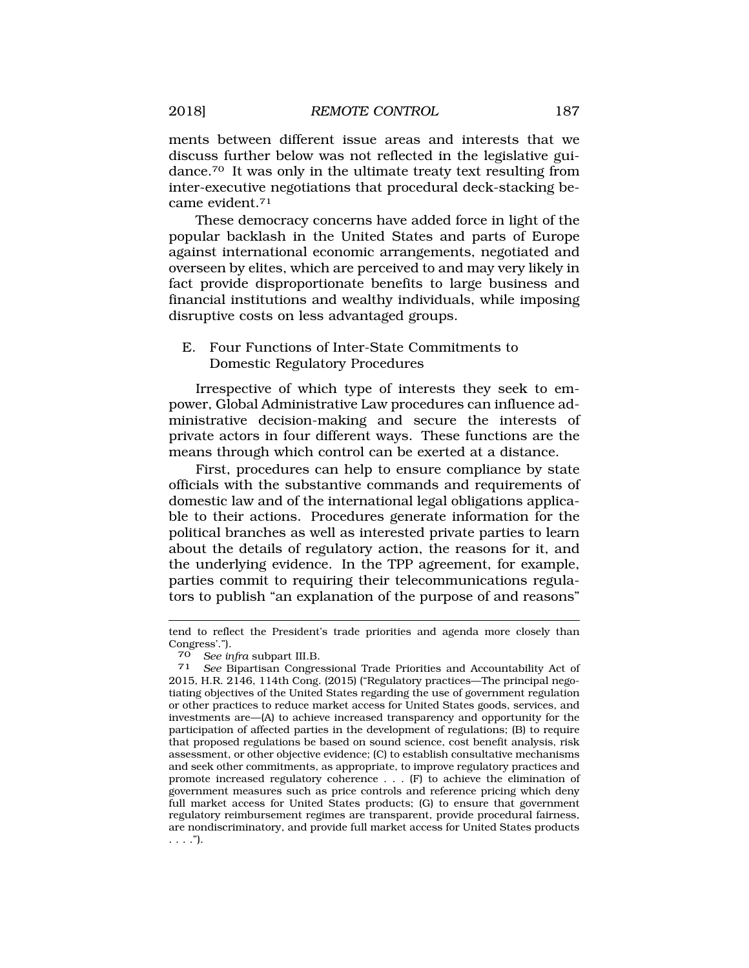<span id="page-22-0"></span>ments between different issue areas and interests that we discuss further below was not reflected in the legislative gui[dance.70](http:dance.70) It was only in the ultimate treaty text resulting from inter-executive negotiations that procedural deck-stacking became [evident.71](http:evident.71)

These democracy concerns have added force in light of the popular backlash in the United States and parts of Europe against international economic arrangements, negotiated and overseen by elites, which are perceived to and may very likely in fact provide disproportionate benefits to large business and financial institutions and wealthy individuals, while imposing disruptive costs on less advantaged groups.

# E. Four Functions of Inter-State Commitments to Domestic Regulatory Procedures

Irrespective of which type of interests they seek to empower, Global Administrative Law procedures can influence administrative decision-making and secure the interests of private actors in four different ways. These functions are the means through which control can be exerted at a distance.

First, procedures can help to ensure compliance by state officials with the substantive commands and requirements of domestic law and of the international legal obligations applicable to their actions. Procedures generate information for the political branches as well as interested private parties to learn about the details of regulatory action, the reasons for it, and the underlying evidence. In the TPP agreement, for example, parties commit to requiring their telecommunications regulators to publish "an explanation of the purpose of and reasons"

tend to reflect the President's trade priorities and agenda more closely than Congress'.").<br>70 See infra subpart III.B.

<sup>71</sup> See Bipartisan Congressional Trade Priorities and Accountability Act of 2015, H.R. 2146, 114th Cong. (2015) ("Regulatory practices—The principal negotiating objectives of the United States regarding the use of government regulation or other practices to reduce market access for United States goods, services, and investments are—(A) to achieve increased transparency and opportunity for the participation of affected parties in the development of regulations; (B) to require that proposed regulations be based on sound science, cost benefit analysis, risk assessment, or other objective evidence; (C) to establish consultative mechanisms and seek other commitments, as appropriate, to improve regulatory practices and promote increased regulatory coherence . . . (F) to achieve the elimination of government measures such as price controls and reference pricing which deny full market access for United States products; (G) to ensure that government regulatory reimbursement regimes are transparent, provide procedural fairness, are nondiscriminatory, and provide full market access for United States products  $\ldots$ .").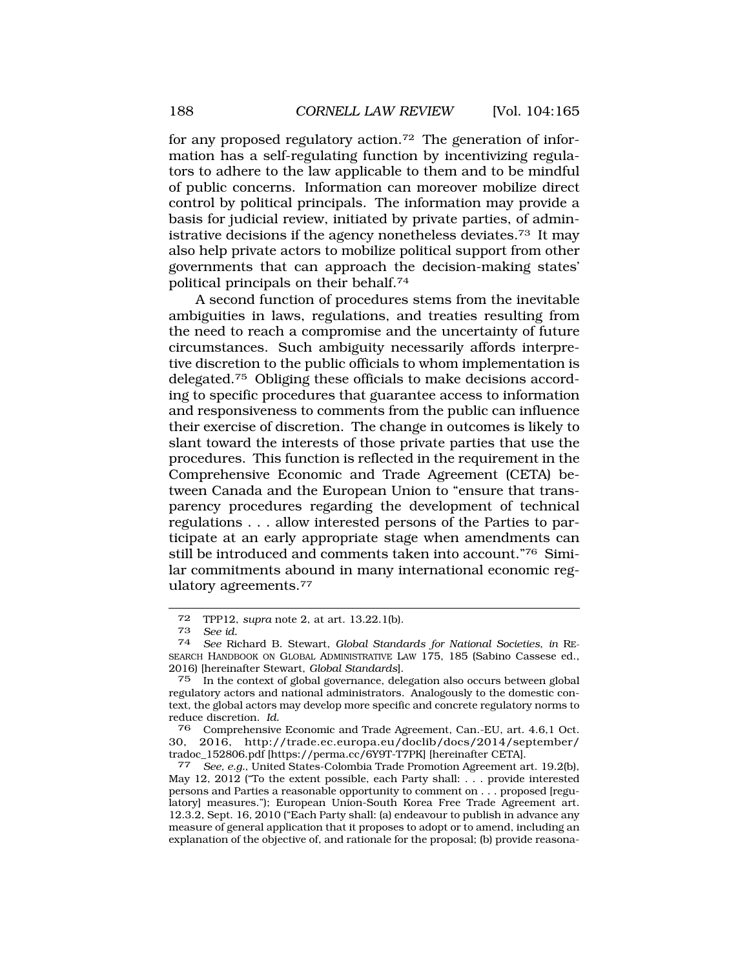for any proposed regulatory [action.72](http:action.72) The generation of information has a self-regulating function by incentivizing regulators to adhere to the law applicable to them and to be mindful of public concerns. Information can moreover mobilize direct control by political principals. The information may provide a basis for judicial review, initiated by private parties, of administrative decisions if the agency nonetheless [deviates.73](http:deviates.73) It may also help private actors to mobilize political support from other governments that can approach the decision-making states' political principals on their [behalf.74](http:behalf.74)

A second function of procedures stems from the inevitable ambiguities in laws, regulations, and treaties resulting from the need to reach a compromise and the uncertainty of future circumstances. Such ambiguity necessarily affords interpretive discretion to the public officials to whom implementation is [delegated.75](http:delegated.75) Obliging these officials to make decisions according to specific procedures that guarantee access to information and responsiveness to comments from the public can influence their exercise of discretion. The change in outcomes is likely to slant toward the interests of those private parties that use the procedures. This function is reflected in the requirement in the Comprehensive Economic and Trade Agreement (CETA) between Canada and the European Union to "ensure that transparency procedures regarding the development of technical regulations . . . allow interested persons of the Parties to participate at an early appropriate stage when amendments can still be introduced and comments taken into account."76 Similar commitments abound in many international economic regulatory [agreements.77](http:agreements.77)

Comprehensive Economic and Trade Agreement, Can.-EU, art. 4.6,1 Oct. 30, 2016, <http://trade.ec.europa.eu/doclib/docs/2014/september>/

<sup>72</sup> TPP12, *supra* note 2, at art. 13.22.1(b).

<sup>73</sup>*See id.* 74 *See* Richard B. Stewart, *Global Standards for National Societies*, *in* RE-SEARCH HANDBOOK ON GLOBAL ADMINISTRATIVE LAW 175, 185 (Sabino Cassese ed., 2016) [hereinafter Stewart, *Global Standards*].

<sup>75</sup> In the context of global governance, delegation also occurs between global regulatory actors and national administrators. Analogously to the domestic context, the global actors may develop more specific and concrete regulatory norms to reduce discretion. *Id.* 

See, e.g., United States-Colombia Trade Promotion Agreement art. 19.2(b), May 12, 2012 ("To the extent possible, each Party shall: . . . provide interested persons and Parties a reasonable opportunity to comment on . . . proposed [regulatory] measures."); European Union-South Korea Free Trade Agreement art. 12.3.2, Sept. 16, 2010 ("Each Party shall: (a) endeavour to publish in advance any measure of general application that it proposes to adopt or to amend, including an explanation of the objective of, and rationale for the proposal; (b) provide reasona-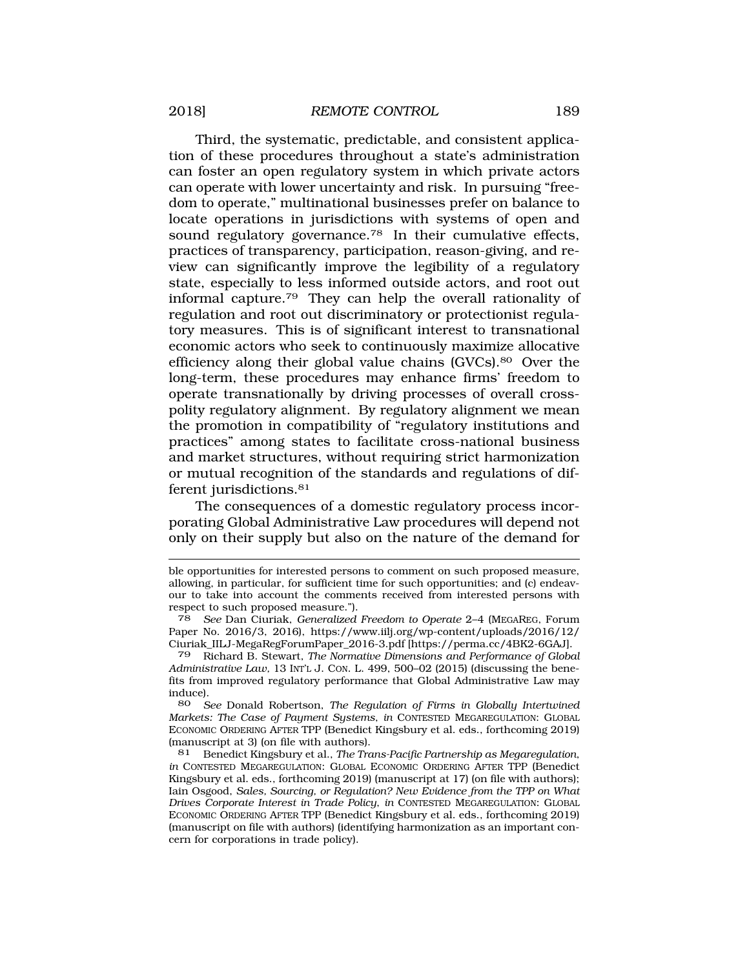Third, the systematic, predictable, and consistent application of these procedures throughout a state's administration can foster an open regulatory system in which private actors can operate with lower uncertainty and risk. In pursuing "freedom to operate," multinational businesses prefer on balance to locate operations in jurisdictions with systems of open and sound regulatory governance.<sup>78</sup> In their cumulative effects, practices of transparency, participation, reason-giving, and review can significantly improve the legibility of a regulatory state, especially to less informed outside actors, and root out informal [capture.79](http:capture.79) They can help the overall rationality of regulation and root out discriminatory or protectionist regulatory measures. This is of significant interest to transnational economic actors who seek to continuously maximize allocative efficiency along their global value chains ([GVCs\).80](http:GVCs).80) Over the long-term, these procedures may enhance firms' freedom to operate transnationally by driving processes of overall crosspolity regulatory alignment. By regulatory alignment we mean the promotion in compatibility of "regulatory institutions and practices" among states to facilitate cross-national business and market structures, without requiring strict harmonization or mutual recognition of the standards and regulations of different jurisdictions.<sup>81</sup>

The consequences of a domestic regulatory process incorporating Global Administrative Law procedures will depend not only on their supply but also on the nature of the demand for

80 *See* Donald Robertson, *The Regulation of Firms in Globally Intertwined Markets: The Case of Payment Systems*, *in* CONTESTED MEGAREGULATION: GLOBAL ECONOMIC ORDERING AFTER TPP (Benedict Kingsbury et al. eds., forthcoming 2019) (manuscript at 3) (on file with authors).

81 Benedict Kingsbury et al., *The Trans-Pacific Partnership as Megaregulation*, *in* CONTESTED MEGAREGULATION: GLOBAL ECONOMIC ORDERING AFTER TPP (Benedict Kingsbury et al. eds., forthcoming 2019) (manuscript at 17) (on file with authors); Iain Osgood, *Sales, Sourcing, or Regulation? New Evidence from the TPP on What Drives Corporate Interest in Trade Policy*, *in* CONTESTED MEGAREGULATION: GLOBAL ECONOMIC ORDERING AFTER TPP (Benedict Kingsbury et al. eds., forthcoming 2019) (manuscript on file with authors) (identifying harmonization as an important concern for corporations in trade policy).

ble opportunities for interested persons to comment on such proposed measure, allowing, in particular, for sufficient time for such opportunities; and (c) endeavour to take into account the comments received from interested persons with respect to such proposed measure.").

<sup>78</sup> *See* Dan Ciuriak, *Generalized Freedom to Operate* 2–4 (MEGAREG, Forum Paper No. 2016/3, 2016), [https://www.iilj.org/wp-content/uploads/2016/12/](https://www.iilj.org/wp-content/uploads/2016/12) Ciuriak\_IILJ-MegaRegForumPaper\_2016-3.pdf [\[https://perma.cc/4BK2-6GAJ](https://perma.cc/4BK2-6GAJ)].

<sup>79</sup> Richard B. Stewart, *The Normative Dimensions and Performance of Global Administrative Law,* 13 INT'L J. CON. L. 499, 500–02 (2015) (discussing the benefits from improved regulatory performance that Global Administrative Law may induce).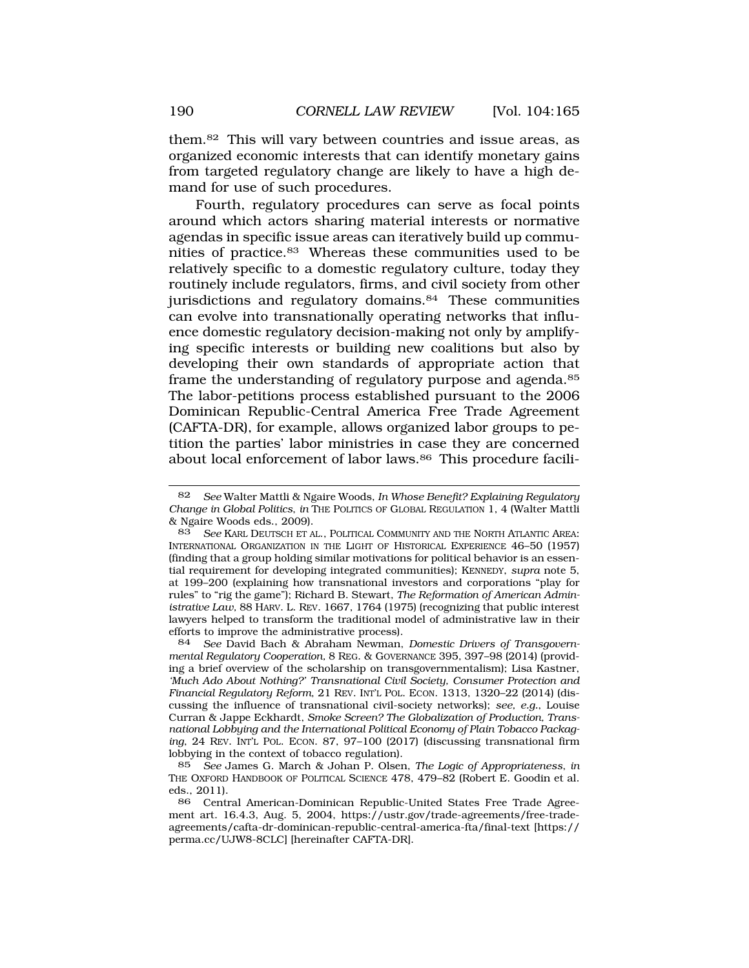them.82 This will vary between countries and issue areas, as organized economic interests that can identify monetary gains from targeted regulatory change are likely to have a high demand for use of such procedures.

Fourth, regulatory procedures can serve as focal points around which actors sharing material interests or normative agendas in specific issue areas can iteratively build up communities of [practice.83](http:practice.83) Whereas these communities used to be relatively specific to a domestic regulatory culture, today they routinely include regulators, firms, and civil society from other jurisdictions and regulatory domains.<sup>84</sup> These communities can evolve into transnationally operating networks that influence domestic regulatory decision-making not only by amplifying specific interests or building new coalitions but also by developing their own standards of appropriate action that frame the understanding of regulatory purpose and agenda.<sup>85</sup> The labor-petitions process established pursuant to the 2006 Dominican Republic-Central America Free Trade Agreement (CAFTA-DR), for example, allows organized labor groups to petition the parties' labor ministries in case they are concerned about local enforcement of labor laws.<sup>86</sup> This procedure facili-

<sup>82</sup> *See* Walter Mattli & Ngaire Woods, *In Whose Benefit? Explaining Regulatory Change in Global Politics*, *in* THE POLITICS OF GLOBAL REGULATION 1, 4 (Walter Mattli & Ngaire Woods eds., 2009).<br>83 See Karl Deutsch et a

See KARL DEUTSCH ET AL., POLITICAL COMMUNITY AND THE NORTH ATLANTIC AREA: INTERNATIONAL ORGANIZATION IN THE LIGHT OF HISTORICAL EXPERIENCE 46–50 (1957) (finding that a group holding similar motivations for political behavior is an essential requirement for developing integrated communities); KENNEDY, *supra* note 5, at 199–200 (explaining how transnational investors and corporations "play for rules" to "rig the game"); Richard B. Stewart, *The Reformation of American Administrative Law,* 88 HARV. L. REV. 1667, 1764 (1975) (recognizing that public interest lawyers helped to transform the traditional model of administrative law in their efforts to improve the administrative process).

<sup>84</sup> *See* David Bach & Abraham Newman, *Domestic Drivers of Transgovernmental Regulatory Cooperation,* 8 REG. & GOVERNANCE 395, 397–98 (2014) (providing a brief overview of the scholarship on transgovernmentalism); Lisa Kastner, *'Much Ado About Nothing?' Transnational Civil Society, Consumer Protection and Financial Regulatory Reform*, 21 REV. INT'L POL. ECON. 1313, 1320–22 (2014) (discussing the influence of transnational civil-society networks); *see, e.g.*, Louise Curran & Jappe Eckhardt, *Smoke Screen? The Globalization of Production, Transnational Lobbying and the International Political Economy of Plain Tobacco Packaging*, 24 REV. INT'L POL. ECON. 87, 97–100 (2017) (discussing transnational firm lobbying in the context of tobacco regulation).

<sup>85</sup> *See* James G. March & Johan P. Olsen, *The Logic of Appropriateness*, *in*  THE OXFORD HANDBOOK OF POLITICAL SCIENCE 478, 479–82 (Robert E. Goodin et al. eds., 2011).<br>86 Centu

<sup>86</sup> Central American-Dominican Republic-United States Free Trade Agreement art. 16.4.3, Aug. 5, 2004, <https://ustr.gov/trade-agreements/free-trade>agreements/cafta-dr-dominican-republic-central-america-fta/final-text [https:// perma.cc/UJW8-8CLC] [hereinafter CAFTA-DR].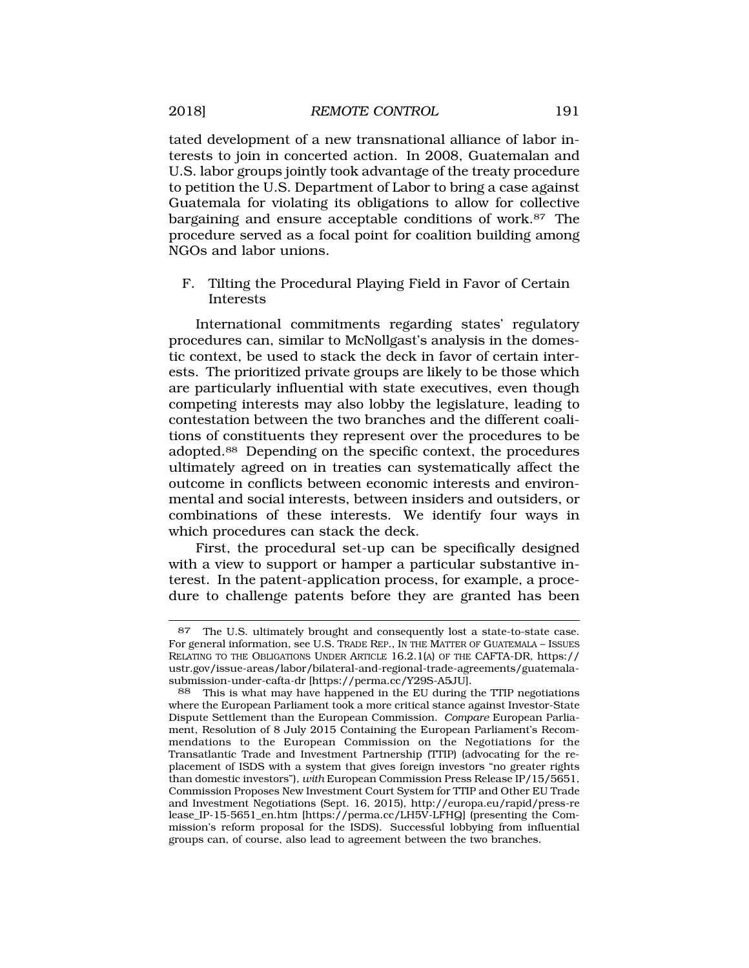<span id="page-26-0"></span>tated development of a new transnational alliance of labor interests to join in concerted action. In 2008, Guatemalan and U.S. labor groups jointly took advantage of the treaty procedure to petition the U.S. Department of Labor to bring a case against Guatemala for violating its obligations to allow for collective bargaining and ensure acceptable conditions of work.<sup>87</sup> The procedure served as a focal point for coalition building among NGOs and labor unions.

F. Tilting the Procedural Playing Field in Favor of Certain Interests

International commitments regarding states' regulatory procedures can, similar to McNollgast's analysis in the domestic context, be used to stack the deck in favor of certain interests. The prioritized private groups are likely to be those which are particularly influential with state executives, even though competing interests may also lobby the legislature, leading to contestation between the two branches and the different coalitions of constituents they represent over the procedures to be [adopted.88](http:adopted.88) Depending on the specific context, the procedures ultimately agreed on in treaties can systematically affect the outcome in conflicts between economic interests and environmental and social interests, between insiders and outsiders, or combinations of these interests. We identify four ways in which procedures can stack the deck.

First, the procedural set-up can be specifically designed with a view to support or hamper a particular substantive interest. In the patent-application process, for example, a procedure to challenge patents before they are granted has been

<sup>87</sup> The U.S. ultimately brought and consequently lost a state-to-state case. For general information, see U.S. TRADE REP., IN THE MATTER OF GUATEMALA – ISSUES RELATING TO THE OBLIGATIONS UNDER ARTICLE 16.2.1(A) OF THE CAFTA-DR, https:// [ustr.gov/issue-areas/labor/bilateral-and-regional-trade-agreements/guatemala](https://ustr.gov/issue-areas/labor/bilateral-and-regional-trade-agreements/guatemala)submission-under-cafta-dr [\[https://perma.cc/Y29S-A5JU\]](https://perma.cc/Y29S-A5JU).

<sup>88</sup> This is what may have happened in the EU during the TTIP negotiations where the European Parliament took a more critical stance against Investor-State Dispute Settlement than the European Commission. *Compare* European Parliament, Resolution of 8 July 2015 Containing the European Parliament's Recommendations to the European Commission on the Negotiations for the Transatlantic Trade and Investment Partnership (TTIP) (advocating for the replacement of ISDS with a system that gives foreign investors "no greater rights than domestic investors"), *with* European Commission Press Release IP/15/5651, Commission Proposes New Investment Court System for TTIP and Other EU Trade and Investment Negotiations (Sept. 16, 2015), <http://europa.eu/rapid/press-re> lease\_IP-15-5651\_en.htm [<https://perma.cc/LH5V-LFHQ>] (presenting the Commission's reform proposal for the ISDS). Successful lobbying from influential groups can, of course, also lead to agreement between the two branches.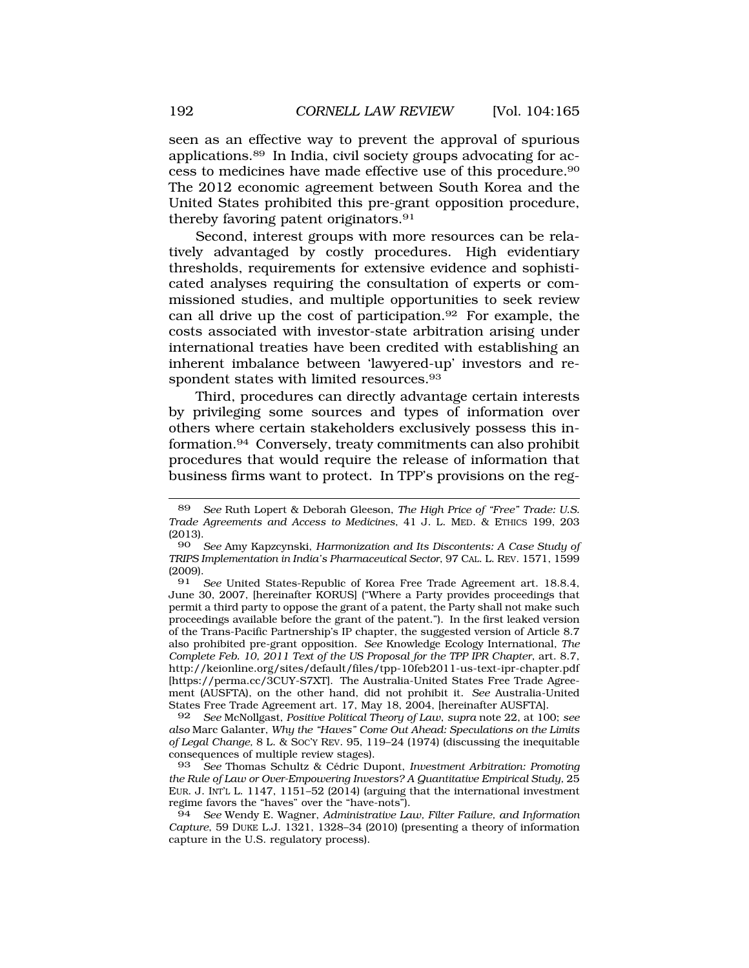seen as an effective way to prevent the approval of spurious [applications.89](http:applications.89) In India, civil society groups advocating for access to medicines have made effective use of this [procedure.90](http:procedure.90)  The 2012 economic agreement between South Korea and the United States prohibited this pre-grant opposition procedure, thereby favoring patent originators.<sup>91</sup>

Second, interest groups with more resources can be relatively advantaged by costly procedures. High evidentiary thresholds, requirements for extensive evidence and sophisticated analyses requiring the consultation of experts or commissioned studies, and multiple opportunities to seek review can all drive up the cost of [participation.92](http:participation.92) For example, the costs associated with investor-state arbitration arising under international treaties have been credited with establishing an inherent imbalance between 'lawyered-up' investors and respondent states with limited resources.<sup>93</sup>

Third, procedures can directly advantage certain interests by privileging some sources and types of information over others where certain stakeholders exclusively possess this in[formation.94](http:formation.94) Conversely, treaty commitments can also prohibit procedures that would require the release of information that business firms want to protect. In TPP's provisions on the reg-

92 *See* McNollgast, *Positive Political Theory of Law*, *supra* note 22, at 100; *see also* Marc Galanter, *Why the "Haves" Come Out Ahead: Speculations on the Limits of Legal Change,* 8 L. & SOC'Y REV. 95, 119–24 (1974) (discussing the inequitable consequences of multiple review stages).

94 *See* Wendy E. Wagner, *Administrative Law, Filter Failure, and Information Capture*, 59 DUKE L.J. 1321, 1328–34 (2010) (presenting a theory of information capture in the U.S. regulatory process).

<sup>89</sup> *See* Ruth Lopert & Deborah Gleeson, *The High Price of "Free" Trade: U.S. Trade Agreements and Access to Medicines*, 41 J. L. MED. & ETHICS 199, 203  $\begin{array}{c} (2013) \\ 90 \end{array}$ 

<sup>90</sup> *See* Amy Kapzcynski, *Harmonization and Its Discontents: A Case Study of TRIPS Implementation in India's Pharmaceutical Sector*, 97 CAL. L. REV. 1571, 1599  $\frac{(2009)}{91}$ .

See United States-Republic of Korea Free Trade Agreement art. 18.8.4, June 30, 2007, [hereinafter KORUS] ("Where a Party provides proceedings that permit a third party to oppose the grant of a patent, the Party shall not make such proceedings available before the grant of the patent."). In the first leaked version of the Trans-Pacific Partnership's IP chapter, the suggested version of Article 8.7 also prohibited pre-grant opposition. *See* Knowledge Ecology International, *The Complete Feb. 10, 2011 Text of the US Proposal for the TPP IPR Chapter*, art. 8.7, <http://keionline.org/sites/default/files/tpp-10feb2011-us-text-ipr-chapter.pdf> [<https://perma.cc/3CUY-S7XT>]. The Australia-United States Free Trade Agreement (AUSFTA), on the other hand, did not prohibit it. *See* Australia-United States Free Trade Agreement art. 17, May 18, 2004, [hereinafter AUSFTA].

<sup>93</sup> *See* Thomas Schultz & C´edric Dupont, *Investment Arbitration: Promoting the Rule of Law or Over-Empowering Investors? A Quantitative Empirical Study,* 25 EUR. J. INT'L L. 1147, 1151–52 (2014) (arguing that the international investment regime favors the "haves" over the "have-nots").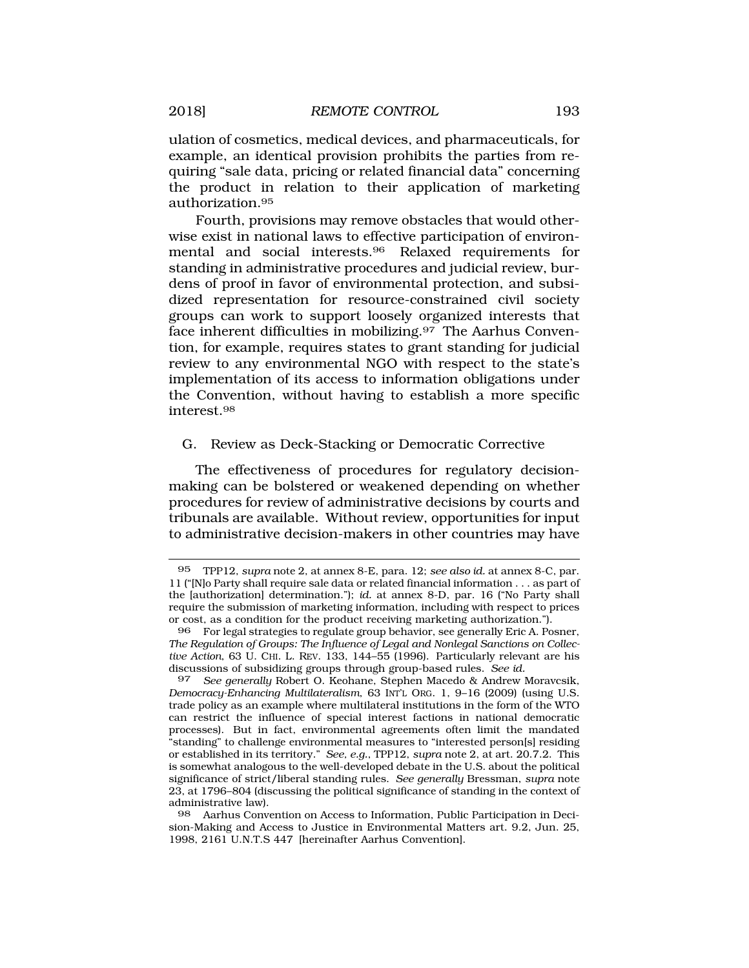<span id="page-28-0"></span>ulation of cosmetics, medical devices, and pharmaceuticals, for example, an identical provision prohibits the parties from requiring "sale data, pricing or related financial data" concerning the product in relation to their application of marketing [authorization.95](http:authorization.95) 

Fourth, provisions may remove obstacles that would otherwise exist in national laws to effective participation of environmental and social [interests.96](http:interests.96) Relaxed requirements for standing in administrative procedures and judicial review, burdens of proof in favor of environmental protection, and subsidized representation for resource-constrained civil society groups can work to support loosely organized interests that face inherent difficulties in [mobilizing.97](http:mobilizing.97) The Aarhus Convention, for example, requires states to grant standing for judicial review to any environmental NGO with respect to the state's implementation of its access to information obligations under the Convention, without having to establish a more specific [interest.98](http:interest.98)

# G. Review as Deck-Stacking or Democratic Corrective

The effectiveness of procedures for regulatory decisionmaking can be bolstered or weakened depending on whether procedures for review of administrative decisions by courts and tribunals are available. Without review, opportunities for input to administrative decision-makers in other countries may have

<sup>95</sup> TPP12, *supra* note 2, at annex 8-E, para. 12; *see also id.* at annex 8-C, par. 11 ("[N]o Party shall require sale data or related financial information . . . as part of the [authorization] determination."); *id.* at annex 8-D, par. 16 ("No Party shall require the submission of marketing information, including with respect to prices or cost, as a condition for the product receiving marketing authorization.").

<sup>96</sup> For legal strategies to regulate group behavior, see generally Eric A. Posner, *The Regulation of Groups: The Influence of Legal and Nonlegal Sanctions on Collective Action*, 63 U. CHI. L. REV. 133, 144–55 (1996). Particularly relevant are his discussions of subsidizing groups through group-based rules. *See id.* 

<sup>97</sup> *See generally* Robert O. Keohane, Stephen Macedo & Andrew Moravcsik, *Democracy-Enhancing Multilateralism*, 63 INT'L ORG. 1, 9–16 (2009) (using U.S. trade policy as an example where multilateral institutions in the form of the WTO can restrict the influence of special interest factions in national democratic processes). But in fact, environmental agreements often limit the mandated "standing" to challenge environmental measures to "interested person[s] residing or established in its territory." *See, e.g.*, TPP12, *supra* note 2, at art. 20.7.2. This is somewhat analogous to the well-developed debate in the U.S. about the political significance of strict/liberal standing rules. *See generally* Bressman, *supra* note 23, at 1796–804 (discussing the political significance of standing in the context of administrative law).

<sup>98</sup> Aarhus Convention on Access to Information, Public Participation in Decision-Making and Access to Justice in Environmental Matters art. 9.2, Jun. 25, 1998, 2161 U.N.T.S 447 [hereinafter Aarhus Convention].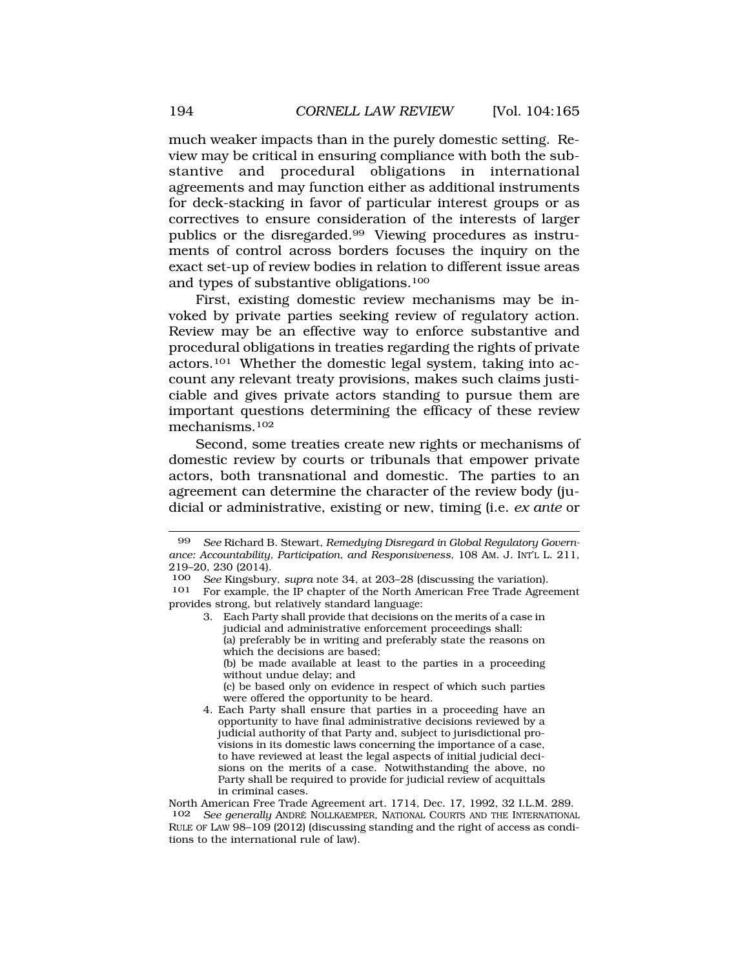much weaker impacts than in the purely domestic setting. Review may be critical in ensuring compliance with both the substantive and procedural obligations in international agreements and may function either as additional instruments for deck-stacking in favor of particular interest groups or as correctives to ensure consideration of the interests of larger publics or the [disregarded.99](http:disregarded.99) Viewing procedures as instruments of control across borders focuses the inquiry on the exact set-up of review bodies in relation to different issue areas and types of substantive obligations.100

First, existing domestic review mechanisms may be invoked by private parties seeking review of regulatory action. Review may be an effective way to enforce substantive and procedural obligations in treaties regarding the rights of private actors.101 Whether the domestic legal system, taking into account any relevant treaty provisions, makes such claims justiciable and gives private actors standing to pursue them are important questions determining the efficacy of these review mechanisms.102

Second, some treaties create new rights or mechanisms of domestic review by courts or tribunals that empower private actors, both transnational and domestic. The parties to an agreement can determine the character of the review body (judicial or administrative, existing or new, timing (i.e. *ex ante* or

<sup>99</sup> *See* Richard B. Stewart, *Remedying Disregard in Global Regulatory Governance: Accountability, Participation, and Responsiveness,* 108 AM. J. INT'L L. 211, 219–20, 230 (2014).<br>100 See Kingsbur

<sup>100</sup> *See* Kingsbury, *supra* note 34, at 203–28 (discussing the variation). For example, the IP chapter of the North American Free Trade Agreement provides strong, but relatively standard language:

<sup>3.</sup> Each Party shall provide that decisions on the merits of a case in judicial and administrative enforcement proceedings shall: (a) preferably be in writing and preferably state the reasons on which the decisions are based; (b) be made available at least to the parties in a proceeding without undue delay; and (c) be based only on evidence in respect of which such parties were offered the opportunity to be heard.

<sup>4.</sup> Each Party shall ensure that parties in a proceeding have an opportunity to have final administrative decisions reviewed by a judicial authority of that Party and, subject to jurisdictional provisions in its domestic laws concerning the importance of a case, to have reviewed at least the legal aspects of initial judicial decisions on the merits of a case. Notwithstanding the above, no Party shall be required to provide for judicial review of acquittals in criminal cases.

North American Free Trade Agreement art. 1714, Dec. 17, 1992, 32 I.L.M. 289. 102 *See generally* ANDRE´ NOLLKAEMPER, NATIONAL COURTS AND THE INTERNATIONAL RULE OF LAW 98–109 (2012) (discussing standing and the right of access as conditions to the international rule of law).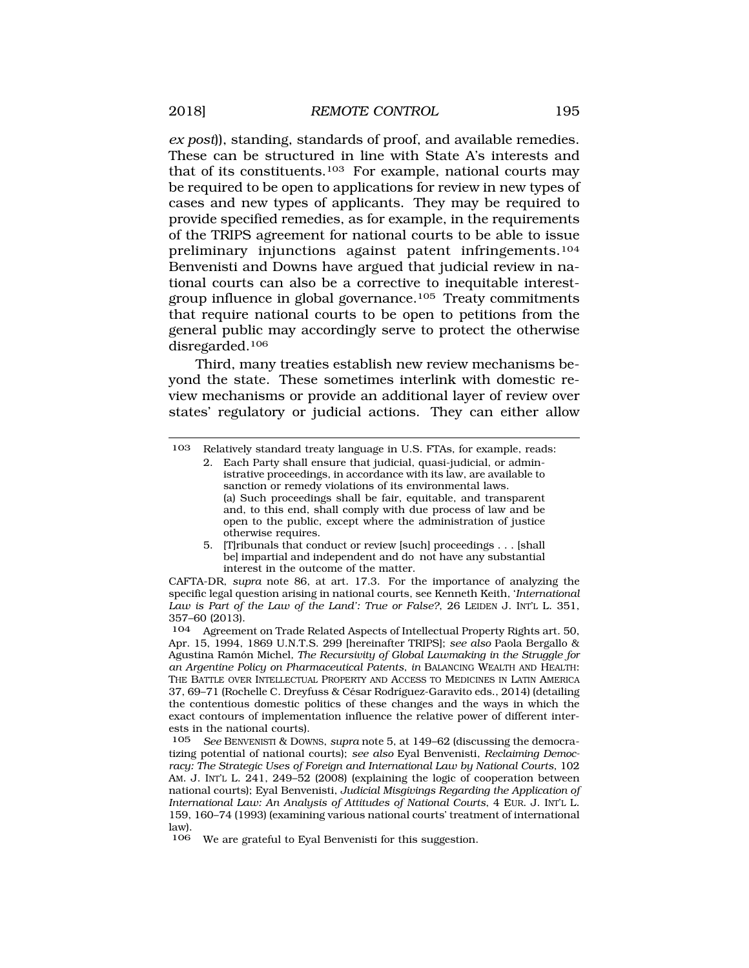*ex post*)), standing, standards of proof, and available remedies. These can be structured in line with State A's interests and that of its constituents.103 For example, national courts may be required to be open to applications for review in new types of cases and new types of applicants. They may be required to provide specified remedies, as for example, in the requirements of the TRIPS agreement for national courts to be able to issue preliminary injunctions against patent infringements.104 Benvenisti and Downs have argued that judicial review in national courts can also be a corrective to inequitable interestgroup influence in global governance.105 Treaty commitments that require national courts to be open to petitions from the general public may accordingly serve to protect the otherwise disregarded.106

Third, many treaties establish new review mechanisms beyond the state. These sometimes interlink with domestic review mechanisms or provide an additional layer of review over states' regulatory or judicial actions. They can either allow

5. [T]ribunals that conduct or review [such] proceedings . . . [shall be] impartial and independent and do not have any substantial interest in the outcome of the matter.

CAFTA-DR, *supra* note 86, at art. 17.3. For the importance of analyzing the specific legal question arising in national courts, see Kenneth Keith, '*International Law is Part of the Law of the Land': True or False?*, 26 LEIDEN J. INT'L L. 351, 357–60 (2013).

106 We are grateful to Eyal Benvenisti for this suggestion.

<sup>103</sup> Relatively standard treaty language in U.S. FTAs, for example, reads:

<sup>2.</sup> Each Party shall ensure that judicial, quasi-judicial, or administrative proceedings, in accordance with its law, are available to sanction or remedy violations of its environmental laws. (a) Such proceedings shall be fair, equitable, and transparent and, to this end, shall comply with due process of law and be open to the public, except where the administration of justice otherwise requires.

<sup>104</sup> Agreement on Trade Related Aspects of Intellectual Property Rights art. 50, Apr. 15, 1994, 1869 U.N.T.S. 299 [hereinafter TRIPS]; *see also* Paola Bergallo & Agustina Ram´on Michel*, The Recursivity of Global Lawmaking in the Struggle for an Argentine Policy on Pharmaceutical Patents*, *in* BALANCING WEALTH AND HEALTH: THE BATTLE OVER INTELLECTUAL PROPERTY AND ACCESS TO MEDICINES IN LATIN AMERICA 37, 69–71 (Rochelle C. Dreyfuss & César Rodríguez-Garavito eds., 2014) (detailing the contentious domestic politics of these changes and the ways in which the exact contours of implementation influence the relative power of different interests in the national courts).

<sup>105</sup> *See* BENVENISTI & DOWNS, *supra* note 5, at 149–62 (discussing the democratizing potential of national courts); *see also* Eyal Benvenisti, *Reclaiming Democracy: The Strategic Uses of Foreign and International Law by National Courts*, 102 AM. J. INT'L L. 241, 249–52 (2008) (explaining the logic of cooperation between national courts); Eyal Benvenisti, *Judicial Misgivings Regarding the Application of International Law: An Analysis of Attitudes of National Courts*, 4 EUR. J. INT'L L. 159, 160–74 (1993) (examining various national courts' treatment of international law).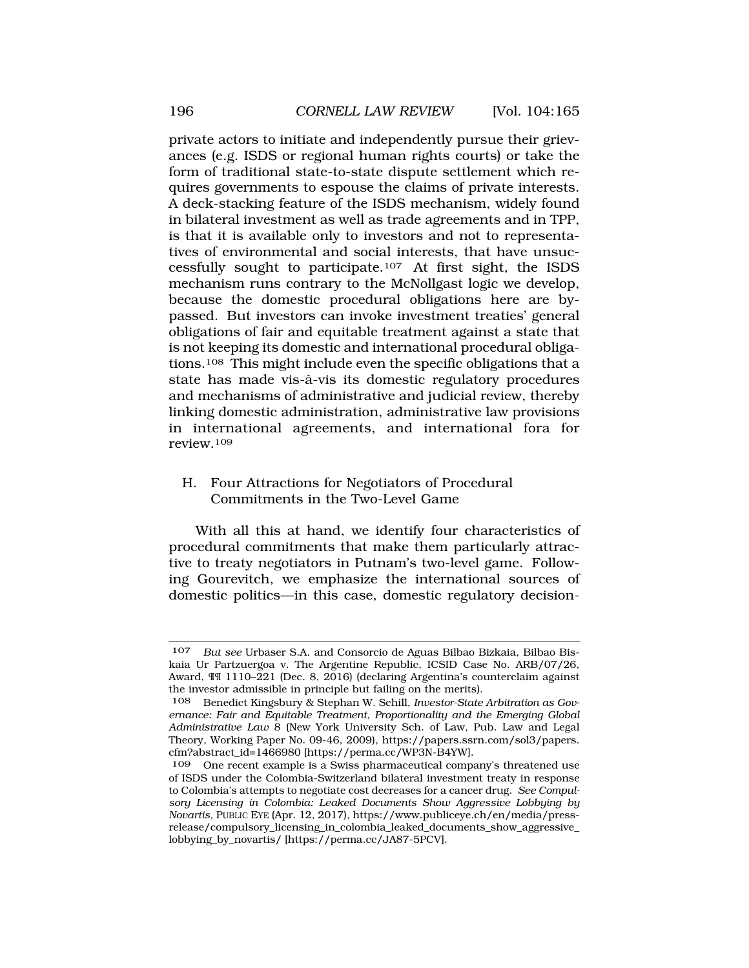<span id="page-31-0"></span>private actors to initiate and independently pursue their grievances (e.g. ISDS or regional human rights courts) or take the form of traditional state-to-state dispute settlement which requires governments to espouse the claims of private interests. A deck-stacking feature of the ISDS mechanism, widely found in bilateral investment as well as trade agreements and in TPP, is that it is available only to investors and not to representatives of environmental and social interests, that have unsuccessfully sought to participate.107 At first sight, the ISDS mechanism runs contrary to the McNollgast logic we develop, because the domestic procedural obligations here are bypassed. But investors can invoke investment treaties' general obligations of fair and equitable treatment against a state that is not keeping its domestic and international procedural obligations.108 This might include even the specific obligations that a state has made vis-à-vis its domestic regulatory procedures and mechanisms of administrative and judicial review, thereby linking domestic administration, administrative law provisions in international agreements, and international fora for review.109

# H. Four Attractions for Negotiators of Procedural Commitments in the Two-Level Game

With all this at hand, we identify four characteristics of procedural commitments that make them particularly attractive to treaty negotiators in Putnam's two-level game. Following Gourevitch, we emphasize the international sources of domestic politics—in this case, domestic regulatory decision-

<sup>107</sup> *But see* Urbaser S.A. and Consorcio de Aguas Bilbao Bizkaia, Bilbao Biskaia Ur Partzuergoa v. The Argentine Republic, ICSID Case No. ARB/07/26, Award, ¶¶ 1110–221 (Dec. 8, 2016) (declaring Argentina's counterclaim against the investor admissible in principle but failing on the merits).

<sup>108</sup> Benedict Kingsbury & Stephan W. Schill, *Investor-State Arbitration as Governance: Fair and Equitable Treatment, Proportionality and the Emerging Global Administrative Law* 8 (New York University Sch. of Law, Pub. Law and Legal Theory, Working Paper No. 09-46, 2009),<https://papers.ssrn.com/sol3/papers>. cfm?abstract\_id=1466980 [\[https://perma.cc/WP3N-B4YW](https://perma.cc/WP3N-B4YW)].

<sup>109</sup> One recent example is a Swiss pharmaceutical company's threatened use of ISDS under the Colombia-Switzerland bilateral investment treaty in response to Colombia's attempts to negotiate cost decreases for a cancer drug. *See Compulsory Licensing in Colombia: Leaked Documents Show Aggressive Lobbying by Novartis*, PUBLIC EYE (Apr. 12, 2017),<https://www.publiceye.ch/en/media/press>release/compulsory\_licensing\_in\_colombia\_leaked\_documents\_show\_aggressive\_ lobbying\_by\_novartis/ [\[https://perma.cc/JA87-5PCV\]](https://perma.cc/JA87-5PCV).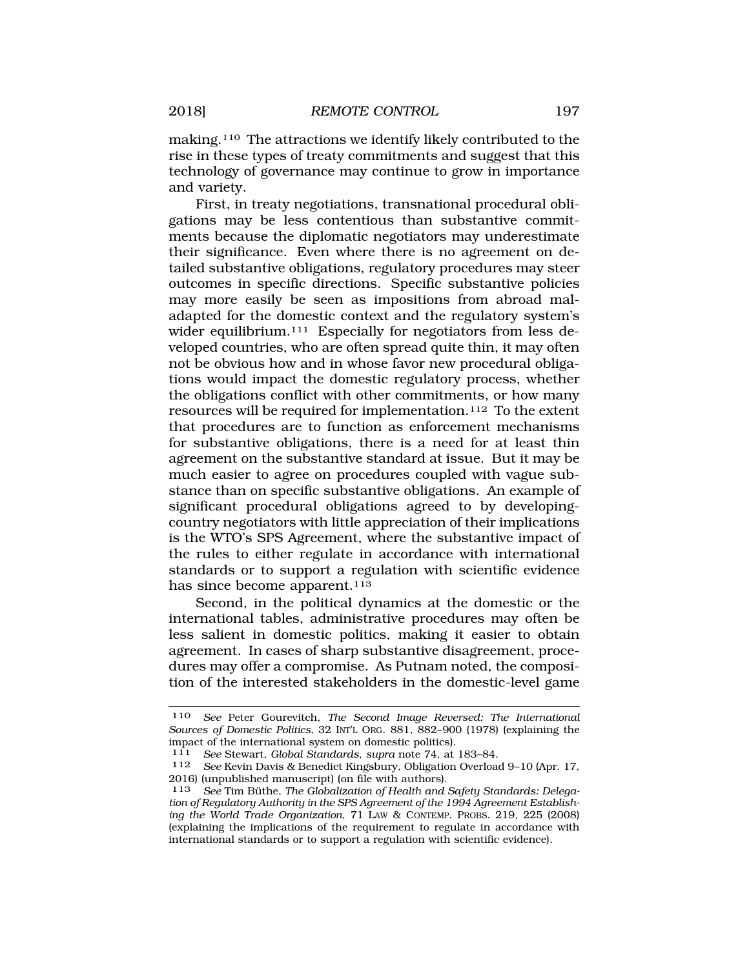making.110 The attractions we identify likely contributed to the rise in these types of treaty commitments and suggest that this technology of governance may continue to grow in importance and variety.

First, in treaty negotiations, transnational procedural obligations may be less contentious than substantive commitments because the diplomatic negotiators may underestimate their significance. Even where there is no agreement on detailed substantive obligations, regulatory procedures may steer outcomes in specific directions. Specific substantive policies may more easily be seen as impositions from abroad maladapted for the domestic context and the regulatory system's wider equilibrium.<sup>111</sup> Especially for negotiators from less developed countries, who are often spread quite thin, it may often not be obvious how and in whose favor new procedural obligations would impact the domestic regulatory process, whether the obligations conflict with other commitments, or how many resources will be required for implementation.112 To the extent that procedures are to function as enforcement mechanisms for substantive obligations, there is a need for at least thin agreement on the substantive standard at issue. But it may be much easier to agree on procedures coupled with vague substance than on specific substantive obligations. An example of significant procedural obligations agreed to by developingcountry negotiators with little appreciation of their implications is the WTO's SPS Agreement, where the substantive impact of the rules to either regulate in accordance with international standards or to support a regulation with scientific evidence has since become apparent.<sup>113</sup>

Second, in the political dynamics at the domestic or the international tables, administrative procedures may often be less salient in domestic politics, making it easier to obtain agreement. In cases of sharp substantive disagreement, procedures may offer a compromise. As Putnam noted, the composition of the interested stakeholders in the domestic-level game

<sup>110</sup> *See* Peter Gourevitch, *The Second Image Reversed: The International Sources of Domestic Politics,* 32 INT'L ORG. 881, 882–900 (1978) (explaining the impact of the international system on domestic politics).<br>111 See Stewart, Global Standards, supra note 74, at

<sup>111</sup> *See* Stewart, *Global Standards*, *supra* note 74, at 183–84.

<sup>112</sup> *See* Kevin Davis & Benedict Kingsbury, Obligation Overload 9–10 (Apr. 17, 2016) (unpublished manuscript) (on file with authors).

<sup>113</sup> See Tim Büthe, The Globalization of Health and Safety Standards: Delega*tion of Regulatory Authority in the SPS Agreement of the 1994 Agreement Establishing the World Trade Organization*, 71 LAW & CONTEMP. PROBS. 219, 225 (2008) (explaining the implications of the requirement to regulate in accordance with international standards or to support a regulation with scientific evidence).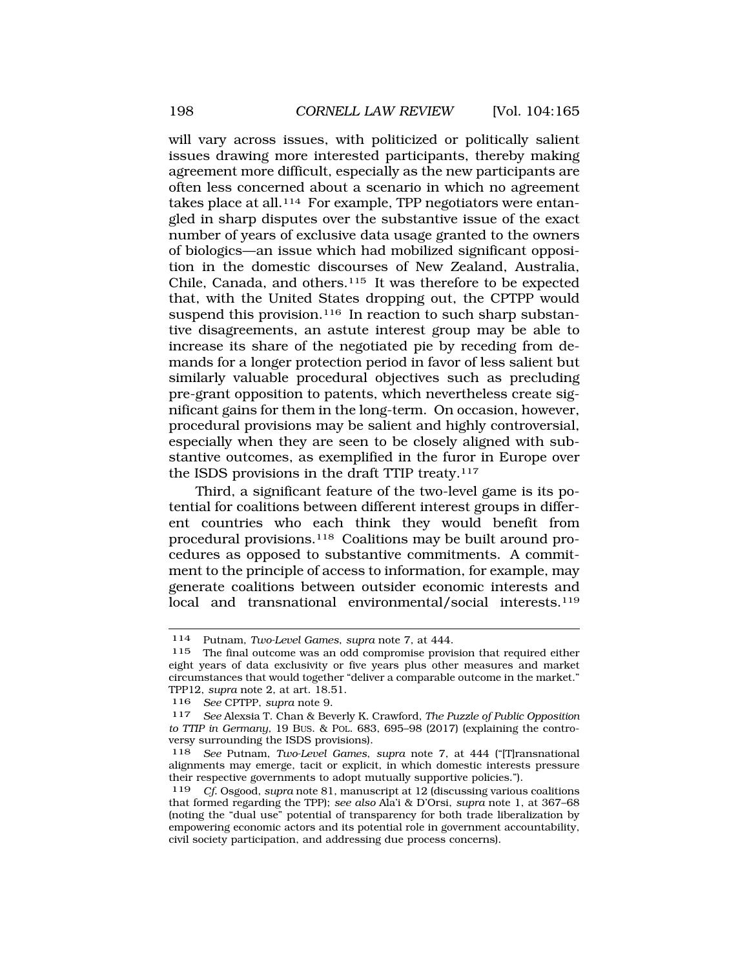will vary across issues, with politicized or politically salient issues drawing more interested participants, thereby making agreement more difficult, especially as the new participants are often less concerned about a scenario in which no agreement takes place at all.<sup>114</sup> For example, TPP negotiators were entangled in sharp disputes over the substantive issue of the exact number of years of exclusive data usage granted to the owners of biologics—an issue which had mobilized significant opposition in the domestic discourses of New Zealand, Australia, Chile, Canada, and others.115 It was therefore to be expected that, with the United States dropping out, the CPTPP would suspend this provision.<sup>116</sup> In reaction to such sharp substantive disagreements, an astute interest group may be able to increase its share of the negotiated pie by receding from demands for a longer protection period in favor of less salient but similarly valuable procedural objectives such as precluding pre-grant opposition to patents, which nevertheless create significant gains for them in the long-term. On occasion, however, procedural provisions may be salient and highly controversial, especially when they are seen to be closely aligned with substantive outcomes, as exemplified in the furor in Europe over the ISDS provisions in the draft TTIP treaty.117

Third, a significant feature of the two-level game is its potential for coalitions between different interest groups in different countries who each think they would benefit from procedural provisions.118 Coalitions may be built around procedures as opposed to substantive commitments. A commitment to the principle of access to information, for example, may generate coalitions between outsider economic interests and local and transnational environmental/social interests.<sup>119</sup>

<sup>114</sup> Putnam, *Two-Level Games*, *supra* note 7, at 444.

<sup>115</sup> The final outcome was an odd compromise provision that required either eight years of data exclusivity or five years plus other measures and market circumstances that would together "deliver a comparable outcome in the market." TPP12, *supra* note 2, at art. 18.51.

<sup>116</sup> *See* CPTPP, *supra* note 9.

<sup>117</sup> *See* Alexsia T. Chan & Beverly K. Crawford, *The Puzzle of Public Opposition to TTIP in Germany,* 19 BUS. & POL. 683, 695–98 (2017) (explaining the controversy surrounding the ISDS provisions).

<sup>118</sup> *See* Putnam, *Two-Level Games*, *supra* note 7, at 444 ("[T]ransnational alignments may emerge, tacit or explicit, in which domestic interests pressure their respective governments to adopt mutually supportive policies.").

<sup>119</sup> *Cf.* Osgood, *supra* note 81, manuscript at 12 (discussing various coalitions that formed regarding the TPP); *see also* Ala'i & D'Orsi, *supra* note 1, at 367–68 (noting the "dual use" potential of transparency for both trade liberalization by empowering economic actors and its potential role in government accountability, civil society participation, and addressing due process concerns).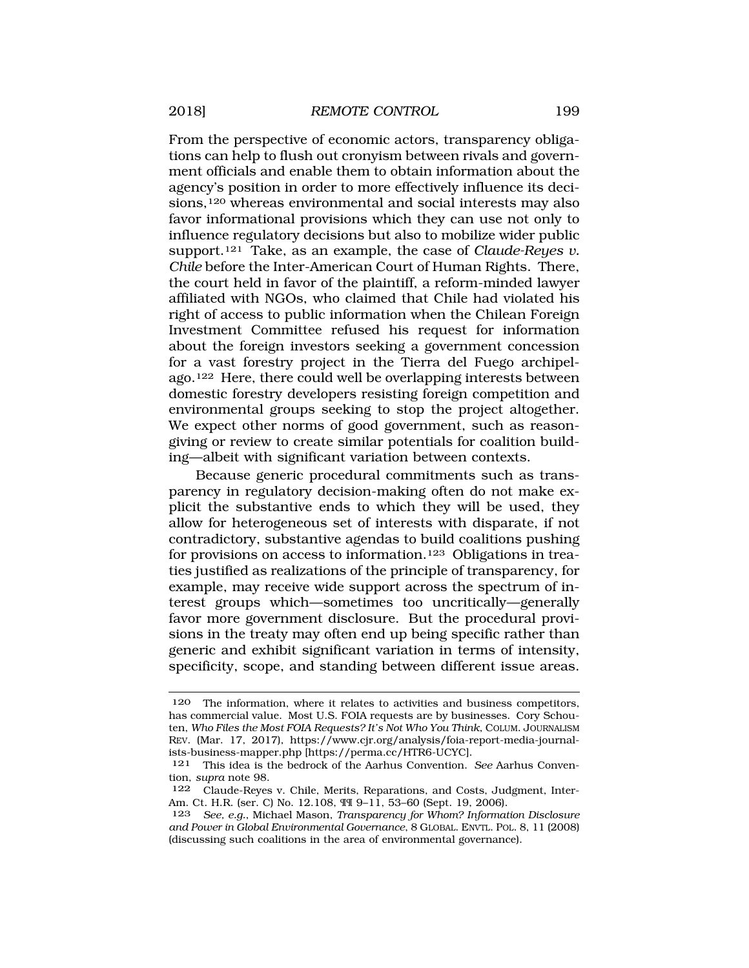From the perspective of economic actors, transparency obligations can help to flush out cronyism between rivals and government officials and enable them to obtain information about the agency's position in order to more effectively influence its decisions,<sup>120</sup> whereas environmental and social interests may also favor informational provisions which they can use not only to influence regulatory decisions but also to mobilize wider public support.121 Take, as an example, the case of *Claude-Reyes v. Chile* before the Inter-American Court of Human Rights. There, the court held in favor of the plaintiff, a reform-minded lawyer affiliated with NGOs, who claimed that Chile had violated his right of access to public information when the Chilean Foreign Investment Committee refused his request for information about the foreign investors seeking a government concession for a vast forestry project in the Tierra del Fuego archipelago.122 Here, there could well be overlapping interests between domestic forestry developers resisting foreign competition and environmental groups seeking to stop the project altogether. We expect other norms of good government, such as reasongiving or review to create similar potentials for coalition building—albeit with significant variation between contexts.

Because generic procedural commitments such as transparency in regulatory decision-making often do not make explicit the substantive ends to which they will be used, they allow for heterogeneous set of interests with disparate, if not contradictory, substantive agendas to build coalitions pushing for provisions on access to information.123 Obligations in treaties justified as realizations of the principle of transparency, for example, may receive wide support across the spectrum of interest groups which—sometimes too uncritically—generally favor more government disclosure. But the procedural provisions in the treaty may often end up being specific rather than generic and exhibit significant variation in terms of intensity, specificity, scope, and standing between different issue areas.

<sup>120</sup> The information, where it relates to activities and business competitors, has commercial value. Most U.S. FOIA requests are by businesses. Cory Schouten, *Who Files the Most FOIA Requests? It's Not Who You Think*, COLUM. JOURNALISM REV. (Mar. 17, 2017), <https://www.cjr.org/analysis/foia-report-media-journal>ists-business-mapper.php [<https://perma.cc/HTR6-UCYC>].

<sup>121</sup> This idea is the bedrock of the Aarhus Convention. *See* Aarhus Convention, *supra* note 98.

<sup>122</sup> Claude-Reyes v. Chile, Merits, Reparations, and Costs, Judgment, Inter-Am. Ct. H.R. (ser. C) No. 12.108, ¶¶ 9–11, 53–60 (Sept. 19, 2006).

<sup>123</sup> *See, e.g.*, Michael Mason, *Transparency for Whom? Information Disclosure and Power in Global Environmental Governance*, 8 GLOBAL. ENVTL. POL. 8, 11 (2008) (discussing such coalitions in the area of environmental governance).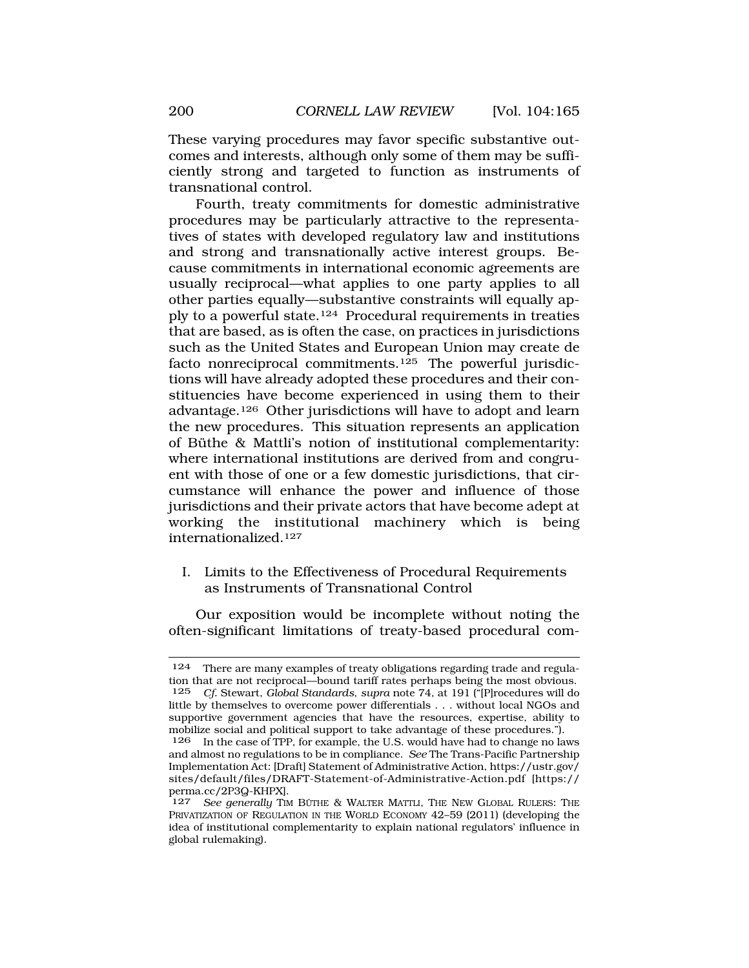<span id="page-35-0"></span>These varying procedures may favor specific substantive outcomes and interests, although only some of them may be sufficiently strong and targeted to function as instruments of transnational control.

Fourth, treaty commitments for domestic administrative procedures may be particularly attractive to the representatives of states with developed regulatory law and institutions and strong and transnationally active interest groups. Because commitments in international economic agreements are usually reciprocal—what applies to one party applies to all other parties equally—substantive constraints will equally apply to a powerful state.124 Procedural requirements in treaties that are based, as is often the case, on practices in jurisdictions such as the United States and European Union may create de facto nonreciprocal commitments.<sup>125</sup> The powerful jurisdictions will have already adopted these procedures and their constituencies have become experienced in using them to their advantage.126 Other jurisdictions will have to adopt and learn the new procedures. This situation represents an application of Büthe & Mattli's notion of institutional complementarity: where international institutions are derived from and congruent with those of one or a few domestic jurisdictions, that circumstance will enhance the power and influence of those jurisdictions and their private actors that have become adept at working the institutional machinery which is being internationalized.127

I. Limits to the Effectiveness of Procedural Requirements as Instruments of Transnational Control

Our exposition would be incomplete without noting the often-significant limitations of treaty-based procedural com-

<sup>124</sup> There are many examples of treaty obligations regarding trade and regulation that are not reciprocal—bound tariff rates perhaps being the most obvious.<br>125 Cf Stewart, Global Standards, supra pote 74, at 191 ("Procedures will do 125 *Cf.* Stewart, *Global Standards*, *supra* note 74, at 191 ("[P]rocedures will do little by themselves to overcome power differentials . . . without local NGOs and supportive government agencies that have the resources, expertise, ability to mobilize social and political support to take advantage of these procedures.").

<sup>126</sup> In the case of TPP, for example, the U.S. would have had to change no laws and almost no regulations to be in compliance. *See* The Trans-Pacific Partnership Implementation Act: [Draft] Statement of Administrative Action, [https://ustr.gov/](http:https://ustr.gov) sites/default/files/DRAFT-Statement-of-Administrative-Action.pdf [https:// perma.cc/2P3Q-KHPX].

<sup>127</sup> See generally TIM BÜTHE & WALTER MATTLI, THE NEW GLOBAL RULERS: THE PRIVATIZATION OF REGULATION IN THE WORLD ECONOMY 42–59 (2011) (developing the idea of institutional complementarity to explain national regulators' influence in global rulemaking).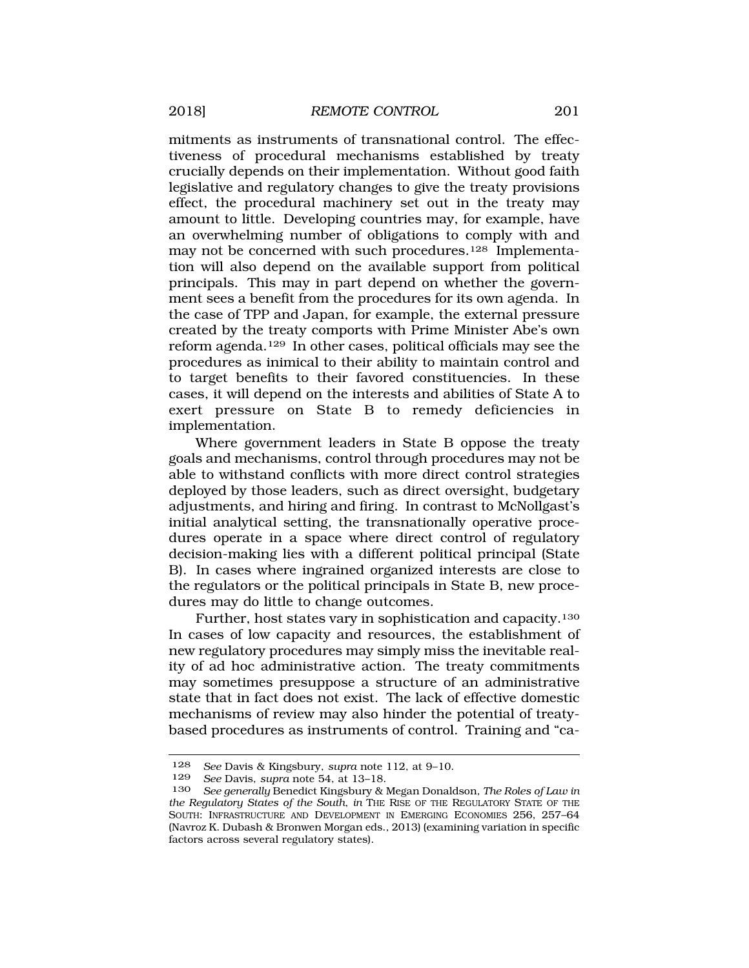mitments as instruments of transnational control. The effectiveness of procedural mechanisms established by treaty crucially depends on their implementation. Without good faith legislative and regulatory changes to give the treaty provisions effect, the procedural machinery set out in the treaty may amount to little. Developing countries may, for example, have an overwhelming number of obligations to comply with and may not be concerned with such procedures.128 Implementation will also depend on the available support from political principals. This may in part depend on whether the government sees a benefit from the procedures for its own agenda. In the case of TPP and Japan, for example, the external pressure created by the treaty comports with Prime Minister Abe's own reform agenda.129 In other cases, political officials may see the procedures as inimical to their ability to maintain control and to target benefits to their favored constituencies. In these cases, it will depend on the interests and abilities of State A to exert pressure on State B to remedy deficiencies in implementation.

Where government leaders in State B oppose the treaty goals and mechanisms, control through procedures may not be able to withstand conflicts with more direct control strategies deployed by those leaders, such as direct oversight, budgetary adjustments, and hiring and firing. In contrast to McNollgast's initial analytical setting, the transnationally operative procedures operate in a space where direct control of regulatory decision-making lies with a different political principal (State B). In cases where ingrained organized interests are close to the regulators or the political principals in State B, new procedures may do little to change outcomes.

Further, host states vary in sophistication and capacity.130 In cases of low capacity and resources, the establishment of new regulatory procedures may simply miss the inevitable reality of ad hoc administrative action. The treaty commitments may sometimes presuppose a structure of an administrative state that in fact does not exist. The lack of effective domestic mechanisms of review may also hinder the potential of treatybased procedures as instruments of control. Training and "ca-

<sup>128</sup> *See* Davis & Kingsbury, *supra* note 112, at 9–10.

See Davis, *supra* note 54, at 13-18.

<sup>130</sup> *See generally* Benedict Kingsbury & Megan Donaldson, *The Roles of Law in the Regulatory States of the South*, *in* THE RISE OF THE REGULATORY STATE OF THE SOUTH: INFRASTRUCTURE AND DEVELOPMENT IN EMERGING ECONOMIES 256, 257–64 (Navroz K. Dubash & Bronwen Morgan eds., 2013) (examining variation in specific factors across several regulatory states).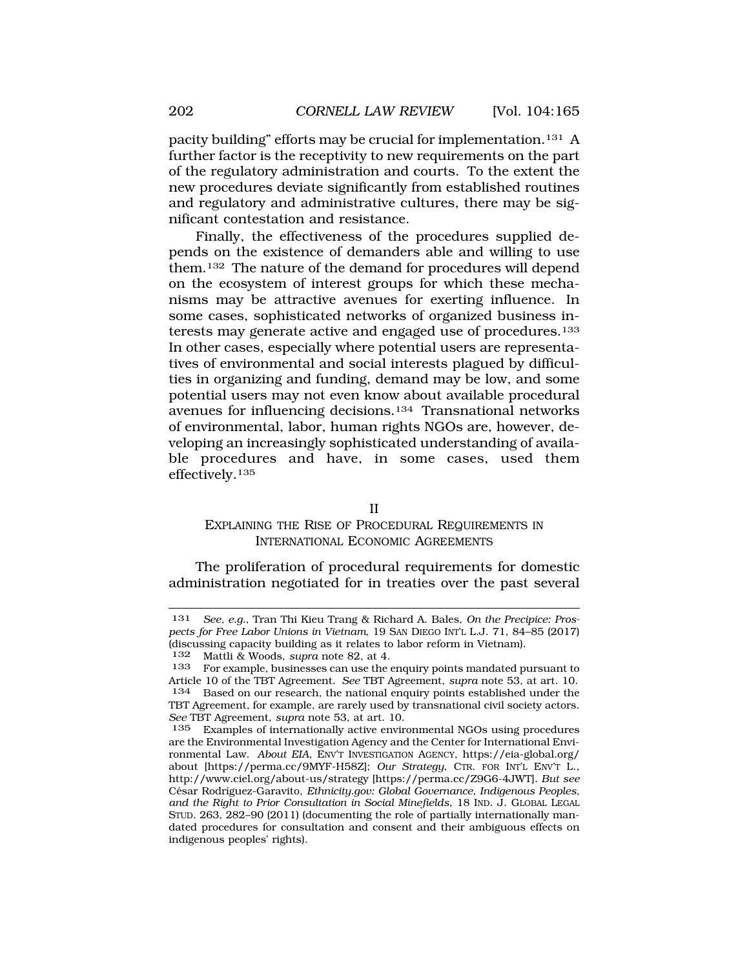<span id="page-37-0"></span>pacity building" efforts may be crucial for implementation.131 A further factor is the receptivity to new requirements on the part of the regulatory administration and courts. To the extent the new procedures deviate significantly from established routines and regulatory and administrative cultures, there may be significant contestation and resistance.

Finally, the effectiveness of the procedures supplied depends on the existence of demanders able and willing to use them.132 The nature of the demand for procedures will depend on the ecosystem of interest groups for which these mechanisms may be attractive avenues for exerting influence. In some cases, sophisticated networks of organized business interests may generate active and engaged use of procedures.133 In other cases, especially where potential users are representatives of environmental and social interests plagued by difficulties in organizing and funding, demand may be low, and some potential users may not even know about available procedural avenues for influencing decisions.134 Transnational networks of environmental, labor, human rights NGOs are, however, developing an increasingly sophisticated understanding of available procedures and have, in some cases, used them effectively.135

II

#### EXPLAINING THE RISE OF PROCEDURAL REQUIREMENTS IN INTERNATIONAL ECONOMIC AGREEMENTS

The proliferation of procedural requirements for domestic administration negotiated for in treaties over the past several

<sup>131</sup> *See, e.g.*, Tran Thi Kieu Trang & Richard A. Bales, *On the Precipice: Prospects for Free Labor Unions in Vietnam*, 19 SAN DIEGO INT'L L.J. 71, 84–85 (2017) (discussing capacity building as it relates to labor reform in Vietnam).<br>132 Mattli & Woods sunra note 82 at 4

Mattli & Woods, *supra* note 82, at 4.

<sup>133</sup> For example, businesses can use the enquiry points mandated pursuant to Article 10 of the TBT Agreement. *See* TBT Agreement, *supra* note 53, at art. 10. 134 Based on our research, the national enquiry points established under the TBT Agreement, for example, are rarely used by transnational civil society actors. *See* TBT Agreement, *supra* note 53, at art. 10.

<sup>135</sup> Examples of internationally active environmental NGOs using procedures are the Environmental Investigation Agency and the Center for International Environmental Law. *About EIA*, ENV'T INVESTIGATION AGENCY, [https://eia-global.org/](http:https://eia-global.org) about [[https://perma.cc/9MYF-H58Z\]](https://perma.cc/9MYF-H58Z); *Our Strategy*, CTR. FOR INT'L ENV'T L., <http://www.ciel.org/about-us/strategy>[[https://perma.cc/Z9G6-4JWT\]](https://perma.cc/Z9G6-4JWT). *But see*  César Rodríguez-Garavito, *[Ethnicity.gov](http:Ethnicity.gov): Global Governance, Indigenous Peoples, and the Right to Prior Consultation in Social Minefields*, 18 IND. J. GLOBAL LEGAL STUD. 263, 282–90 (2011) (documenting the role of partially internationally mandated procedures for consultation and consent and their ambiguous effects on indigenous peoples' rights).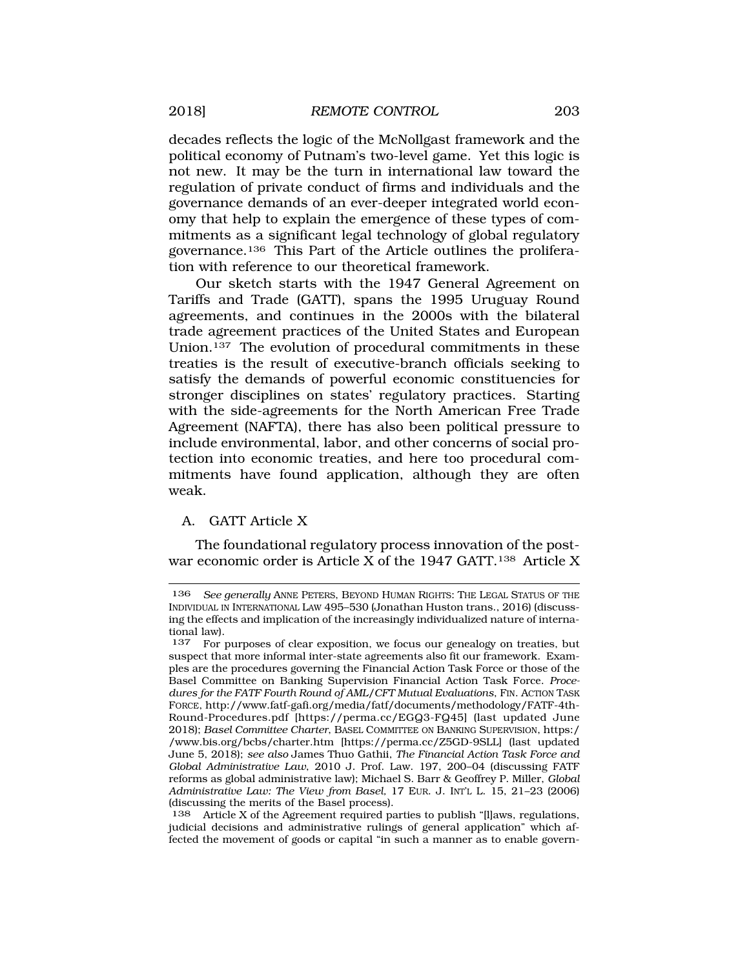<span id="page-38-0"></span>decades reflects the logic of the McNollgast framework and the political economy of Putnam's two-level game. Yet this logic is not new. It may be the turn in international law toward the regulation of private conduct of firms and individuals and the governance demands of an ever-deeper integrated world economy that help to explain the emergence of these types of commitments as a significant legal technology of global regulatory governance.136 This Part of the Article outlines the proliferation with reference to our theoretical framework.

Our sketch starts with the 1947 General Agreement on Tariffs and Trade (GATT), spans the 1995 Uruguay Round agreements, and continues in the 2000s with the bilateral trade agreement practices of the United States and European Union.137 The evolution of procedural commitments in these treaties is the result of executive-branch officials seeking to satisfy the demands of powerful economic constituencies for stronger disciplines on states' regulatory practices. Starting with the side-agreements for the North American Free Trade Agreement (NAFTA), there has also been political pressure to include environmental, labor, and other concerns of social protection into economic treaties, and here too procedural commitments have found application, although they are often weak.

# A. GATT Article X

The foundational regulatory process innovation of the postwar economic order is Article X of the 1947 GATT.<sup>138</sup> Article X

138 Article X of the Agreement required parties to publish "[l]aws, regulations, judicial decisions and administrative rulings of general application" which affected the movement of goods or capital "in such a manner as to enable govern-

<sup>136</sup> *See generally* ANNE PETERS, BEYOND HUMAN RIGHTS: THE LEGAL STATUS OF THE INDIVIDUAL IN INTERNATIONAL LAW 495–530 (Jonathan Huston trans., 2016) (discussing the effects and implication of the increasingly individualized nature of international law).

<sup>137</sup> For purposes of clear exposition, we focus our genealogy on treaties, but suspect that more informal inter-state agreements also fit our framework. Examples are the procedures governing the Financial Action Task Force or those of the Basel Committee on Banking Supervision Financial Action Task Force. *Procedures for the FATF Fourth Round of AML/CFT Mutual Evaluations*, FIN. ACTION TASK FORCE, [http://www.fatf-gafi.org/media/fatf/documents/methodology/FATF-4th-](http://www.fatf-gafi.org/media/fatf/documents/methodology/FATF-4th)Round-Procedures.pdf [<https://perma.cc/EGQ3-FQ45>] (last updated June 2018); *Basel Committee Charter*, BASEL COMMITTEE ON BANKING SUPERVISION, https:/ [/www.bis.org/bcbs/charter.htm](www.bis.org/bcbs/charter.htm) [\[https://perma.cc/Z5GD-9SLL\]](https://perma.cc/Z5GD-9SLL) (last updated June 5, 2018); *see also* James Thuo Gathii, *The Financial Action Task Force and Global Administrative Law*, 2010 J. Prof. Law. 197, 200–04 (discussing FATF reforms as global administrative law); Michael S. Barr & Geoffrey P. Miller, *Global Administrative Law: The View from Basel,* 17 EUR. J. INT'L L. 15, 21–23 (2006) (discussing the merits of the Basel process).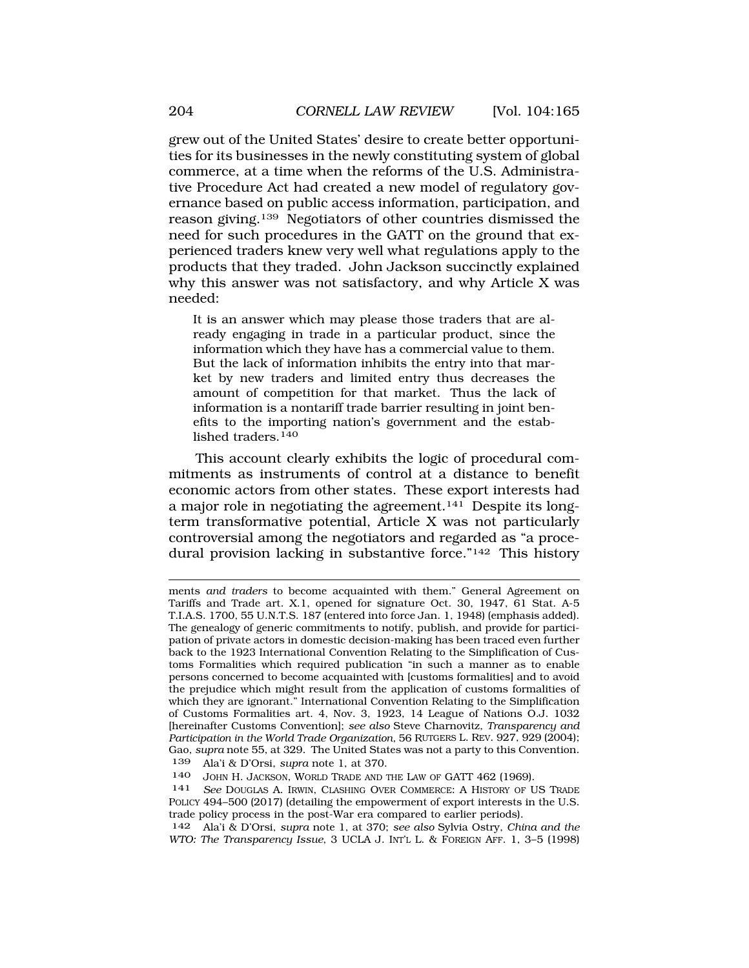grew out of the United States' desire to create better opportunities for its businesses in the newly constituting system of global commerce, at a time when the reforms of the U.S. Administrative Procedure Act had created a new model of regulatory governance based on public access information, participation, and reason giving.139 Negotiators of other countries dismissed the need for such procedures in the GATT on the ground that experienced traders knew very well what regulations apply to the products that they traded. John Jackson succinctly explained why this answer was not satisfactory, and why Article X was needed:

It is an answer which may please those traders that are already engaging in trade in a particular product, since the information which they have has a commercial value to them. But the lack of information inhibits the entry into that market by new traders and limited entry thus decreases the amount of competition for that market. Thus the lack of information is a nontariff trade barrier resulting in joint benefits to the importing nation's government and the established traders.<sup>140</sup>

This account clearly exhibits the logic of procedural commitments as instruments of control at a distance to benefit economic actors from other states. These export interests had a major role in negotiating the agreement.<sup>141</sup> Despite its longterm transformative potential, Article X was not particularly controversial among the negotiators and regarded as "a procedural provision lacking in substantive force."142 This history

ments *and traders* to become acquainted with them." General Agreement on Tariffs and Trade art. X.1, opened for signature Oct. 30, 1947, 61 Stat. A-5 T.I.A.S. 1700, 55 U.N.T.S. 187 (entered into force Jan. 1, 1948) (emphasis added). The genealogy of generic commitments to notify, publish, and provide for participation of private actors in domestic decision-making has been traced even further back to the 1923 International Convention Relating to the Simplification of Customs Formalities which required publication "in such a manner as to enable persons concerned to become acquainted with [customs formalities] and to avoid the prejudice which might result from the application of customs formalities of which they are ignorant." International Convention Relating to the Simplification of Customs Formalities art. 4, Nov. 3, 1923, 14 League of Nations O.J. 1032 [hereinafter Customs Convention]; *see also* Steve Charnovitz, *Transparency and Participation in the World Trade Organization,* 56 RUTGERS L. REV. 927, 929 (2004); Gao, *supra* note 55, at 329. The United States was not a party to this Convention. 139 Ala'i & D'Orsi, *supra* note 1, at 370.

140 JOHN H. JACKSON, WORLD TRADE AND THE LAW OF GATT 462 (1969).

141 *See* DOUGLAS A. IRWIN, CLASHING OVER COMMERCE: A HISTORY OF US TRADE POLICY 494–500 (2017) (detailing the empowerment of export interests in the U.S. trade policy process in the post-War era compared to earlier periods).

142 Ala'i & D'Orsi, *supra* note 1, at 370; *see also* Sylvia Ostry, *China and the WTO: The Transparency Issue*, 3 UCLA J. INT'L L. & FOREIGN AFF. 1, 3–5 (1998)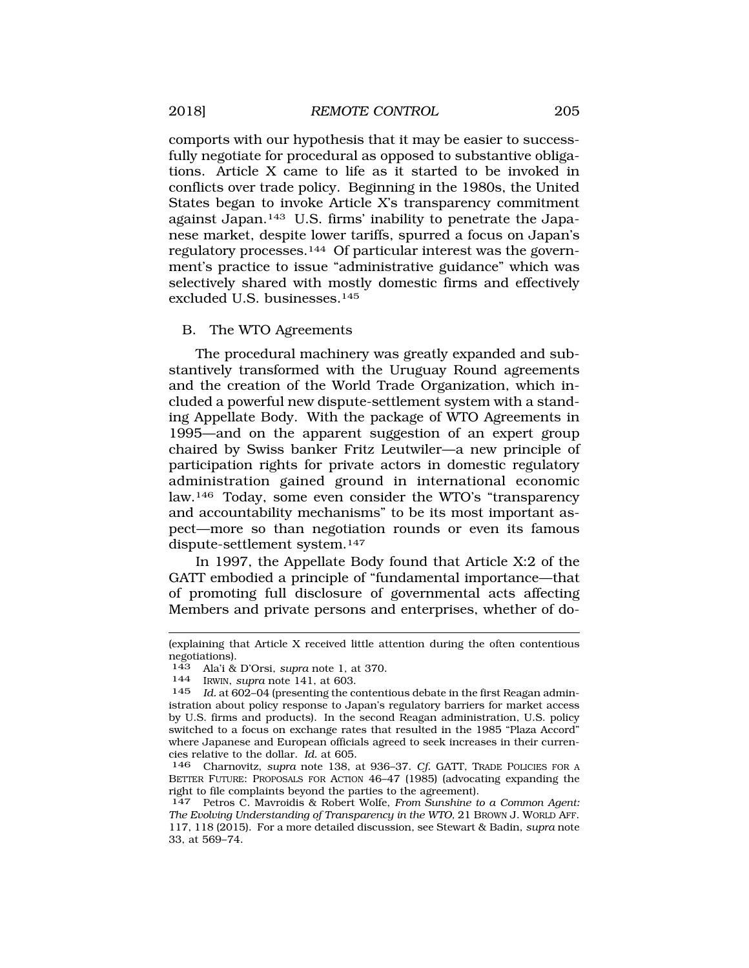<span id="page-40-0"></span>comports with our hypothesis that it may be easier to successfully negotiate for procedural as opposed to substantive obligations. Article X came to life as it started to be invoked in conflicts over trade policy. Beginning in the 1980s, the United States began to invoke Article X's transparency commitment against Japan.143 U.S. firms' inability to penetrate the Japanese market, despite lower tariffs, spurred a focus on Japan's regulatory processes.144 Of particular interest was the government's practice to issue "administrative guidance" which was selectively shared with mostly domestic firms and effectively excluded U.S. businesses.145

### B. The WTO Agreements

The procedural machinery was greatly expanded and substantively transformed with the Uruguay Round agreements and the creation of the World Trade Organization, which included a powerful new dispute-settlement system with a standing Appellate Body. With the package of WTO Agreements in 1995—and on the apparent suggestion of an expert group chaired by Swiss banker Fritz Leutwiler—a new principle of participation rights for private actors in domestic regulatory administration gained ground in international economic law.146 Today, some even consider the WTO's "transparency and accountability mechanisms" to be its most important aspect—more so than negotiation rounds or even its famous dispute-settlement system.147

In 1997, the Appellate Body found that Article X:2 of the GATT embodied a principle of "fundamental importance—that of promoting full disclosure of governmental acts affecting Members and private persons and enterprises, whether of do-

<sup>(</sup>explaining that Article X received little attention during the often contentious negotiations).

<sup>143</sup> Ala'i & D'Orsi, *supra* note 1, at 370. 144 IRWIN, *supra* note 141, at 603.

Id. at 602–04 (presenting the contentious debate in the first Reagan administration about policy response to Japan's regulatory barriers for market access by U.S. firms and products). In the second Reagan administration, U.S. policy switched to a focus on exchange rates that resulted in the 1985 "Plaza Accord" where Japanese and European officials agreed to seek increases in their currencies relative to the dollar. *Id.* at 605.

<sup>146</sup> Charnovitz, *supra* note 138, at 936–37. *Cf.* GATT, TRADE POLICIES FOR A BETTER FUTURE: PROPOSALS FOR ACTION 46–47 (1985) (advocating expanding the right to file complaints beyond the parties to the agreement).

<sup>147</sup> Petros C. Mavroidis & Robert Wolfe, *From Sunshine to a Common Agent: The Evolving Understanding of Transparency in the WTO,* 21 BROWN J. WORLD AFF. 117, 118 (2015). For a more detailed discussion, see Stewart & Badin, *supra* note 33, at 569–74.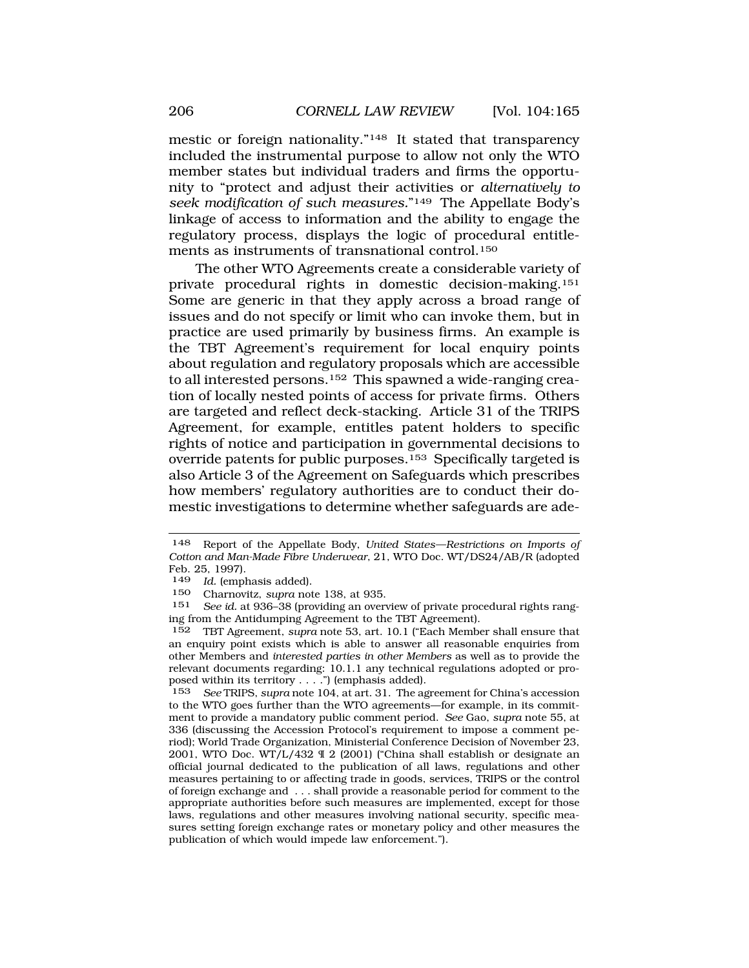mestic or foreign nationality."148 It stated that transparency included the instrumental purpose to allow not only the WTO member states but individual traders and firms the opportunity to "protect and adjust their activities or *alternatively to seek modification of such measures.*"149 The Appellate Body's linkage of access to information and the ability to engage the regulatory process, displays the logic of procedural entitlements as instruments of transnational control.150

The other WTO Agreements create a considerable variety of private procedural rights in domestic decision-making.151 Some are generic in that they apply across a broad range of issues and do not specify or limit who can invoke them, but in practice are used primarily by business firms. An example is the TBT Agreement's requirement for local enquiry points about regulation and regulatory proposals which are accessible to all interested persons.152 This spawned a wide-ranging creation of locally nested points of access for private firms. Others are targeted and reflect deck-stacking. Article 31 of the TRIPS Agreement, for example, entitles patent holders to specific rights of notice and participation in governmental decisions to override patents for public purposes.153 Specifically targeted is also Article 3 of the Agreement on Safeguards which prescribes how members' regulatory authorities are to conduct their domestic investigations to determine whether safeguards are ade-

<sup>148</sup> Report of the Appellate Body, *United States—Restrictions on Imports of Cotton and Man-Made Fibre Underwear*, 21, WTO Doc. WT/DS24/AB/R (adopted Feb. 25, 1997).

<sup>149</sup> *Id.* (emphasis added).

<sup>150</sup> Charnovitz, *supra* note 138, at 935.

See id. at 936-38 (providing an overview of private procedural rights ranging from the Antidumping Agreement to the TBT Agreement).

<sup>152</sup> TBT Agreement, *supra* note 53, art. 10.1 ("Each Member shall ensure that an enquiry point exists which is able to answer all reasonable enquiries from other Members and *interested parties in other Members* as well as to provide the relevant documents regarding: 10.1.1 any technical regulations adopted or proposed within its territory . . . .") (emphasis added).

<sup>153</sup> *See* TRIPS, *supra* note 104, at art. 31. The agreement for China's accession to the WTO goes further than the WTO agreements—for example, in its commitment to provide a mandatory public comment period. *See* Gao, *supra* note 55, at 336 (discussing the Accession Protocol's requirement to impose a comment period); World Trade Organization, Ministerial Conference Decision of November 23, 2001, WTO Doc. WT/L/432 ¶ 2 (2001) ("China shall establish or designate an official journal dedicated to the publication of all laws, regulations and other measures pertaining to or affecting trade in goods, services, TRIPS or the control of foreign exchange and . . . shall provide a reasonable period for comment to the appropriate authorities before such measures are implemented, except for those laws, regulations and other measures involving national security, specific measures setting foreign exchange rates or monetary policy and other measures the publication of which would impede law enforcement.").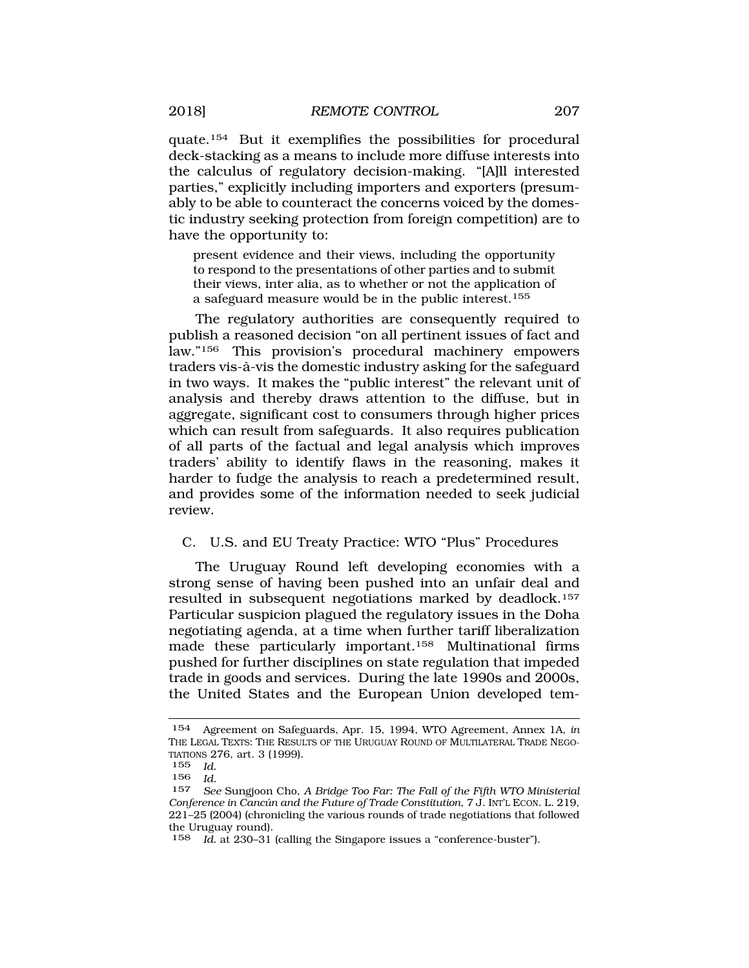<span id="page-42-0"></span>quate.154 But it exemplifies the possibilities for procedural deck-stacking as a means to include more diffuse interests into the calculus of regulatory decision-making. "[A]ll interested parties," explicitly including importers and exporters (presumably to be able to counteract the concerns voiced by the domestic industry seeking protection from foreign competition) are to have the opportunity to:

present evidence and their views, including the opportunity to respond to the presentations of other parties and to submit their views, inter alia, as to whether or not the application of a safeguard measure would be in the public interest.155

The regulatory authorities are consequently required to publish a reasoned decision "on all pertinent issues of fact and law."156 This provision's procedural machinery empowers traders vis-à-vis the domestic industry asking for the safeguard in two ways. It makes the "public interest" the relevant unit of analysis and thereby draws attention to the diffuse, but in aggregate, significant cost to consumers through higher prices which can result from safeguards. It also requires publication of all parts of the factual and legal analysis which improves traders' ability to identify flaws in the reasoning, makes it harder to fudge the analysis to reach a predetermined result, and provides some of the information needed to seek judicial review.

# C. U.S. and EU Treaty Practice: WTO "Plus" Procedures

The Uruguay Round left developing economies with a strong sense of having been pushed into an unfair deal and resulted in subsequent negotiations marked by deadlock.<sup>157</sup> Particular suspicion plagued the regulatory issues in the Doha negotiating agenda, at a time when further tariff liberalization made these particularly important.158 Multinational firms pushed for further disciplines on state regulation that impeded trade in goods and services. During the late 1990s and 2000s, the United States and the European Union developed tem-

158 *Id.* at 230–31 (calling the Singapore issues a "conference-buster").

<sup>154</sup> Agreement on Safeguards, Apr. 15, 1994, WTO Agreement, Annex 1A, *in*  THE LEGAL TEXTS: THE RESULTS OF THE URUGUAY ROUND OF MULTILATERAL TRADE NEGO-TIATIONS 276, art. 3 (1999).

<sup>155</sup> *Id.* 

<sup>156</sup> *Id.* 

<sup>157</sup> *See* Sungjoon Cho, *A Bridge Too Far: The Fall of the Fifth WTO Ministerial Conference in Cancún and the Future of Trade Constitution, 7 J. INT'L ECON. L. 219,* 221–25 (2004) (chronicling the various rounds of trade negotiations that followed the Uruguay round).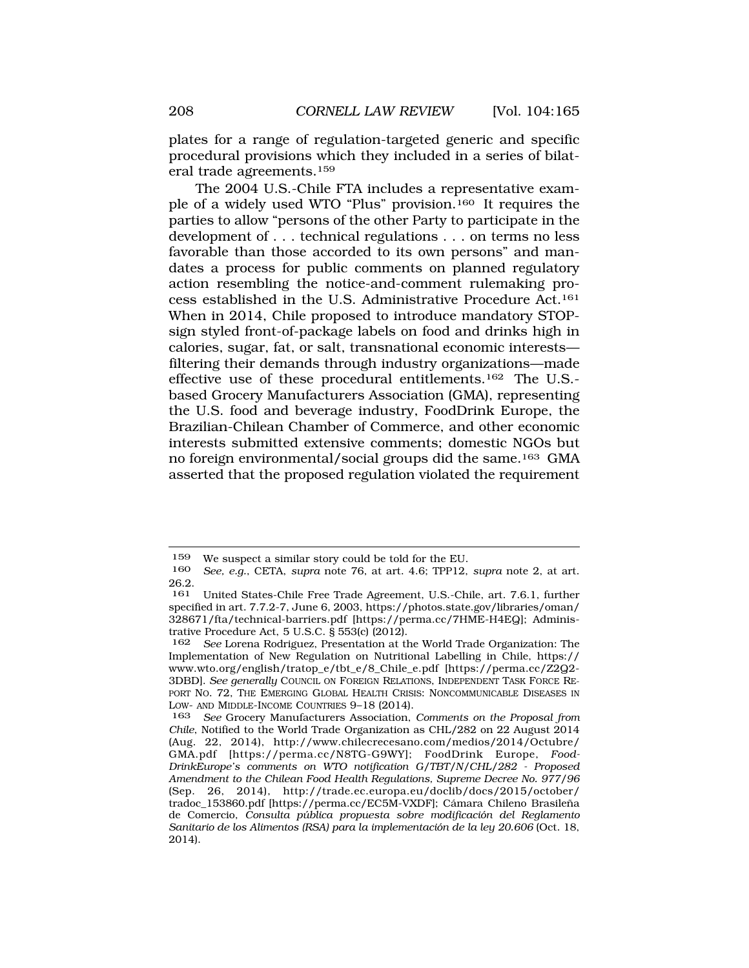plates for a range of regulation-targeted generic and specific procedural provisions which they included in a series of bilateral trade agreements.159

The 2004 U.S.-Chile FTA includes a representative example of a widely used WTO "Plus" provision.160 It requires the parties to allow "persons of the other Party to participate in the development of . . . technical regulations . . . on terms no less favorable than those accorded to its own persons" and mandates a process for public comments on planned regulatory action resembling the notice-and-comment rulemaking process established in the U.S. Administrative Procedure Act.161 When in 2014, Chile proposed to introduce mandatory STOPsign styled front-of-package labels on food and drinks high in calories, sugar, fat, or salt, transnational economic interests filtering their demands through industry organizations—made effective use of these procedural entitlements.162 The U.S. based Grocery Manufacturers Association (GMA), representing the U.S. food and beverage industry, FoodDrink Europe, the Brazilian-Chilean Chamber of Commerce, and other economic interests submitted extensive comments; domestic NGOs but no foreign environmental/social groups did the same.163 GMA asserted that the proposed regulation violated the requirement

<sup>&</sup>lt;sup>159</sup> We suspect a similar story could be told for the EU.<br>160 See e.g. CETA supra note 76 at art 4.6; TPP12.

<sup>160</sup> *See, e.g.*, CETA, *supra* note 76, at art. 4.6; TPP12, *supra* note 2, at art. 26.2.

<sup>161</sup> United States-Chile Free Trade Agreement, U.S.-Chile, art. 7.6.1, further specified in art. 7.7.2-7, June 6, 2003, [https://photos.state.gov/libraries/oman/](https://photos.state.gov/libraries/oman) 328671/fta/technical-barriers.pdf [[https://perma.cc/7HME-H4EQ\]](https://perma.cc/7HME-H4EQ); Administrative Procedure Act, 5 U.S.C. § 553(c) (2012).<br>162 See Lorena Rodriguez. Presentation at the

<sup>162</sup> *See* Lorena Rodriguez, Presentation at the World Trade Organization: The Implementation of New Regulation on Nutritional Labelling in Chile, https:// [www.wto.org/english/tratop\\_e/tbt\\_e/8\\_Chile\\_e.pdf](www.wto.org/english/tratop_e/tbt_e/8_Chile_e.pdf) [<https://perma.cc/Z2Q2>- 3DBD]. *See generally* COUNCIL ON FOREIGN RELATIONS, INDEPENDENT TASK FORCE RE-PORT NO. 72, THE EMERGING GLOBAL HEALTH CRISIS: NONCOMMUNICABLE DISEASES IN LOW- AND MIDDLE-INCOME COUNTRIES 9–18 (2014).

<sup>163</sup> *See* Grocery Manufacturers Association, *Comments on the Proposal from Chile*, Notified to the World Trade Organization as CHL/282 on 22 August 2014 (Aug. 22, 2014), [http://www.chilecrecesano.com/medios/2014/Octubre/](http://www.chilecrecesano.com/medios/2014/Octubre) GMA.pdf [<https://perma.cc/N8TG-G9WY>]; FoodDrink Europe, *Food-DrinkEurope's comments on WTO notification G/TBT/N/CHL/282 - Proposed Amendment to the Chilean Food Health Regulations, Supreme Decree No. 977/96*  (Sep. 26, 2014), [http://trade.ec.europa.eu/doclib/docs/2015/october/](http://trade.ec.europa.eu/doclib/docs/2015/october) tradoc\_153860.pdf [\[https://perma.cc/EC5M-VXDF](https://perma.cc/EC5M-VXDF)]; Cámara Chileno Brasileña de Comercio, *Consulta pública propuesta sobre modificación del Reglamento Sanitario de los Alimentos (RSA) para la implementación de la ley 20.606* (Oct. 18, 2014).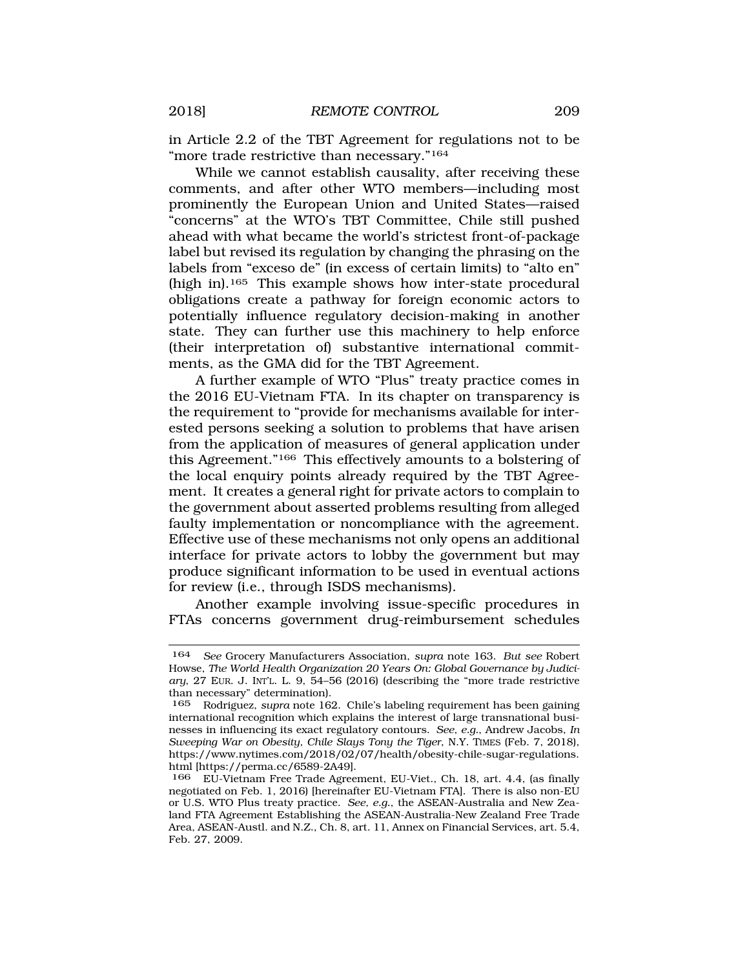in Article 2.2 of the TBT Agreement for regulations not to be "more trade restrictive than necessary."164

While we cannot establish causality, after receiving these comments, and after other WTO members—including most prominently the European Union and United States—raised "concerns" at the WTO's TBT Committee, Chile still pushed ahead with what became the world's strictest front-of-package label but revised its regulation by changing the phrasing on the labels from "exceso de" (in excess of certain limits) to "alto en" (high in).165 This example shows how inter-state procedural obligations create a pathway for foreign economic actors to potentially influence regulatory decision-making in another state. They can further use this machinery to help enforce (their interpretation of) substantive international commitments, as the GMA did for the TBT Agreement.

A further example of WTO "Plus" treaty practice comes in the 2016 EU-Vietnam FTA. In its chapter on transparency is the requirement to "provide for mechanisms available for interested persons seeking a solution to problems that have arisen from the application of measures of general application under this Agreement."166 This effectively amounts to a bolstering of the local enquiry points already required by the TBT Agreement. It creates a general right for private actors to complain to the government about asserted problems resulting from alleged faulty implementation or noncompliance with the agreement. Effective use of these mechanisms not only opens an additional interface for private actors to lobby the government but may produce significant information to be used in eventual actions for review (i.e., through ISDS mechanisms).

Another example involving issue-specific procedures in FTAs concerns government drug-reimbursement schedules

<sup>164</sup> *See* Grocery Manufacturers Association, *supra* note 163. *But see* Robert Howse, *The World Health Organization 20 Years On: Global Governance by Judiciary*, 27 EUR. J. INT'L. L. 9, 54–56 (2016) (describing the "more trade restrictive than necessary" determination).

<sup>165</sup> Rodriguez, *supra* note 162. Chile's labeling requirement has been gaining international recognition which explains the interest of large transnational businesses in influencing its exact regulatory contours. *See, e.g.*, Andrew Jacobs, *In Sweeping War on Obesity, Chile Slays Tony the Tiger*, N.Y. TIMES (Feb. 7, 2018), <https://www.nytimes.com/2018/02/07/health/obesity-chile-sugar-regulations>. html [<https://perma.cc/6589-2A49>].<br>166 EU-Vietnam Free Trade Agree

<sup>166</sup> EU-Vietnam Free Trade Agreement, EU-Viet., Ch. 18, art. 4.4, (as finally negotiated on Feb. 1, 2016) [hereinafter EU-Vietnam FTA]. There is also non-EU or U.S. WTO Plus treaty practice. *See, e.g.*, the ASEAN-Australia and New Zealand FTA Agreement Establishing the ASEAN-Australia-New Zealand Free Trade Area, ASEAN-Austl. and N.Z., Ch. 8, art. 11, Annex on Financial Services, art. 5.4, Feb. 27, 2009.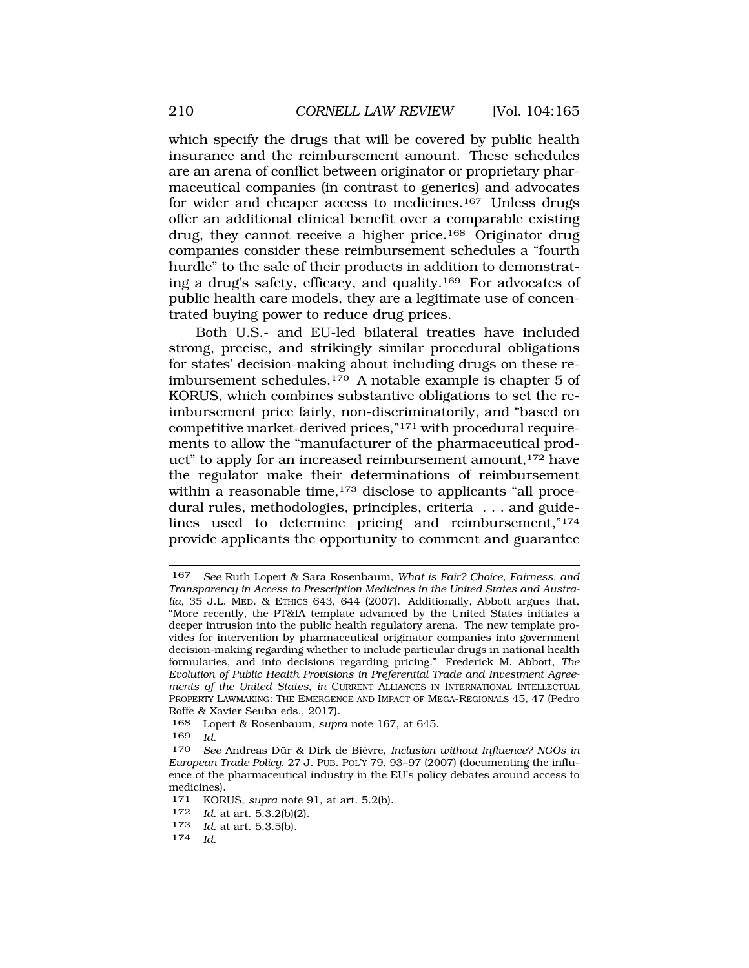which specify the drugs that will be covered by public health insurance and the reimbursement amount. These schedules are an arena of conflict between originator or proprietary pharmaceutical companies (in contrast to generics) and advocates for wider and cheaper access to medicines.167 Unless drugs offer an additional clinical benefit over a comparable existing drug, they cannot receive a higher price.168 Originator drug companies consider these reimbursement schedules a "fourth hurdle" to the sale of their products in addition to demonstrating a drug's safety, efficacy, and quality.169 For advocates of public health care models, they are a legitimate use of concentrated buying power to reduce drug prices.

Both U.S.- and EU-led bilateral treaties have included strong, precise, and strikingly similar procedural obligations for states' decision-making about including drugs on these reimbursement schedules.170 A notable example is chapter 5 of KORUS, which combines substantive obligations to set the reimbursement price fairly, non-discriminatorily, and "based on competitive market-derived prices,"171 with procedural requirements to allow the "manufacturer of the pharmaceutical product" to apply for an increased reimbursement amount,<sup>172</sup> have the regulator make their determinations of reimbursement within a reasonable time,<sup>173</sup> disclose to applicants "all procedural rules, methodologies, principles, criteria . . . and guidelines used to determine pricing and reimbursement,"174 provide applicants the opportunity to comment and guarantee

173 *Id.* at art. 5.3.5(b).

<sup>167</sup> *See* Ruth Lopert & Sara Rosenbaum, *What is Fair? Choice, Fairness, and Transparency in Access to Prescription Medicines in the United States and Australia,* 35 J.L. MED. & ETHICS 643, 644 (2007). Additionally, Abbott argues that, "More recently, the PT&IA template advanced by the United States initiates a deeper intrusion into the public health regulatory arena. The new template provides for intervention by pharmaceutical originator companies into government decision-making regarding whether to include particular drugs in national health formularies, and into decisions regarding pricing." Frederick M. Abbott, *The Evolution of Public Health Provisions in Preferential Trade and Investment Agreements of the United States*, *in* CURRENT ALLIANCES IN INTERNATIONAL INTELLECTUAL PROPERTY LAWMAKING: THE EMERGENCE AND IMPACT OF MEGA-REGIONALS 45, 47 (Pedro Roffe & Xavier Seuba eds., 2017).

<sup>168</sup> Lopert & Rosenbaum, *supra* note 167, at 645.

<sup>169</sup> *Id.* 

<sup>&</sup>lt;sup>170</sup> See Andreas Dür & Dirk de Bièvre, *Inclusion without Influence? NGOs in European Trade Policy*, 27 J. PUB. POL'Y 79, 93–97 (2007) (documenting the influence of the pharmaceutical industry in the EU's policy debates around access to medicines).<br>171 KOR

KORUS, *supra* note 91, at art. 5.2(b).

<sup>172</sup> *Id.* at art. 5.3.2(b)(2).

*Id.*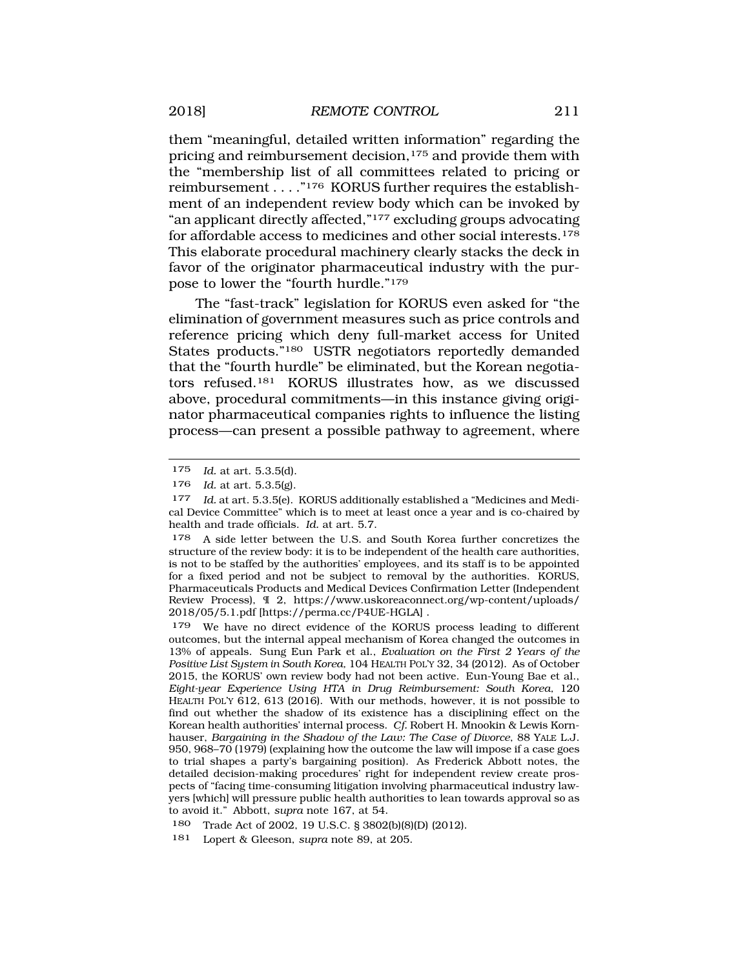them "meaningful, detailed written information" regarding the pricing and reimbursement decision,<sup>175</sup> and provide them with the "membership list of all committees related to pricing or reimbursement . . . ."176 KORUS further requires the establishment of an independent review body which can be invoked by "an applicant directly affected,"177 excluding groups advocating for affordable access to medicines and other social interests.178 This elaborate procedural machinery clearly stacks the deck in favor of the originator pharmaceutical industry with the purpose to lower the "fourth hurdle."179

The "fast-track" legislation for KORUS even asked for "the elimination of government measures such as price controls and reference pricing which deny full-market access for United States products."180 USTR negotiators reportedly demanded that the "fourth hurdle" be eliminated, but the Korean negotiators refused.181 KORUS illustrates how, as we discussed above, procedural commitments—in this instance giving originator pharmaceutical companies rights to influence the listing process—can present a possible pathway to agreement, where

179 We have no direct evidence of the KORUS process leading to different outcomes, but the internal appeal mechanism of Korea changed the outcomes in 13% of appeals. Sung Eun Park et al., *Evaluation on the First 2 Years of the Positive List System in South Korea,* 104 HEALTH POL'Y 32, 34 (2012). As of October 2015, the KORUS' own review body had not been active. Eun-Young Bae et al., *Eight-year Experience Using HTA in Drug Reimbursement: South Korea,* 120 HEALTH POL'Y 612, 613 (2016). With our methods, however, it is not possible to find out whether the shadow of its existence has a disciplining effect on the Korean health authorities' internal process. *Cf.* Robert H. Mnookin & Lewis Kornhauser, *Bargaining in the Shadow of the Law: The Case of Divorce*, 88 YALE L.J. 950, 968–70 (1979) (explaining how the outcome the law will impose if a case goes to trial shapes a party's bargaining position). As Frederick Abbott notes, the detailed decision-making procedures' right for independent review create prospects of "facing time-consuming litigation involving pharmaceutical industry lawyers [which] will pressure public health authorities to lean towards approval so as to avoid it." Abbott, *supra* note 167, at 54.

180 Trade Act of 2002, 19 U.S.C. § 3802(b)(8)(D) (2012).

181 Lopert & Gleeson, *supra* note 89, at 205.

<sup>175</sup> *Id.* at art. 5.3.5(d).

<sup>176</sup> *Id.* at art. 5.3.5(g).

<sup>177</sup> *Id.* at art. 5.3.5(e). KORUS additionally established a "Medicines and Medical Device Committee" which is to meet at least once a year and is co-chaired by health and trade officials. *Id.* at art. 5.7.

<sup>&</sup>lt;sup>178</sup> A side letter between the U.S. and South Korea further concretizes the structure of the review body: it is to be independent of the health care authorities, is not to be staffed by the authorities' employees, and its staff is to be appointed for a fixed period and not be subject to removal by the authorities. KORUS, Pharmaceuticals Products and Medical Devices Confirmation Letter (Independent Review Process), ¶ 2, [https://www.uskoreaconnect.org/wp-content/uploads/](https://www.uskoreaconnect.org/wp-content/uploads) 2018/05/5.1.pdf [\[https://perma.cc/P4UE-HGLA](https://perma.cc/P4UE-HGLA)] .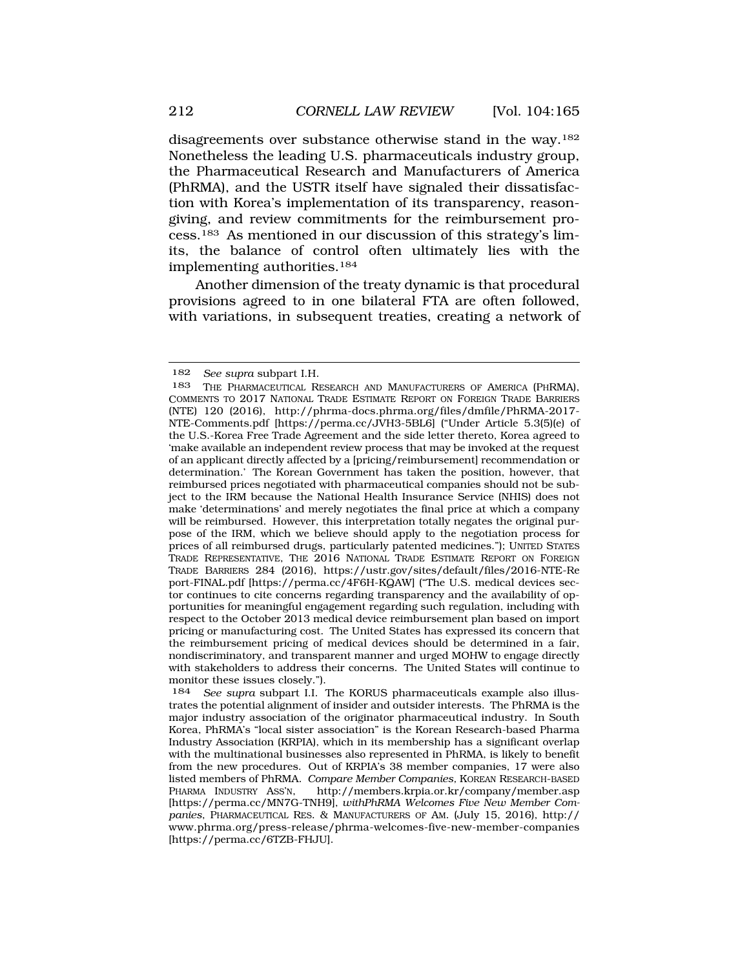disagreements over substance otherwise stand in the way.182 Nonetheless the leading U.S. pharmaceuticals industry group, the Pharmaceutical Research and Manufacturers of America (PhRMA), and the USTR itself have signaled their dissatisfaction with Korea's implementation of its transparency, reasongiving, and review commitments for the reimbursement process.183 As mentioned in our discussion of this strategy's limits, the balance of control often ultimately lies with the implementing authorities.184

Another dimension of the treaty dynamic is that procedural provisions agreed to in one bilateral FTA are often followed, with variations, in subsequent treaties, creating a network of

<sup>182</sup> *See supra* subpart I.H.

<sup>183</sup> THE PHARMACEUTICAL RESEARCH AND MANUFACTURERS OF AMERICA (PHRMA), COMMENTS TO 2017 NATIONAL TRADE ESTIMATE REPORT ON FOREIGN TRADE BARRIERS (NTE) 120 (2016), [http://phrma-docs.phrma.org/files/dmfile/PhRMA-2017-](http://phrma-docs.phrma.org/files/dmfile/PhRMA-2017) NTE-Comments.pdf [\[https://perma.cc/JVH3-5BL6](https://perma.cc/JVH3-5BL6)] ("Under Article 5.3(5)(e) of the U.S.-Korea Free Trade Agreement and the side letter thereto, Korea agreed to 'make available an independent review process that may be invoked at the request of an applicant directly affected by a [pricing/reimbursement] recommendation or determination.' The Korean Government has taken the position, however, that reimbursed prices negotiated with pharmaceutical companies should not be subject to the IRM because the National Health Insurance Service (NHIS) does not make 'determinations' and merely negotiates the final price at which a company will be reimbursed. However, this interpretation totally negates the original purpose of the IRM, which we believe should apply to the negotiation process for prices of all reimbursed drugs, particularly patented medicines."); UNITED STATES TRADE REPRESENTATIVE, THE 2016 NATIONAL TRADE ESTIMATE REPORT ON FOREIGN TRADE BARRIERS 284 (2016), <https://ustr.gov/sites/default/files/2016-NTE-Re> port-FINAL.pdf [[https://perma.cc/4F6H-KQAW\]](https://perma.cc/4F6H-KQAW) ("The U.S. medical devices sector continues to cite concerns regarding transparency and the availability of opportunities for meaningful engagement regarding such regulation, including with respect to the October 2013 medical device reimbursement plan based on import pricing or manufacturing cost. The United States has expressed its concern that the reimbursement pricing of medical devices should be determined in a fair, nondiscriminatory, and transparent manner and urged MOHW to engage directly with stakeholders to address their concerns. The United States will continue to monitor these issues closely.").

<sup>184</sup> *See supra* subpart I.I. The KORUS pharmaceuticals example also illustrates the potential alignment of insider and outsider interests. The PhRMA is the major industry association of the originator pharmaceutical industry. In South Korea, PhRMA's "local sister association" is the Korean Research-based Pharma Industry Association (KRPIA), which in its membership has a significant overlap with the multinational businesses also represented in PhRMA, is likely to benefit from the new procedures. Out of KRPIA's 38 member companies, 17 were also listed members of PhRMA. *Compare Member Companies,* KOREAN RESEARCH-BASED PHARMA INDUSTRY ASS'N, <http://members.krpia.or.kr/company/member.asp> [<https://perma.cc/MN7G-TNH9>], *withPhRMA Welcomes Five New Member Companies*, PHARMACEUTICAL RES. & MANUFACTURERS OF AM. (July 15, 2016), http:// <www.phrma.org/press-release/phrma-welcomes-five-new-member-companies> [[https://perma.cc/6TZB-FHJU\]](https://perma.cc/6TZB-FHJU).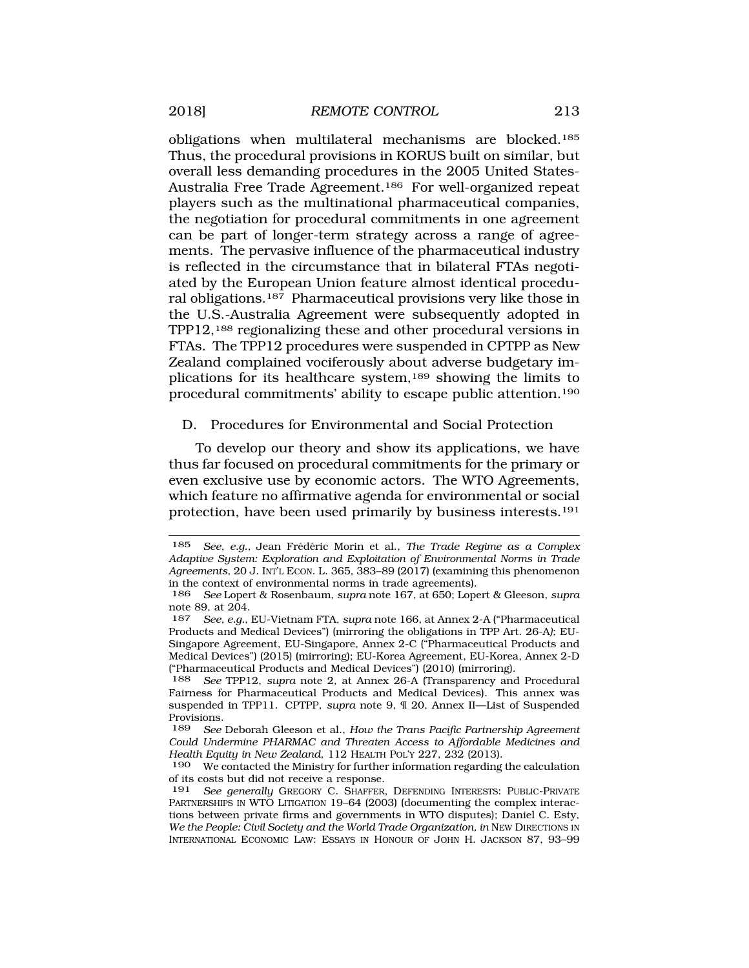<span id="page-48-0"></span>obligations when multilateral mechanisms are blocked.185 Thus, the procedural provisions in KORUS built on similar, but overall less demanding procedures in the 2005 United States-Australia Free Trade Agreement.186 For well-organized repeat players such as the multinational pharmaceutical companies, the negotiation for procedural commitments in one agreement can be part of longer-term strategy across a range of agreements. The pervasive influence of the pharmaceutical industry is reflected in the circumstance that in bilateral FTAs negotiated by the European Union feature almost identical procedural obligations.187 Pharmaceutical provisions very like those in the U.S.-Australia Agreement were subsequently adopted in TPP12,188 regionalizing these and other procedural versions in FTAs. The TPP12 procedures were suspended in CPTPP as New Zealand complained vociferously about adverse budgetary implications for its healthcare system,189 showing the limits to procedural commitments' ability to escape public attention.190

### D. Procedures for Environmental and Social Protection

To develop our theory and show its applications, we have thus far focused on procedural commitments for the primary or even exclusive use by economic actors. The WTO Agreements, which feature no affirmative agenda for environmental or social protection, have been used primarily by business interests.191

<sup>185</sup> *See, e.g., Jean Frédéric Morin et al., The Trade Regime as a Complex Adaptive System: Exploration and Exploitation of Environmental Norms in Trade Agreements*, 20 J. INT'L ECON. L. 365, 383–89 (2017) (examining this phenomenon in the context of environmental norms in trade agreements).

<sup>186</sup> *See* Lopert & Rosenbaum, *supra* note 167, at 650; Lopert & Gleeson, *supra*  note 89, at 204.<br>187 See e a

<sup>187</sup> *See, e.g.*, EU-Vietnam FTA, *supra* note 166, at Annex 2-A ("Pharmaceutical Products and Medical Devices") (mirroring the obligations in TPP Art. 26-A*)*; EU-Singapore Agreement, EU-Singapore, Annex 2-C ("Pharmaceutical Products and Medical Devices") (2015) (mirroring); EU-Korea Agreement, EU-Korea, Annex 2-D ("Pharmaceutical Products and Medical Devices") (2010) (mirroring).

<sup>188</sup> *See* TPP12, *supra* note 2, at Annex 26-A (Transparency and Procedural Fairness for Pharmaceutical Products and Medical Devices). This annex was suspended in TPP11. CPTPP, *supra* note 9, ¶ 20, Annex II—List of Suspended Provisions.<br>189 See

<sup>189</sup> *See* Deborah Gleeson et al., *How the Trans Pacific Partnership Agreement Could Undermine PHARMAC and Threaten Access to Affordable Medicines and Health Equity in New Zealand*, 112 HEALTH POL'Y 227, 232 (2013).

<sup>190</sup> We contacted the Ministry for further information regarding the calculation of its costs but did not receive a response.

<sup>191</sup> *See generally* GREGORY C. SHAFFER, DEFENDING INTERESTS: PUBLIC-PRIVATE PARTNERSHIPS IN WTO LITIGATION 19–64 (2003) (documenting the complex interactions between private firms and governments in WTO disputes); Daniel C. Esty, *We the People: Civil Society and the World Trade Organization, in NEW DIRECTIONS IN* INTERNATIONAL ECONOMIC LAW: ESSAYS IN HONOUR OF JOHN H. JACKSON 87, 93–99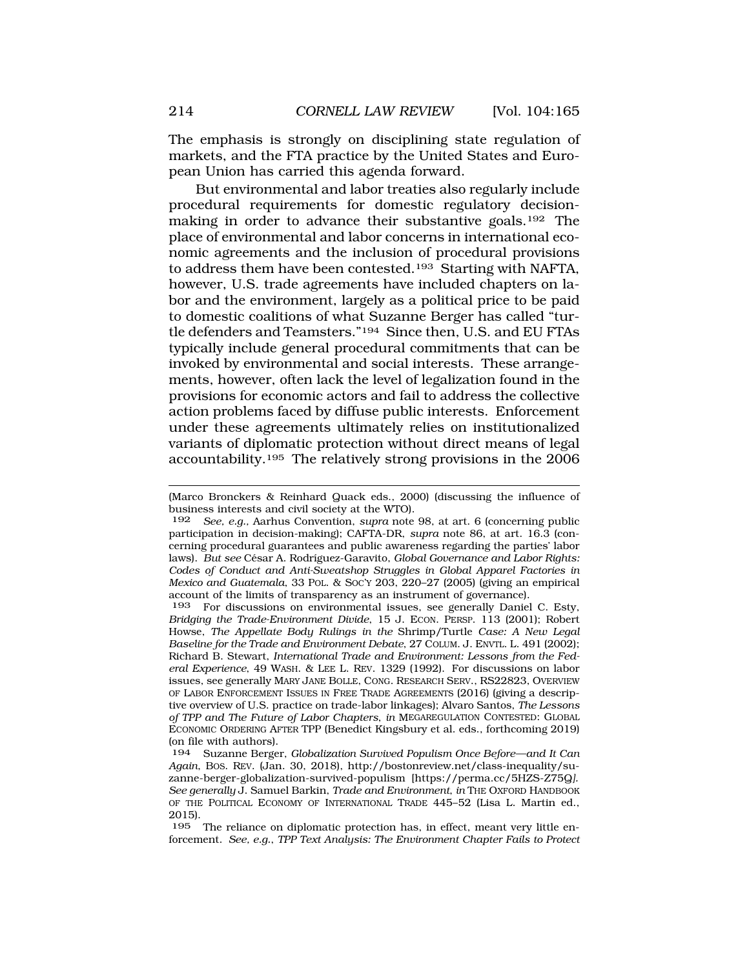The emphasis is strongly on disciplining state regulation of markets, and the FTA practice by the United States and European Union has carried this agenda forward.

But environmental and labor treaties also regularly include procedural requirements for domestic regulatory decisionmaking in order to advance their substantive goals.192 The place of environmental and labor concerns in international economic agreements and the inclusion of procedural provisions to address them have been contested.<sup>193</sup> Starting with NAFTA, however, U.S. trade agreements have included chapters on labor and the environment, largely as a political price to be paid to domestic coalitions of what Suzanne Berger has called "turtle defenders and Teamsters."194 Since then, U.S. and EU FTAs typically include general procedural commitments that can be invoked by environmental and social interests. These arrangements, however, often lack the level of legalization found in the provisions for economic actors and fail to address the collective action problems faced by diffuse public interests. Enforcement under these agreements ultimately relies on institutionalized variants of diplomatic protection without direct means of legal accountability.195 The relatively strong provisions in the 2006

193 For discussions on environmental issues, see generally Daniel C. Esty, *Bridging the Trade-Environment Divide*, 15 J. ECON. PERSP. 113 (2001); Robert Howse, *The Appellate Body Rulings in the* Shrimp/Turtle *Case: A New Legal Baseline for the Trade and Environment Debate*, 27 COLUM. J. ENVTL. L. 491 (2002); Richard B. Stewart, *International Trade and Environment: Lessons from the Federal Experience*, 49 WASH. & LEE L. REV. 1329 (1992). For discussions on labor issues, see generally MARY JANE BOLLE, CONG. RESEARCH SERV., RS22823, OVERVIEW OF LABOR ENFORCEMENT ISSUES IN FREE TRADE AGREEMENTS (2016) (giving a descriptive overview of U.S. practice on trade-labor linkages); Alvaro Santos, *The Lessons of TPP and The Future of Labor Chapters*, *in* MEGAREGULATION CONTESTED: GLOBAL ECONOMIC ORDERING AFTER TPP (Benedict Kingsbury et al. eds., forthcoming 2019) (on file with authors).

195 The reliance on diplomatic protection has, in effect, meant very little enforcement. *See, e.g.*, *TPP Text Analysis: The Environment Chapter Fails to Protect* 

<sup>(</sup>Marco Bronckers & Reinhard Quack eds., 2000) (discussing the influence of business interests and civil society at the WTO).

<sup>192</sup> *See, e.g.,* Aarhus Convention, *supra* note 98, at art. 6 (concerning public participation in decision-making); CAFTA-DR, *supra* note 86, at art. 16.3 (concerning procedural guarantees and public awareness regarding the parties' labor laws). *But see* César A. Rodríguez-Garavito, *Global Governance and Labor Rights: Codes of Conduct and Anti-Sweatshop Struggles in Global Apparel Factories in Mexico and Guatemala*, 33 POL. & SOC'Y 203, 220–27 (2005) (giving an empirical account of the limits of transparency as an instrument of governance).

<sup>194</sup> Suzanne Berger, *Globalization Survived Populism Once Before—and It Can Again*, BOS. REV. (Jan. 30, 2018), <http://bostonreview.net/class-inequality/su>zanne-berger-globalization-survived-populism [\[https://perma.cc/5HZS-Z75Q](https://perma.cc/5HZS-Z75Q)*]. See generally* J. Samuel Barkin, *Trade and Environment*, *in* THE OXFORD HANDBOOK OF THE POLITICAL ECONOMY OF INTERNATIONAL TRADE 445–52 (Lisa L. Martin ed., 2015).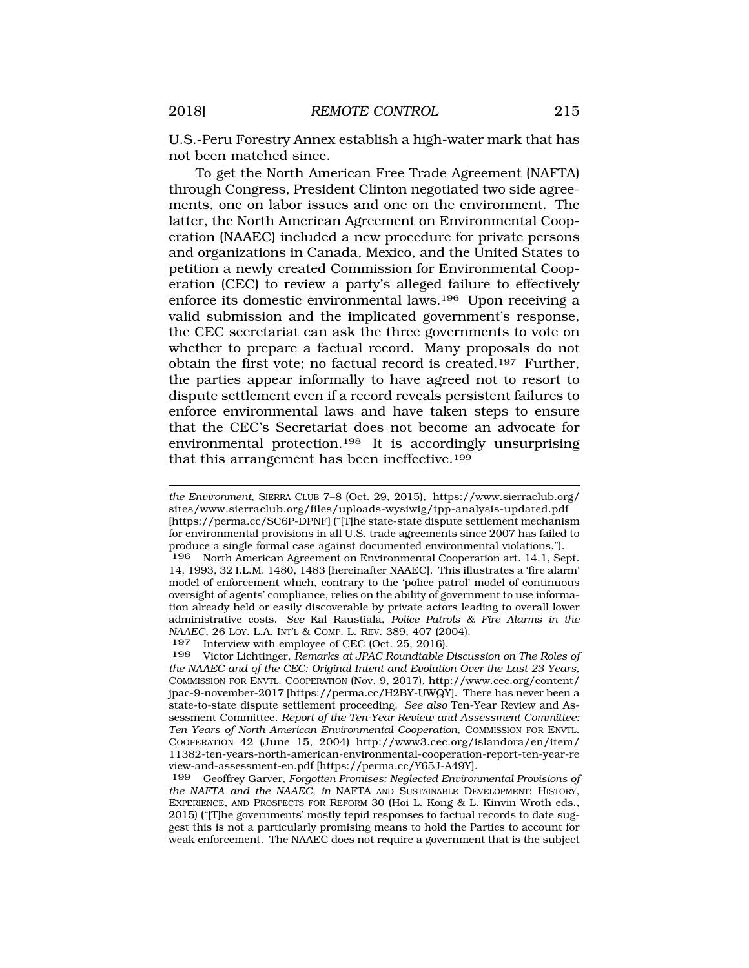U.S.-Peru Forestry Annex establish a high-water mark that has not been matched since.

To get the North American Free Trade Agreement (NAFTA) through Congress, President Clinton negotiated two side agreements, one on labor issues and one on the environment. The latter, the North American Agreement on Environmental Cooperation (NAAEC) included a new procedure for private persons and organizations in Canada, Mexico, and the United States to petition a newly created Commission for Environmental Cooperation (CEC) to review a party's alleged failure to effectively enforce its domestic environmental laws.196 Upon receiving a valid submission and the implicated government's response, the CEC secretariat can ask the three governments to vote on whether to prepare a factual record. Many proposals do not obtain the first vote; no factual record is created.197 Further, the parties appear informally to have agreed not to resort to dispute settlement even if a record reveals persistent failures to enforce environmental laws and have taken steps to ensure that the CEC's Secretariat does not become an advocate for environmental protection.198 It is accordingly unsurprising that this arrangement has been ineffective.199

197 Interview with employee of CEC (Oct. 25, 2016).<br>198 Victor Lichtinger, Remarks at JPAC Roundtable i

*the Environment*, SIERRA CLUB 7–8 (Oct. 29, 2015), [https://www.sierraclub.org/](http:https://www.sierraclub.org) [sites/www.sierraclub.org/files/uploads-wysiwig/tpp-analysis-updated.pdf](https://sites/www.sierraclub.org/files/uploads-wysiwig/tpp-analysis-updated.pdf) [[https://perma.cc/SC6P-DPNF\]](https://perma.cc/SC6P-DPNF) ("[T]he state-state dispute settlement mechanism for environmental provisions in all U.S. trade agreements since 2007 has failed to produce a single formal case against documented environmental violations.").

North American Agreement on Environmental Cooperation art. 14.1, Sept. 14, 1993, 32 I.L.M. 1480, 1483 [hereinafter NAAEC]. This illustrates a 'fire alarm' model of enforcement which, contrary to the 'police patrol' model of continuous oversight of agents' compliance, relies on the ability of government to use information already held or easily discoverable by private actors leading to overall lower administrative costs. *See* Kal Raustiala, *Police Patrols & Fire Alarms in the NAAEC*, 26 LOY. L.A. INT'L & COMP. L. REV. 389, 407 (2004).

<sup>198</sup> Victor Lichtinger, *Remarks at JPAC Roundtable Discussion on The Roles of the NAAEC and of the CEC: Original Intent and Evolution Over the Last 23 Years*, COMMISSION FOR ENVTL. COOPERATION (Nov. 9, 2017), [http://www.cec.org/content/](http://www.cec.org/content) jpac-9-november-2017 [<https://perma.cc/H2BY-UWQY>]. There has never been a state-to-state dispute settlement proceeding. *See also* Ten-Year Review and Assessment Committee, *Report of the Ten-Year Review and Assessment Committee: Ten Years of North American Environmental Cooperation*, COMMISSION FOR ENVTL. COOPERATION 42 (June 15, 2004) [http://www3.cec.org/islandora/en/item/](http://www3.cec.org/islandora/en/item) 11382-ten-years-north-american-environmental-cooperation-report-ten-year-re view-and-assessment-en.pdf [\[https://perma.cc/Y65J-A49Y](https://perma.cc/Y65J-A49Y)].

<sup>199</sup> Geoffrey Garver, *Forgotten Promises: Neglected Environmental Provisions of the NAFTA and the NAAEC*, *in* NAFTA AND SUSTAINABLE DEVELOPMENT: HISTORY, EXPERIENCE, AND PROSPECTS FOR REFORM 30 (Hoi L. Kong & L. Kinvin Wroth eds., 2015) ("[T]he governments' mostly tepid responses to factual records to date suggest this is not a particularly promising means to hold the Parties to account for weak enforcement. The NAAEC does not require a government that is the subject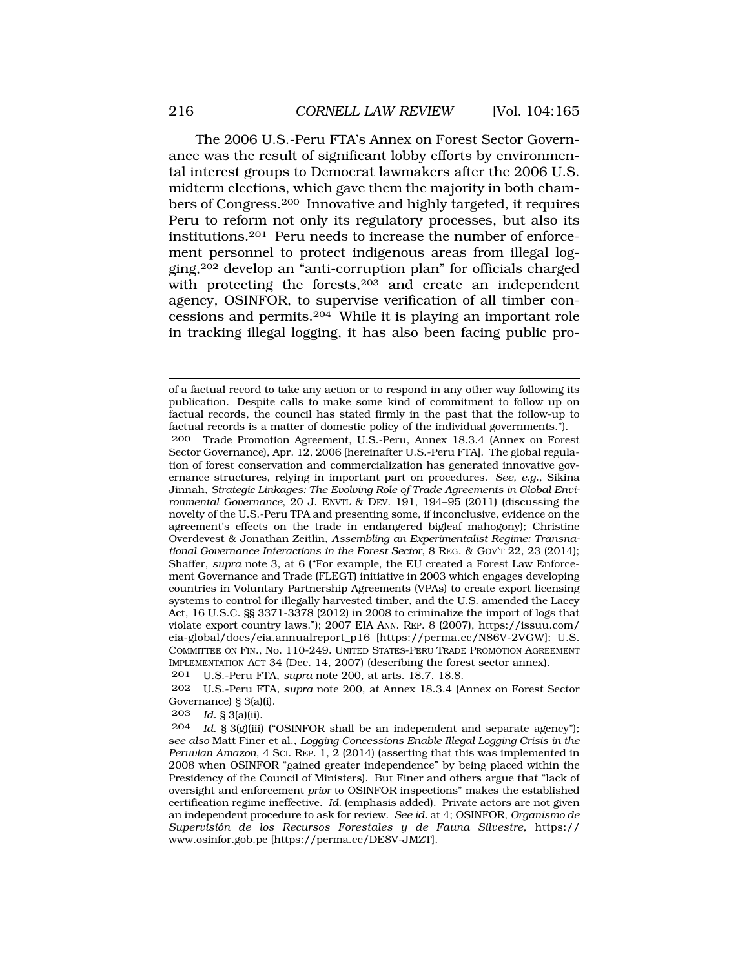The 2006 U.S.-Peru FTA's Annex on Forest Sector Governance was the result of significant lobby efforts by environmental interest groups to Democrat lawmakers after the 2006 U.S. midterm elections, which gave them the majority in both chambers of Congress.200 Innovative and highly targeted, it requires Peru to reform not only its regulatory processes, but also its institutions.201 Peru needs to increase the number of enforcement personnel to protect indigenous areas from illegal logging,202 develop an "anti-corruption plan" for officials charged with protecting the forests,<sup>203</sup> and create an independent agency, OSINFOR, to supervise verification of all timber concessions and permits.204 While it is playing an important role in tracking illegal logging, it has also been facing public pro-

of a factual record to take any action or to respond in any other way following its publication. Despite calls to make some kind of commitment to follow up on factual records, the council has stated firmly in the past that the follow-up to factual records is a matter of domestic policy of the individual governments.").

200 Trade Promotion Agreement, U.S.-Peru, Annex 18.3.4 (Annex on Forest Sector Governance), Apr. 12, 2006 [hereinafter U.S.-Peru FTA]. The global regulation of forest conservation and commercialization has generated innovative governance structures, relying in important part on procedures. *See, e.g.*, Sikina Jinnah, *Strategic Linkages: The Evolving Role of Trade Agreements in Global Environmental Governance*, 20 J. ENVTL & DEV. 191, 194–95 (2011) (discussing the novelty of the U.S.-Peru TPA and presenting some, if inconclusive, evidence on the agreement's effects on the trade in endangered bigleaf mahogony); Christine Overdevest & Jonathan Zeitlin, *Assembling an Experimentalist Regime: Transnational Governance Interactions in the Forest Sector*, 8 REG. & GOV'T 22, 23 (2014); Shaffer, *supra* note 3, at 6 ("For example, the EU created a Forest Law Enforcement Governance and Trade (FLEGT) initiative in 2003 which engages developing countries in Voluntary Partnership Agreements (VPAs) to create export licensing systems to control for illegally harvested timber, and the U.S. amended the Lacey Act, 16 U.S.C. §§ 3371-3378 (2012) in 2008 to criminalize the import of logs that violate export country laws."); 2007 EIA ANN. REP. 8 (2007), [https://issuu.com/](http:https://issuu.com) eia-global/docs/eia.annualreport\_p16 [<https://perma.cc/N86V-2VGW>]; U.S. COMMITTEE ON FIN., No. 110-249. UNITED STATES-PERU TRADE PROMOTION AGREEMENT IMPLEMENTATION ACT 34 (Dec. 14, 2007) (describing the forest sector annex).

201 U.S.-Peru FTA, *supra* note 200, at arts. 18.7, 18.8.

202 U.S.-Peru FTA*, supra* note 200, at Annex 18.3.4 (Annex on Forest Sector Governance)  $\S 3(a)(i)$ .<br>203 *Id*  $S 3(a)(ii)$ 

*Id.* § 3(a)(ii).

<sup>204</sup> *Id.* § 3(g)(iii) ("OSINFOR shall be an independent and separate agency"); s*ee also* Matt Finer et al., *Logging Concessions Enable Illegal Logging Crisis in the Peruvian Amazon*, 4 SCI. REP. 1, 2 (2014) (asserting that this was implemented in 2008 when OSINFOR "gained greater independence" by being placed within the Presidency of the Council of Ministers). But Finer and others argue that "lack of oversight and enforcement *prior* to OSINFOR inspections" makes the established certification regime ineffective. *Id.* (emphasis added). Private actors are not given an independent procedure to ask for review. *See id.* at 4; OSINFOR, *Organismo de Supervisi´on de los Recursos Forestales y de Fauna Silvestre*, https:// [www.osinfor.gob.pe](http:www.osinfor.gob.pe) [\[https://perma.cc/DE8V-JMZT\]](https://perma.cc/DE8V-JMZT).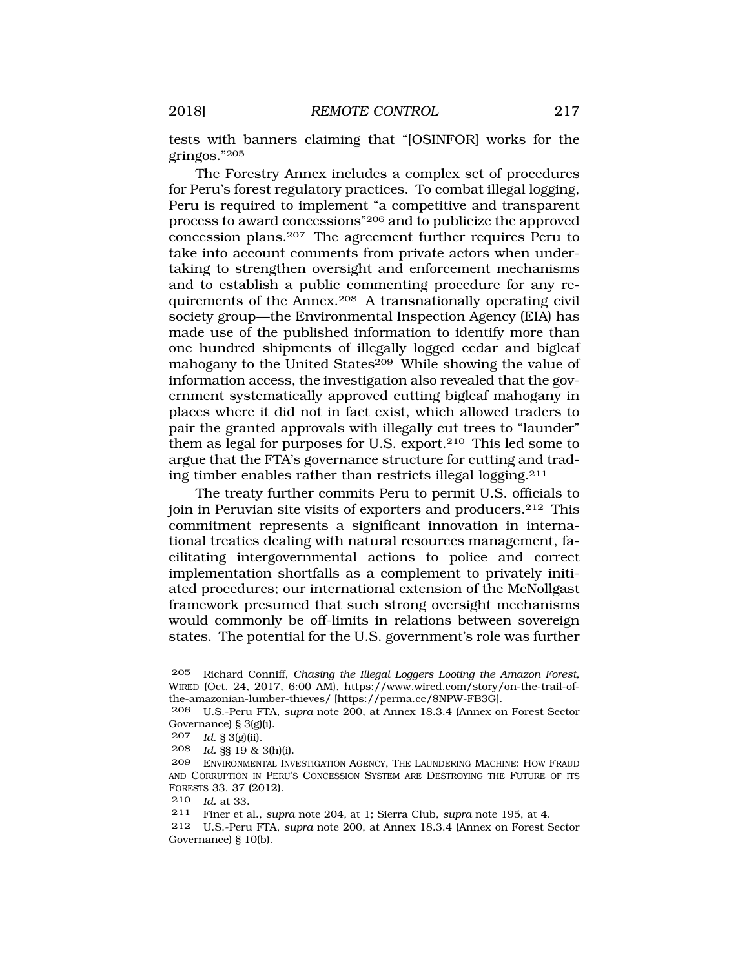tests with banners claiming that "[OSINFOR] works for the gringos."205

The Forestry Annex includes a complex set of procedures for Peru's forest regulatory practices. To combat illegal logging, Peru is required to implement "a competitive and transparent process to award concessions"206 and to publicize the approved concession plans.207 The agreement further requires Peru to take into account comments from private actors when undertaking to strengthen oversight and enforcement mechanisms and to establish a public commenting procedure for any requirements of the Annex.208 A transnationally operating civil society group—the Environmental Inspection Agency (EIA) has made use of the published information to identify more than one hundred shipments of illegally logged cedar and bigleaf mahogany to the United States<sup>209</sup> While showing the value of information access, the investigation also revealed that the government systematically approved cutting bigleaf mahogany in places where it did not in fact exist, which allowed traders to pair the granted approvals with illegally cut trees to "launder" them as legal for purposes for U.S. export.210 This led some to argue that the FTA's governance structure for cutting and trading timber enables rather than restricts illegal logging.211

The treaty further commits Peru to permit U.S. officials to join in Peruvian site visits of exporters and producers.212 This commitment represents a significant innovation in international treaties dealing with natural resources management, facilitating intergovernmental actions to police and correct implementation shortfalls as a complement to privately initiated procedures; our international extension of the McNollgast framework presumed that such strong oversight mechanisms would commonly be off-limits in relations between sovereign states. The potential for the U.S. government's role was further

<sup>205</sup> Richard Conniff, *Chasing the Illegal Loggers Looting the Amazon Forest*, WIRED (Oct. 24, 2017, 6:00 AM), <https://www.wired.com/story/on-the-trail-of>the-amazonian-lumber-thieves/ [[https://perma.cc/8NPW-FB3G\]](https://perma.cc/8NPW-FB3G).

<sup>206</sup> U.S.-Peru FTA, *supra* note 200, at Annex 18.3.4 (Annex on Forest Sector Governance) § 3(g)(i).

<sup>207</sup> *Id.* § 3(g)(ii).

<sup>208</sup> *Id.* §§ 19 & 3(h)(i).

<sup>209</sup> ENVIRONMENTAL INVESTIGATION AGENCY, THE LAUNDERING MACHINE: HOW FRAUD AND CORRUPTION IN PERU'S CONCESSION SYSTEM ARE DESTROYING THE FUTURE OF ITS FORESTS 33, 37 (2012).

<sup>210</sup> *Id.* at 33.

<sup>211</sup> Finer et al., *supra* note 204*,* at 1; Sierra Club, *supra* note 195, at 4.

<sup>212</sup> U.S.-Peru FTA, *supra* note 200, at Annex 18.3.4 (Annex on Forest Sector Governance) § 10(b).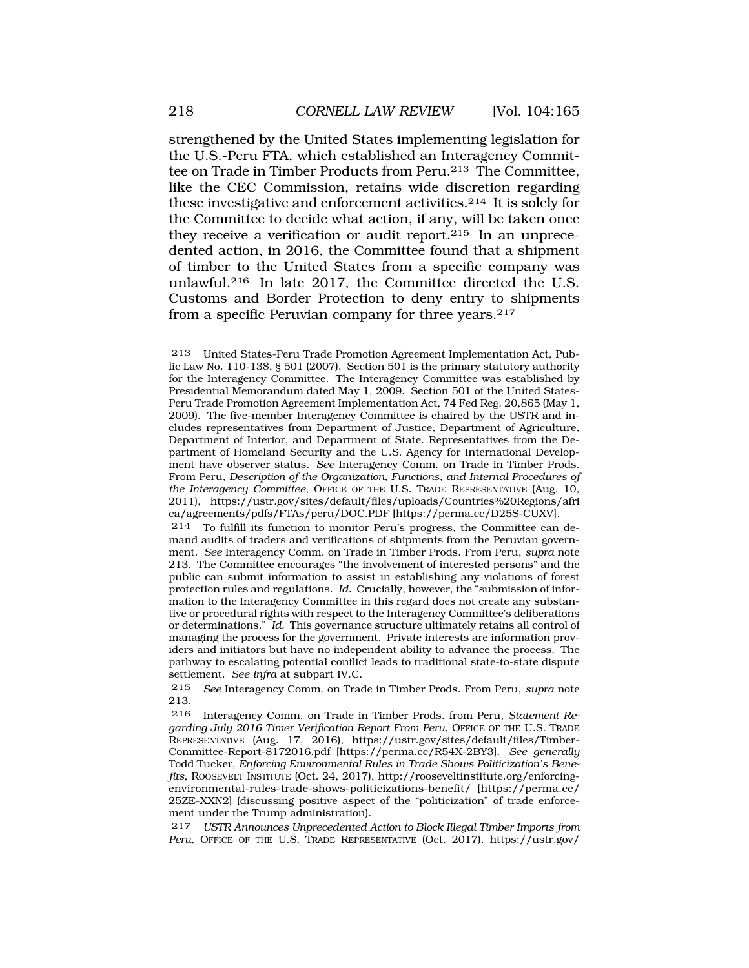strengthened by the United States implementing legislation for the U.S.-Peru FTA, which established an Interagency Committee on Trade in Timber Products from Peru.213 The Committee, like the CEC Commission, retains wide discretion regarding these investigative and enforcement activities.214 It is solely for the Committee to decide what action, if any, will be taken once they receive a verification or audit report.215 In an unprecedented action, in 2016, the Committee found that a shipment of timber to the United States from a specific company was unlawful.216 In late 2017, the Committee directed the U.S. Customs and Border Protection to deny entry to shipments from a specific Peruvian company for three years.<sup>217</sup>

215 *See* Interagency Comm. on Trade in Timber Prods. From Peru, *supra* note 213.

216 Interagency Comm. on Trade in Timber Prods. from Peru, *Statement Regarding July 2016 Timer Verification Report From Peru*, OFFICE OF THE U.S. TRADE REPRESENTATIVE (Aug. 17, 2016), [https://ustr.gov/sites/default/files/Timber-](https://ustr.gov/sites/default/files/Timber)Committee-Report-8172016.pdf [[https://perma.cc/R54X-2BY3\]](https://perma.cc/R54X-2BY3). *See generally*  Todd Tucker, *Enforcing Environmental Rules in Trade Shows Politicization's Benefits*, ROOSEVELT INSTITUTE (Oct. 24, 2017),<http://rooseveltinstitute.org/enforcing>environmental-rules-trade-shows-politicizations-benefit/ [[https://perma.cc/](http:https://perma.cc) 25ZE-XXN2] (discussing positive aspect of the "politicization" of trade enforcement under the Trump administration).

217 *USTR Announces Unprecedented Action to Block Illegal Timber Imports from Peru*, OFFICE OF THE U.S. TRADE REPRESENTATIVE (Oct. 2017), [https://ustr.gov/](http:https://ustr.gov)

<sup>213</sup> United States-Peru Trade Promotion Agreement Implementation Act, Public Law No. 110-138, § 501 (2007). Section 501 is the primary statutory authority for the Interagency Committee. The Interagency Committee was established by Presidential Memorandum dated May 1, 2009. Section 501 of the United States-Peru Trade Promotion Agreement Implementation Act, 74 Fed Reg. 20,865 (May 1, 2009). The five-member Interagency Committee is chaired by the USTR and includes representatives from Department of Justice, Department of Agriculture, Department of Interior, and Department of State. Representatives from the Department of Homeland Security and the U.S. Agency for International Development have observer status. *See* Interagency Comm. on Trade in Timber Prods. From Peru, *Description of the Organization, Functions, and Internal Procedures of the Interagency Committee*, OFFICE OF THE U.S. TRADE REPRESENTATIVE (Aug. 10, 2011), <https://ustr.gov/sites/default/files/uploads/Countries%20Regions/afri> ca/agreements/pdfs/FTAs/peru/DOC.PDF [[https://perma.cc/D25S-CUXV\]](https://perma.cc/D25S-CUXV).

<sup>214</sup> To fulfill its function to monitor Peru's progress, the Committee can demand audits of traders and verifications of shipments from the Peruvian government. *See* Interagency Comm. on Trade in Timber Prods. From Peru, *supra* note 213. The Committee encourages "the involvement of interested persons" and the public can submit information to assist in establishing any violations of forest protection rules and regulations. *Id.* Crucially, however, the "submission of information to the Interagency Committee in this regard does not create any substantive or procedural rights with respect to the Interagency Committee's deliberations or determinations." *Id.* This governance structure ultimately retains all control of managing the process for the government. Private interests are information providers and initiators but have no independent ability to advance the process. The pathway to escalating potential conflict leads to traditional state-to-state dispute settlement. *See infra* at subpart IV.C.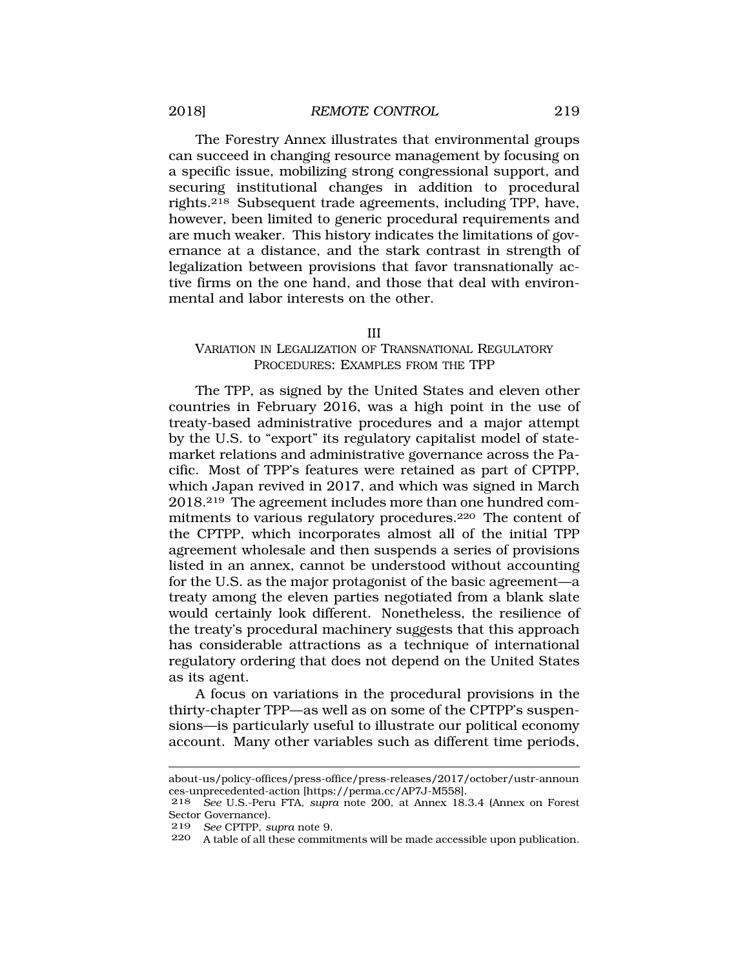<span id="page-54-0"></span>The Forestry Annex illustrates that environmental groups can succeed in changing resource management by focusing on a specific issue, mobilizing strong congressional support, and securing institutional changes in addition to procedural rights.218 Subsequent trade agreements, including TPP, have, however, been limited to generic procedural requirements and are much weaker. This history indicates the limitations of governance at a distance, and the stark contrast in strength of legalization between provisions that favor transnationally active firms on the one hand, and those that deal with environmental and labor interests on the other.

#### III

#### VARIATION IN LEGALIZATION OF TRANSNATIONAL REGULATORY PROCEDURES: EXAMPLES FROM THE TPP

The TPP, as signed by the United States and eleven other countries in February 2016, was a high point in the use of treaty-based administrative procedures and a major attempt by the U.S. to "export" its regulatory capitalist model of statemarket relations and administrative governance across the Pacific. Most of TPP's features were retained as part of CPTPP, which Japan revived in 2017, and which was signed in March 2018.219 The agreement includes more than one hundred commitments to various regulatory procedures.220 The content of the CPTPP, which incorporates almost all of the initial TPP agreement wholesale and then suspends a series of provisions listed in an annex, cannot be understood without accounting for the U.S. as the major protagonist of the basic agreement—a treaty among the eleven parties negotiated from a blank slate would certainly look different. Nonetheless, the resilience of the treaty's procedural machinery suggests that this approach has considerable attractions as a technique of international regulatory ordering that does not depend on the United States as its agent.

A focus on variations in the procedural provisions in the thirty-chapter TPP—as well as on some of the CPTPP's suspensions—is particularly useful to illustrate our political economy account. Many other variables such as different time periods,

about-us/policy-offices/press-office/press-releases/2017/october/ustr-announ ces-unprecedented-action [[https://perma.cc/AP7J-M558\]](https://perma.cc/AP7J-M558).

<sup>218</sup> *See* U.S.-Peru FTA*, supra* note 200, at Annex 18.3.4 (Annex on Forest Sector Governance).

<sup>219</sup> *See* CPTPP, *supra* note 9.

<sup>220</sup> A table of all these commitments will be made accessible upon publication.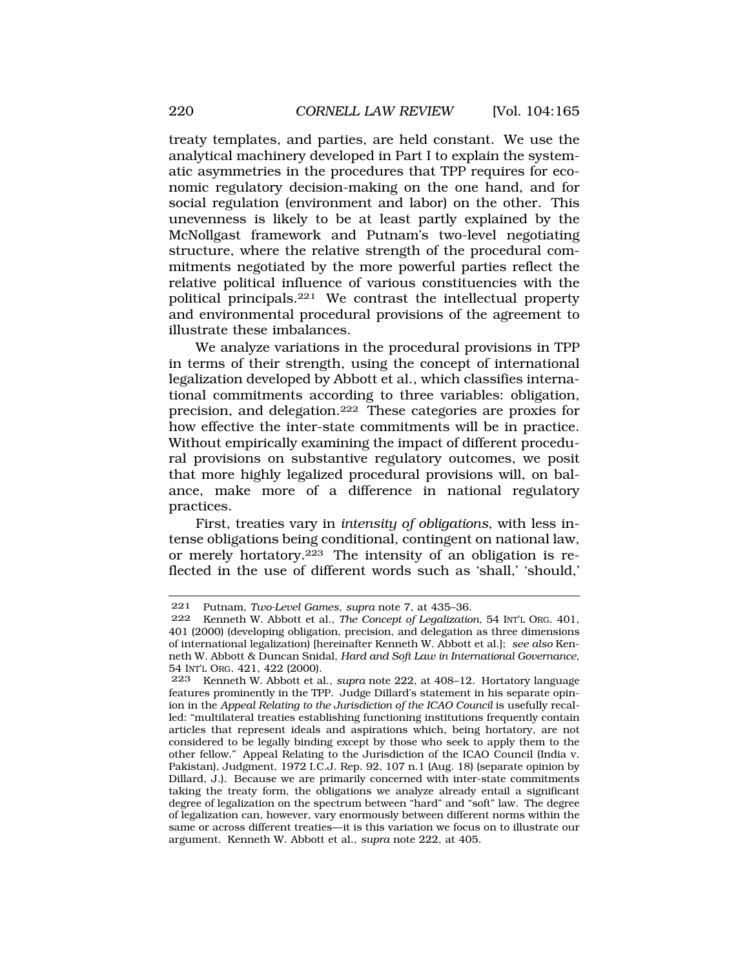treaty templates, and parties, are held constant. We use the analytical machinery developed in Part I to explain the systematic asymmetries in the procedures that TPP requires for economic regulatory decision-making on the one hand, and for social regulation (environment and labor) on the other. This unevenness is likely to be at least partly explained by the McNollgast framework and Putnam's two-level negotiating structure, where the relative strength of the procedural commitments negotiated by the more powerful parties reflect the relative political influence of various constituencies with the political principals.221 We contrast the intellectual property and environmental procedural provisions of the agreement to illustrate these imbalances.

We analyze variations in the procedural provisions in TPP in terms of their strength, using the concept of international legalization developed by Abbott et al., which classifies international commitments according to three variables: obligation, precision, and delegation.222 These categories are proxies for how effective the inter-state commitments will be in practice. Without empirically examining the impact of different procedural provisions on substantive regulatory outcomes, we posit that more highly legalized procedural provisions will, on balance, make more of a difference in national regulatory practices.

First, treaties vary in *intensity of obligations*, with less intense obligations being conditional, contingent on national law, or merely hortatory.<sup>223</sup> The intensity of an obligation is reflected in the use of different words such as 'shall,' 'should,'

<sup>221</sup> Putnam, *Two-Level Games*, *supra* note 7, at 435–36.

<sup>222</sup> Kenneth W. Abbott et al., *The Concept of Legalization*, 54 INT'L ORG. 401, 401 (2000) (developing obligation, precision, and delegation as three dimensions of international legalization) [hereinafter Kenneth W. Abbott et al.]; *see also* Kenneth W. Abbott & Duncan Snidal, *Hard and Soft Law in International Governance*, 54 INT'L ORG. 421, 422 (2000).<br>223 Kenneth W Abbott et a

<sup>223</sup> Kenneth W. Abbott et al., *supra* note 222, at 408–12. Hortatory language features prominently in the TPP. Judge Dillard's statement in his separate opinion in the *Appeal Relating to the Jurisdiction of the ICAO Council* is usefully recalled: "multilateral treaties establishing functioning institutions frequently contain articles that represent ideals and aspirations which, being hortatory, are not considered to be legally binding except by those who seek to apply them to the other fellow." Appeal Relating to the Jurisdiction of the ICAO Council (India v. Pakistan), Judgment, 1972 I.C.J. Rep. 92, 107 n.1 (Aug. 18) (separate opinion by Dillard, J.). Because we are primarily concerned with inter-state commitments taking the treaty form, the obligations we analyze already entail a significant degree of legalization on the spectrum between "hard" and "soft" law. The degree of legalization can, however, vary enormously between different norms within the same or across different treaties—it is this variation we focus on to illustrate our argument. Kenneth W. Abbott et al., *supra* note 222, at 405.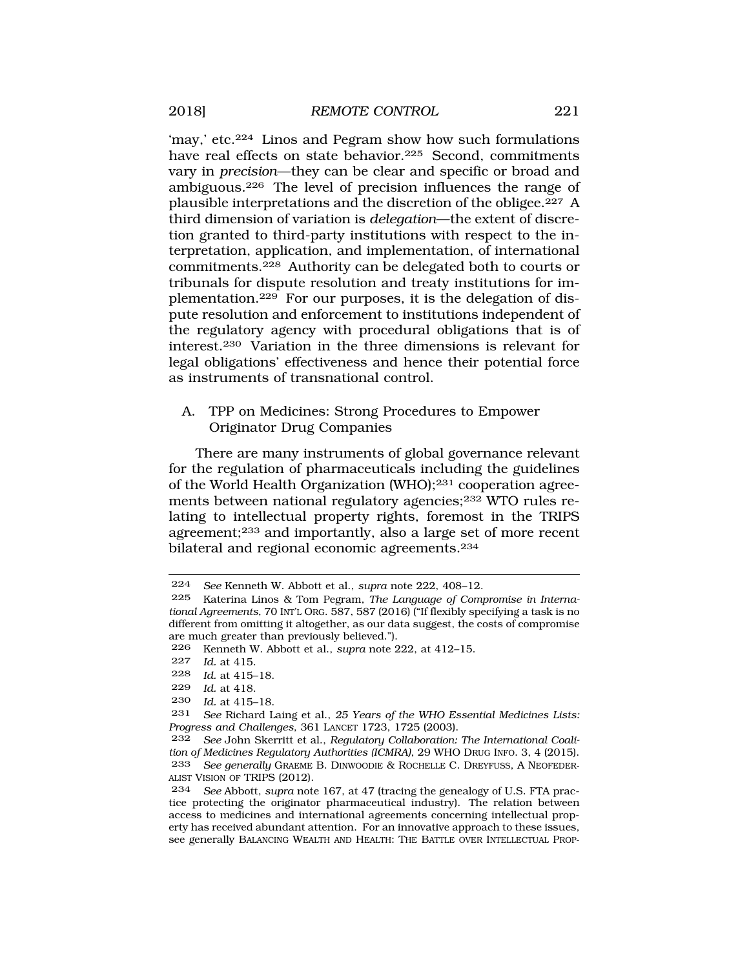<span id="page-56-0"></span>'may,' etc.224 Linos and Pegram show how such formulations have real effects on state behavior.<sup>225</sup> Second, commitments vary in *precision*—they can be clear and specific or broad and ambiguous.226 The level of precision influences the range of plausible interpretations and the discretion of the obligee.227 A third dimension of variation is *delegation*—the extent of discretion granted to third-party institutions with respect to the interpretation, application, and implementation, of international commitments.228 Authority can be delegated both to courts or tribunals for dispute resolution and treaty institutions for implementation.229 For our purposes, it is the delegation of dispute resolution and enforcement to institutions independent of the regulatory agency with procedural obligations that is of interest.230 Variation in the three dimensions is relevant for legal obligations' effectiveness and hence their potential force as instruments of transnational control.

A. TPP on Medicines: Strong Procedures to Empower Originator Drug Companies

There are many instruments of global governance relevant for the regulation of pharmaceuticals including the guidelines of the World Health Organization (WHO);231 cooperation agreements between national regulatory agencies;<sup>232</sup> WTO rules relating to intellectual property rights, foremost in the TRIPS agreement;233 and importantly, also a large set of more recent bilateral and regional economic agreements.234

230 *Id.* at 415–18.

<sup>224</sup> *See* Kenneth W. Abbott et al., *supra* note 222, 408–12.

<sup>225</sup> Katerina Linos & Tom Pegram, *The Language of Compromise in International Agreements*, 70 INT'L ORG. 587, 587 (2016) ("If flexibly specifying a task is no different from omitting it altogether, as our data suggest, the costs of compromise are much greater than previously believed.").<br>226 Kenneth W Abbott et al. supra note 2

<sup>226</sup> Kenneth W. Abbott et al., *supra* note 222, at 412–15.

<sup>227</sup> *Id.* at 415.<br>228 *Id.* at 415.

*Id.* at 415–18.

<sup>229</sup> *Id.* at 418.

See Richard Laing et al., 25 Years of the WHO Essential Medicines Lists: *Progress and Challenges*, 361 LANCET 1723, 1725 (2003).

<sup>232</sup> *See* John Skerritt et al., *Regulatory Collaboration: The International Coalition of Medicines Regulatory Authorities (ICMRA)*, 29 WHO DRUG INFO. 3, 4 (2015). 233 *See generally* GRAEME B. DINWOODIE & ROCHELLE C. DREYFUSS, A NEOFEDER-ALIST VISION OF TRIPS (2012).

<sup>234</sup> *See* Abbott, *supra* note 167, at 47 (tracing the genealogy of U.S. FTA practice protecting the originator pharmaceutical industry). The relation between access to medicines and international agreements concerning intellectual property has received abundant attention. For an innovative approach to these issues, see generally BALANCING WEALTH AND HEALTH: THE BATTLE OVER INTELLECTUAL PROP-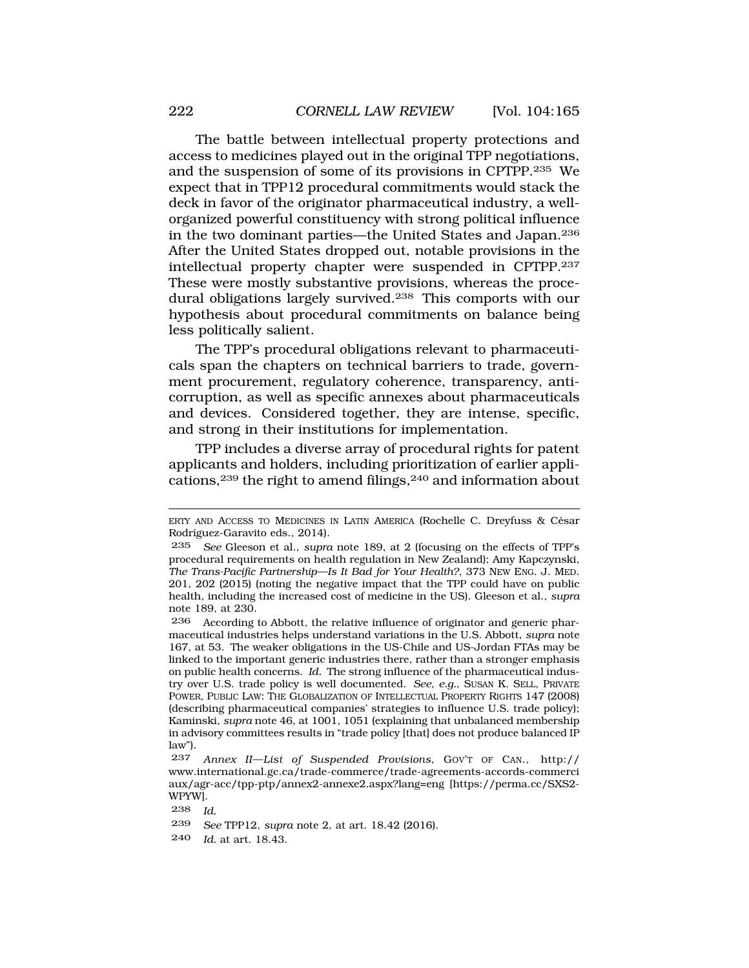The battle between intellectual property protections and access to medicines played out in the original TPP negotiations, and the suspension of some of its provisions in CPTPP.235 We expect that in TPP12 procedural commitments would stack the deck in favor of the originator pharmaceutical industry, a wellorganized powerful constituency with strong political influence in the two dominant parties—the United States and Japan.236 After the United States dropped out, notable provisions in the intellectual property chapter were suspended in CPTPP.237 These were mostly substantive provisions, whereas the procedural obligations largely survived.238 This comports with our hypothesis about procedural commitments on balance being less politically salient.

The TPP's procedural obligations relevant to pharmaceuticals span the chapters on technical barriers to trade, government procurement, regulatory coherence, transparency, anticorruption, as well as specific annexes about pharmaceuticals and devices. Considered together, they are intense, specific, and strong in their institutions for implementation.

TPP includes a diverse array of procedural rights for patent applicants and holders, including prioritization of earlier applications,239 the right to amend filings,240 and information about

240 *Id.* at art. 18.43.

ERTY AND ACCESS TO MEDICINES IN LATIN AMERICA (Rochelle C. Dreyfuss & César Rodríguez-Garavito eds., 2014).

<sup>235</sup> *See* Gleeson et al., *supra* note 189, at 2 (focusing on the effects of TPP's procedural requirements on health regulation in New Zealand); Amy Kapczynski, *The Trans-Pacific Partnership—Is It Bad for Your Health?*, 373 NEW ENG. J. MED. 201, 202 (2015) (noting the negative impact that the TPP could have on public health, including the increased cost of medicine in the US). Gleeson et al., *supra*  note 189, at 230.

<sup>236</sup> According to Abbott, the relative influence of originator and generic pharmaceutical industries helps understand variations in the U.S. Abbott, *supra* note 167, at 53. The weaker obligations in the US-Chile and US-Jordan FTAs may be linked to the important generic industries there, rather than a stronger emphasis on public health concerns. *Id.* The strong influence of the pharmaceutical industry over U.S. trade policy is well documented. *See, e.g.*, SUSAN K. SELL, PRIVATE POWER, PUBLIC LAW: THE GLOBALIZATION OF INTELLECTUAL PROPERTY RIGHTS 147 (2008) (describing pharmaceutical companies' strategies to influence U.S. trade policy); Kaminski, *supra* note 46, at 1001, 1051 (explaining that unbalanced membership in advisory committees results in "trade policy [that] does not produce balanced IP law").

<sup>237</sup> *Annex II—List of Suspended Provisions*, GOV'T OF CAN., http:// <www.international.gc.ca/trade-commerce/trade-agreements-accords-commerci> aux/agr-acc/tpp-ptp/annex2-annexe2.aspx?lang=eng [\[https://perma.cc/SXS2-](https://perma.cc/SXS2) WPYW].

<sup>238</sup> *Id.* 

<sup>239</sup> *See* TPP12, *supra* note 2, at art. 18.42 (2016).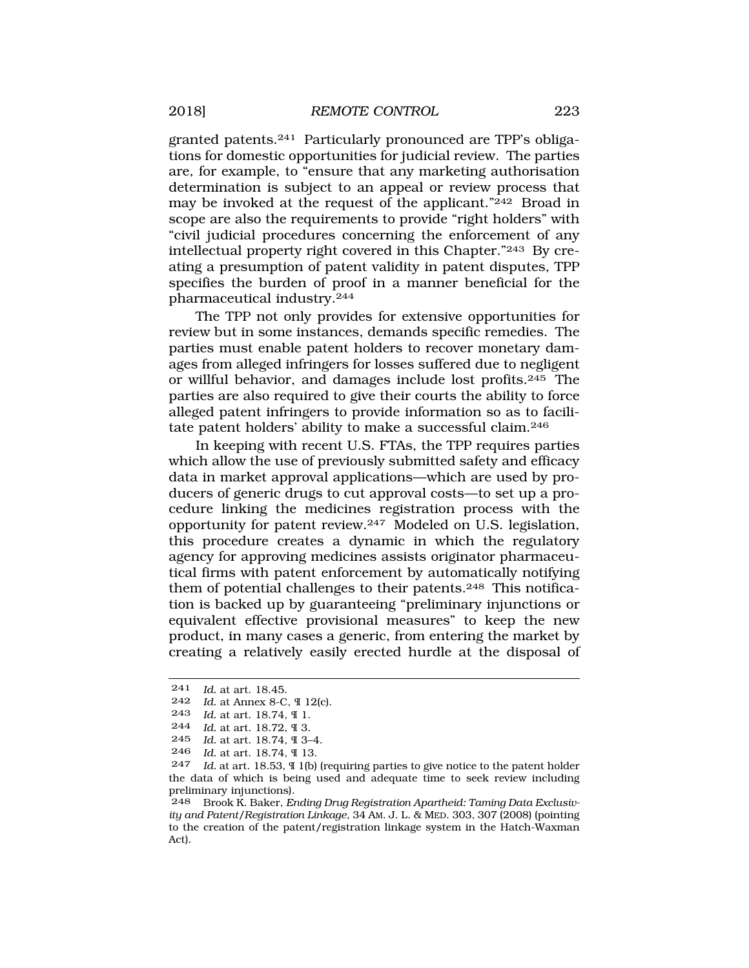granted patents.241 Particularly pronounced are TPP's obligations for domestic opportunities for judicial review. The parties are, for example, to "ensure that any marketing authorisation determination is subject to an appeal or review process that may be invoked at the request of the applicant."242 Broad in scope are also the requirements to provide "right holders" with "civil judicial procedures concerning the enforcement of any intellectual property right covered in this Chapter."243 By creating a presumption of patent validity in patent disputes, TPP specifies the burden of proof in a manner beneficial for the pharmaceutical industry.244

The TPP not only provides for extensive opportunities for review but in some instances, demands specific remedies. The parties must enable patent holders to recover monetary damages from alleged infringers for losses suffered due to negligent or willful behavior, and damages include lost profits.245 The parties are also required to give their courts the ability to force alleged patent infringers to provide information so as to facilitate patent holders' ability to make a successful claim.246

In keeping with recent U.S. FTAs, the TPP requires parties which allow the use of previously submitted safety and efficacy data in market approval applications—which are used by producers of generic drugs to cut approval costs—to set up a procedure linking the medicines registration process with the opportunity for patent review.247 Modeled on U.S. legislation, this procedure creates a dynamic in which the regulatory agency for approving medicines assists originator pharmaceutical firms with patent enforcement by automatically notifying them of potential challenges to their patents.248 This notification is backed up by guaranteeing "preliminary injunctions or equivalent effective provisional measures" to keep the new product, in many cases a generic, from entering the market by creating a relatively easily erected hurdle at the disposal of

<sup>241</sup> *Id.* at art. 18.45.

<sup>242</sup> *Id.* at Annex 8-C, ¶ 12(c).

<sup>243</sup> *Id.* at art. 18.74, ¶ 1.

<sup>244</sup> *Id.* at art. 18.72, 9 3.<br>245 *Id.* at art. 18.74 9.34

*Id.* at art. 18.74, ¶ 3–4.

<sup>246</sup> *Id.* at art. 18.74, ¶ 13.

<sup>247</sup> *Id.* at art. 18.53, ¶ 1(b) (requiring parties to give notice to the patent holder the data of which is being used and adequate time to seek review including preliminary injunctions).

<sup>248</sup> Brook K. Baker, *Ending Drug Registration Apartheid: Taming Data Exclusivity and Patent/Registration Linkage*, 34 AM. J. L. & MED. 303, 307 (2008) (pointing to the creation of the patent/registration linkage system in the Hatch-Waxman Act).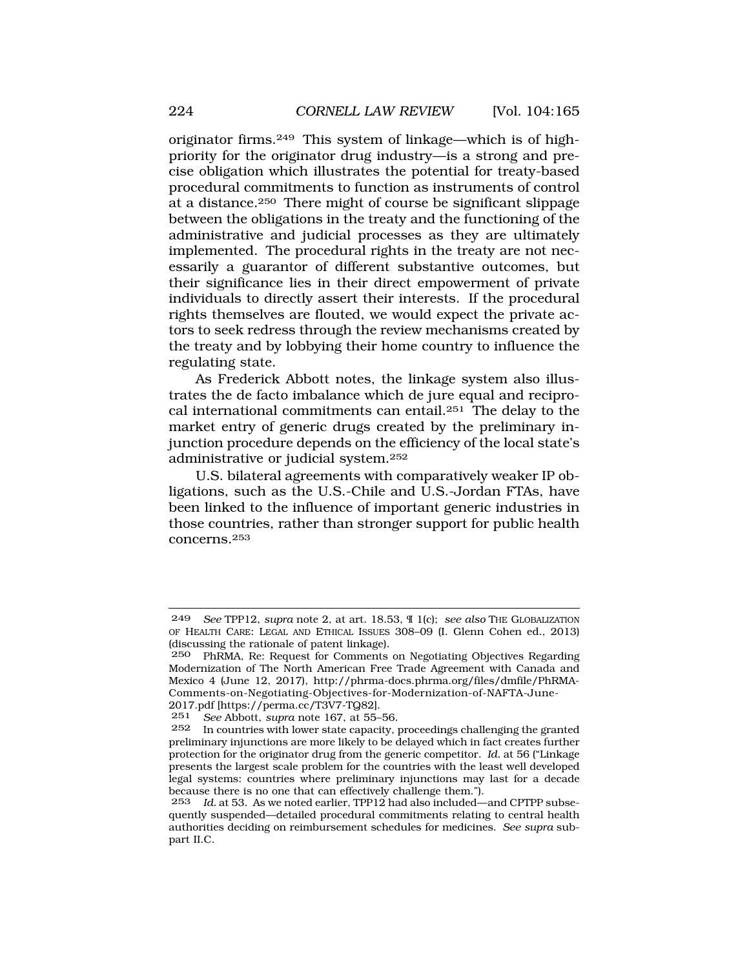originator firms.249 This system of linkage—which is of highpriority for the originator drug industry—is a strong and precise obligation which illustrates the potential for treaty-based procedural commitments to function as instruments of control at a distance.250 There might of course be significant slippage between the obligations in the treaty and the functioning of the administrative and judicial processes as they are ultimately implemented. The procedural rights in the treaty are not necessarily a guarantor of different substantive outcomes, but their significance lies in their direct empowerment of private individuals to directly assert their interests. If the procedural rights themselves are flouted, we would expect the private actors to seek redress through the review mechanisms created by the treaty and by lobbying their home country to influence the regulating state.

As Frederick Abbott notes, the linkage system also illustrates the de facto imbalance which de jure equal and reciprocal international commitments can entail.251 The delay to the market entry of generic drugs created by the preliminary injunction procedure depends on the efficiency of the local state's administrative or judicial system.252

U.S. bilateral agreements with comparatively weaker IP obligations, such as the U.S.-Chile and U.S.-Jordan FTAs, have been linked to the influence of important generic industries in those countries, rather than stronger support for public health concerns.253

2017.pdf [\[https://perma.cc/T3V7-TQ82\]](https://perma.cc/T3V7-TQ82).<br>251 See Abbott, supra note 167, at 55-251 *See* Abbott, *supra* note 167, at 55–56.

<sup>249</sup> *See* TPP12, *supra* note 2, at art. 18.53, ¶ 1(c); *see also* THE GLOBALIZATION OF HEALTH CARE: LEGAL AND ETHICAL ISSUES 308–09 (I. Glenn Cohen ed., 2013) (discussing the rationale of patent linkage).

<sup>250</sup> PhRMA, Re: Request for Comments on Negotiating Objectives Regarding Modernization of The North American Free Trade Agreement with Canada and Mexico 4 (June 12, 2017), [http://phrma-docs.phrma.org/files/dmfile/PhRMA-](http://phrma-docs.phrma.org/files/dmfile/PhRMA)Comments-on-Negotiating-Objectives-for-Modernization-of-NAFTA-June-

In countries with lower state capacity, proceedings challenging the granted preliminary injunctions are more likely to be delayed which in fact creates further protection for the originator drug from the generic competitor. *Id.* at 56 ("Linkage presents the largest scale problem for the countries with the least well developed legal systems: countries where preliminary injunctions may last for a decade because there is no one that can effectively challenge them.").

<sup>253</sup> *Id.* at 53. As we noted earlier, TPP12 had also included—and CPTPP subsequently suspended—detailed procedural commitments relating to central health authorities deciding on reimbursement schedules for medicines. *See supra* subpart II.C.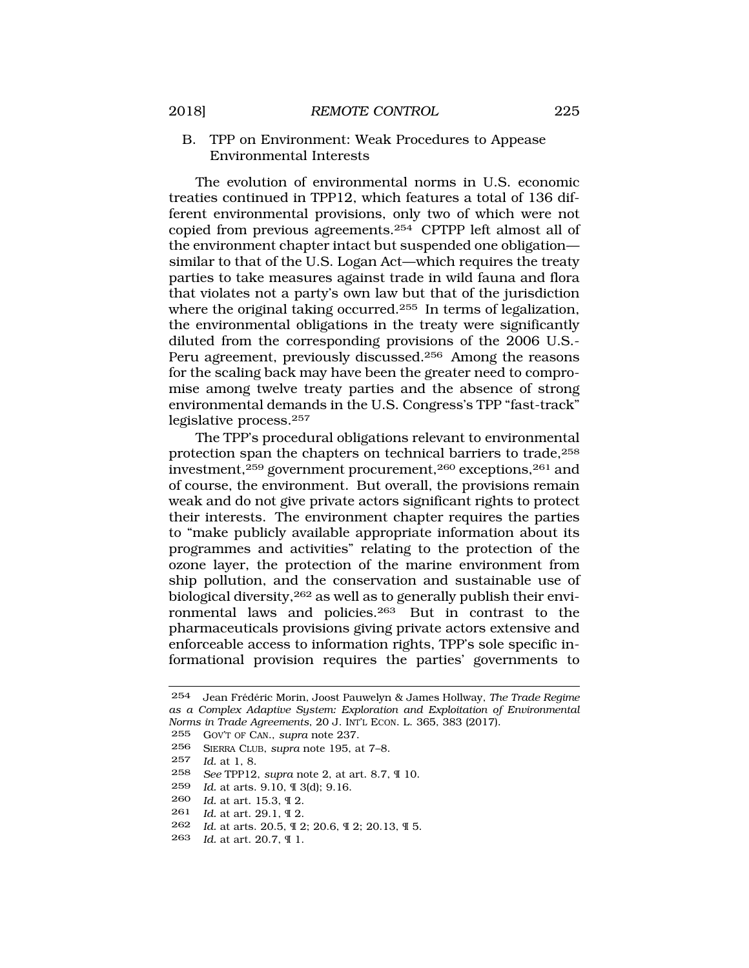<span id="page-60-0"></span>B. TPP on Environment: Weak Procedures to Appease Environmental Interests

The evolution of environmental norms in U.S. economic treaties continued in TPP12, which features a total of 136 different environmental provisions, only two of which were not copied from previous agreements.254 CPTPP left almost all of the environment chapter intact but suspended one obligation similar to that of the U.S. Logan Act—which requires the treaty parties to take measures against trade in wild fauna and flora that violates not a party's own law but that of the jurisdiction where the original taking occurred.<sup>255</sup> In terms of legalization, the environmental obligations in the treaty were significantly diluted from the corresponding provisions of the 2006 U.S.- Peru agreement, previously discussed.256 Among the reasons for the scaling back may have been the greater need to compromise among twelve treaty parties and the absence of strong environmental demands in the U.S. Congress's TPP "fast-track" legislative process.257

The TPP's procedural obligations relevant to environmental protection span the chapters on technical barriers to trade,258 investment, $259$  government procurement,  $260$  exceptions,  $261$  and of course, the environment. But overall, the provisions remain weak and do not give private actors significant rights to protect their interests. The environment chapter requires the parties to "make publicly available appropriate information about its programmes and activities" relating to the protection of the ozone layer, the protection of the marine environment from ship pollution, and the conservation and sustainable use of biological diversity,262 as well as to generally publish their environmental laws and policies.263 But in contrast to the pharmaceuticals provisions giving private actors extensive and enforceable access to information rights, TPP's sole specific informational provision requires the parties' governments to

258 *See* TPP12, *supra* note 2, at art. 8.7, ¶ 10.

- 260 *Id.* at art. 15.3, ¶ 2.
- 261 *Id.* at art. 29.1, ¶ 2.
- 262 *Id.* at arts. 20.5, ¶ 2; 20.6, ¶ 2; 20.13, ¶ 5.
- 263 *Id.* at art. 20.7, ¶ 1.

<sup>254</sup> Jean Fr´ed´eric Morin, Joost Pauwelyn & James Hollway, *The Trade Regime as a Complex Adaptive System: Exploration and Exploitation of Environmental Norms in Trade Agreements*, 20 J. INT'L ECON. L. 365, 383 (2017).

<sup>255</sup> GOV'T OF CAN., *supra* note 237.

<sup>256</sup> SIERRA CLUB, *supra* note 195, at 7–8.

<sup>257</sup> *Id.* at 1, 8.

<sup>259</sup> *Id.* at arts. 9.10, ¶ 3(d); 9.16.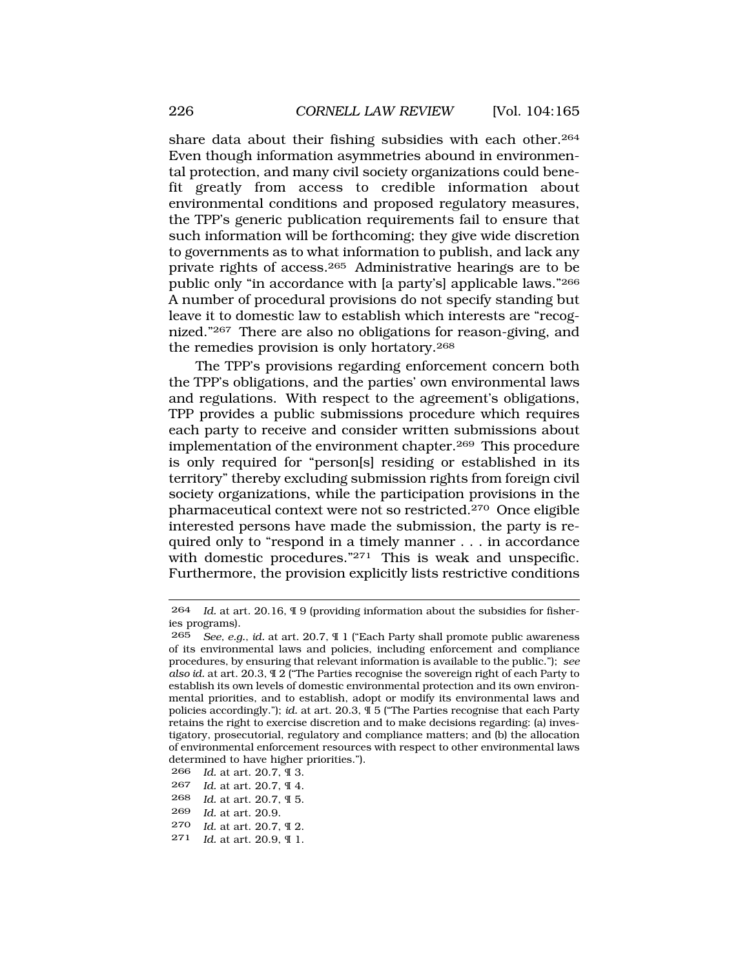share data about their fishing subsidies with each other.<sup>264</sup> Even though information asymmetries abound in environmental protection, and many civil society organizations could benefit greatly from access to credible information about environmental conditions and proposed regulatory measures, the TPP's generic publication requirements fail to ensure that such information will be forthcoming; they give wide discretion to governments as to what information to publish, and lack any private rights of access.265 Administrative hearings are to be public only "in accordance with [a party's] applicable laws."266 A number of procedural provisions do not specify standing but leave it to domestic law to establish which interests are "recognized."267 There are also no obligations for reason-giving, and the remedies provision is only hortatory.268

The TPP's provisions regarding enforcement concern both the TPP's obligations, and the parties' own environmental laws and regulations. With respect to the agreement's obligations, TPP provides a public submissions procedure which requires each party to receive and consider written submissions about implementation of the environment chapter.269 This procedure is only required for "person[s] residing or established in its territory" thereby excluding submission rights from foreign civil society organizations, while the participation provisions in the pharmaceutical context were not so restricted.270 Once eligible interested persons have made the submission, the party is required only to "respond in a timely manner . . . in accordance with domestic procedures."<sup>271</sup> This is weak and unspecific. Furthermore, the provision explicitly lists restrictive conditions

*Id.* at art. 20.7, ¶ 3. *Id.* at art. 20.7, ¶ 4. *Id.* at art. 20.7, ¶ 5. *Id.* at art. 20.9. *Id.* at art. 20.7, ¶ 2. *Id.* at art. 20.9, ¶ 1.

<sup>264</sup> *Id.* at art. 20.16, ¶ 9 (providing information about the subsidies for fisheries programs).

<sup>265</sup> *See, e.g.*, *id.* at art. 20.7, ¶ 1 ("Each Party shall promote public awareness of its environmental laws and policies, including enforcement and compliance procedures, by ensuring that relevant information is available to the public."); *see also id.* at art. 20.3, ¶ 2 ("The Parties recognise the sovereign right of each Party to establish its own levels of domestic environmental protection and its own environmental priorities, and to establish, adopt or modify its environmental laws and policies accordingly."); *id.* at art. 20.3, ¶ 5 ("The Parties recognise that each Party retains the right to exercise discretion and to make decisions regarding: (a) investigatory, prosecutorial, regulatory and compliance matters; and (b) the allocation of environmental enforcement resources with respect to other environmental laws determined to have higher priorities.").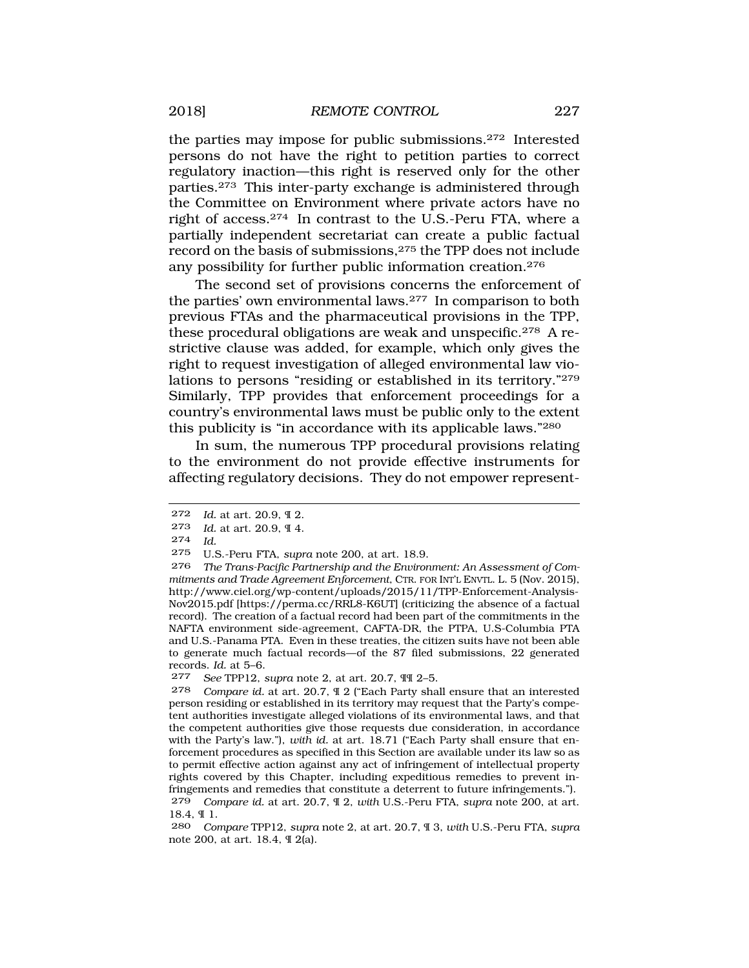the parties may impose for public submissions.272 Interested persons do not have the right to petition parties to correct regulatory inaction—this right is reserved only for the other parties.273 This inter-party exchange is administered through the Committee on Environment where private actors have no right of access.274 In contrast to the U.S.-Peru FTA, where a partially independent secretariat can create a public factual record on the basis of submissions,275 the TPP does not include any possibility for further public information creation.276

The second set of provisions concerns the enforcement of the parties' own environmental laws.277 In comparison to both previous FTAs and the pharmaceutical provisions in the TPP, these procedural obligations are weak and unspecific.278 A restrictive clause was added, for example, which only gives the right to request investigation of alleged environmental law violations to persons "residing or established in its territory."279 Similarly, TPP provides that enforcement proceedings for a country's environmental laws must be public only to the extent this publicity is "in accordance with its applicable laws."280

In sum, the numerous TPP procedural provisions relating to the environment do not provide effective instruments for affecting regulatory decisions. They do not empower represent-

275 U.S.-Peru FTA, *supra* note 200, at art. 18.9.

<sup>272</sup> *Id.* at art. 20.9, ¶ 2.

<sup>273</sup> *Id.* at art. 20.9, ¶ 4.

<sup>274</sup> *Id.* 

<sup>276</sup> *The Trans-Pacific Partnership and the Environment: An Assessment of Commitments and Trade Agreement Enforcement*, CTR. FOR INT'L ENVTL. L. 5 (Nov. 2015), [http://www.ciel.org/wp-content/uploads/2015/11/TPP-Enforcement-Analysis-](http://www.ciel.org/wp-content/uploads/2015/11/TPP-Enforcement-Analysis)Nov2015.pdf [\[https://perma.cc/RRL8-K6UT](https://perma.cc/RRL8-K6UT)] (criticizing the absence of a factual record). The creation of a factual record had been part of the commitments in the NAFTA environment side-agreement, CAFTA-DR, the PTPA, U.S-Columbia PTA and U.S.-Panama PTA. Even in these treaties, the citizen suits have not been able to generate much factual records—of the 87 filed submissions, 22 generated records. *Id.* at 5–6.

<sup>277</sup> *See* TPP12, *supra* note 2, at art. 20.7, ¶¶ 2–5.

<sup>278</sup> *Compare id.* at art. 20.7, ¶ 2 ("Each Party shall ensure that an interested person residing or established in its territory may request that the Party's competent authorities investigate alleged violations of its environmental laws, and that the competent authorities give those requests due consideration, in accordance with the Party's law."), *with id.* at art. 18.71 ("Each Party shall ensure that enforcement procedures as specified in this Section are available under its law so as to permit effective action against any act of infringement of intellectual property rights covered by this Chapter, including expeditious remedies to prevent infringements and remedies that constitute a deterrent to future infringements."). 279 *Compare id.* at art. 20.7, ¶ 2, *with* U.S.-Peru FTA, *supra* note 200, at art. 18.4, ¶ 1.

<sup>280</sup> *Compare* TPP12, *supra* note 2, at art. 20.7, ¶ 3, *with* U.S.-Peru FTA, *supra*  note 200, at art. 18.4, ¶ 2(a).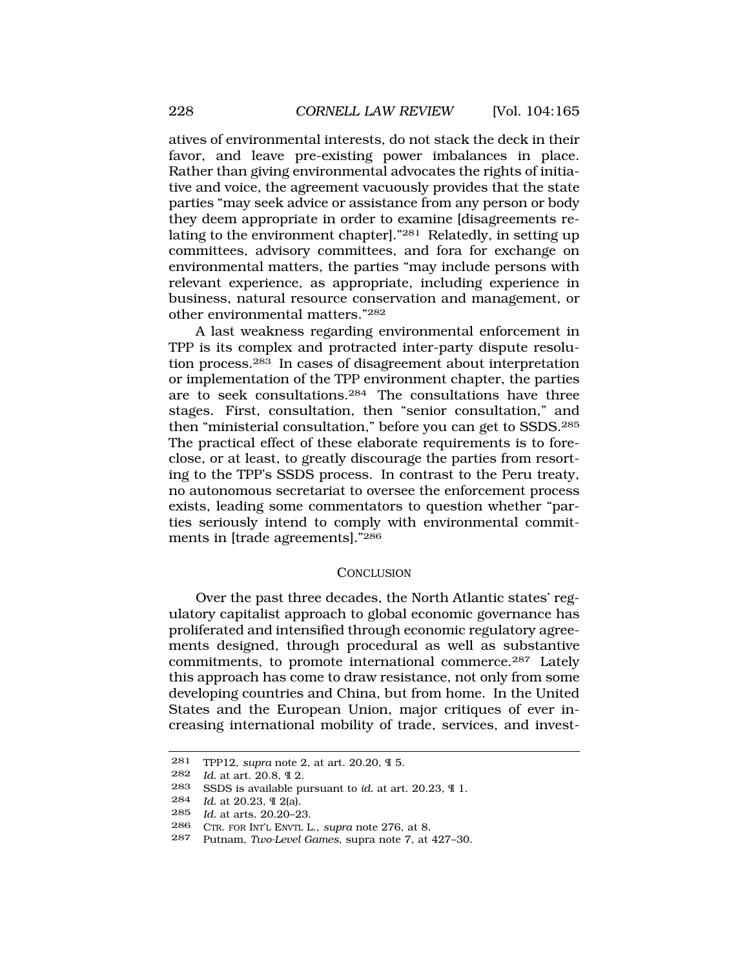<span id="page-63-0"></span>atives of environmental interests, do not stack the deck in their favor, and leave pre-existing power imbalances in place. Rather than giving environmental advocates the rights of initiative and voice, the agreement vacuously provides that the state parties "may seek advice or assistance from any person or body they deem appropriate in order to examine [disagreements relating to the environment chapter]."281 Relatedly, in setting up committees, advisory committees, and fora for exchange on environmental matters, the parties "may include persons with relevant experience, as appropriate, including experience in business, natural resource conservation and management, or other environmental matters."282

A last weakness regarding environmental enforcement in TPP is its complex and protracted inter-party dispute resolution process.283 In cases of disagreement about interpretation or implementation of the TPP environment chapter, the parties are to seek consultations.284 The consultations have three stages. First, consultation, then "senior consultation," and then "ministerial consultation," before you can get to SSDS.285 The practical effect of these elaborate requirements is to foreclose, or at least, to greatly discourage the parties from resorting to the TPP's SSDS process. In contrast to the Peru treaty, no autonomous secretariat to oversee the enforcement process exists, leading some commentators to question whether "parties seriously intend to comply with environmental commitments in [trade agreements]."286

#### **CONCLUSION**

Over the past three decades, the North Atlantic states' regulatory capitalist approach to global economic governance has proliferated and intensified through economic regulatory agreements designed, through procedural as well as substantive commitments, to promote international commerce.287 Lately this approach has come to draw resistance, not only from some developing countries and China, but from home. In the United States and the European Union, major critiques of ever increasing international mobility of trade, services, and invest-

<sup>281</sup> TPP12, *supra* note 2, at art. 20.20, ¶ 5.

<sup>282</sup> *Id.* at art. 20.8, ¶ 2.

<sup>283</sup> SSDS is available pursuant to *id.* at art. 20.23, ¶ 1.

<sup>284</sup> *Id.* at 20.23, ¶ 2(a).

<sup>285</sup> *Id.* at arts. 20.20–23.

<sup>286</sup> CTR. FOR INT'L ENVTL L., *supra* note 276, at 8.

<sup>287</sup> Putnam, *Two-Level Games*, supra note 7, at 427–30.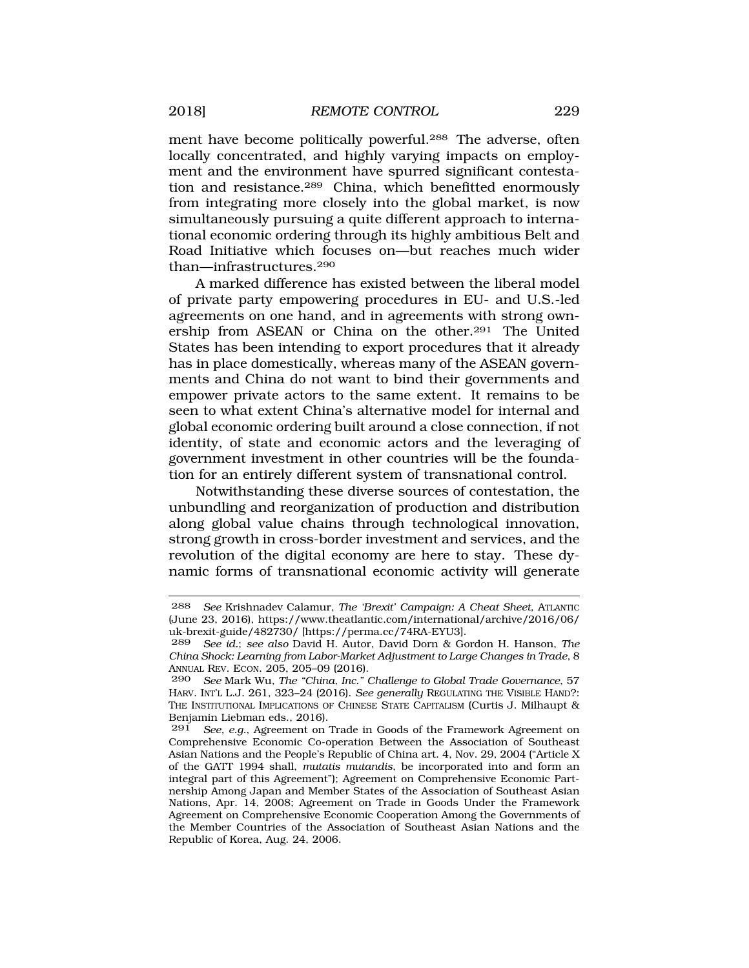ment have become politically powerful.<sup>288</sup> The adverse, often locally concentrated, and highly varying impacts on employment and the environment have spurred significant contestation and resistance.289 China, which benefitted enormously from integrating more closely into the global market, is now simultaneously pursuing a quite different approach to international economic ordering through its highly ambitious Belt and Road Initiative which focuses on—but reaches much wider than—infrastructures.290

A marked difference has existed between the liberal model of private party empowering procedures in EU- and U.S.-led agreements on one hand, and in agreements with strong ownership from ASEAN or China on the other.291 The United States has been intending to export procedures that it already has in place domestically, whereas many of the ASEAN governments and China do not want to bind their governments and empower private actors to the same extent. It remains to be seen to what extent China's alternative model for internal and global economic ordering built around a close connection, if not identity, of state and economic actors and the leveraging of government investment in other countries will be the foundation for an entirely different system of transnational control.

Notwithstanding these diverse sources of contestation, the unbundling and reorganization of production and distribution along global value chains through technological innovation, strong growth in cross-border investment and services, and the revolution of the digital economy are here to stay. These dynamic forms of transnational economic activity will generate

<sup>288</sup> *See* Krishnadev Calamur, *The 'Brexit' Campaign: A Cheat Sheet*, ATLANTIC (June 23, 2016), [https://www.theatlantic.com/international/archive/2016/06/](https://www.theatlantic.com/international/archive/2016/06) uk-brexit-guide/482730/ [\[https://perma.cc/74RA-EYU3](https://perma.cc/74RA-EYU3)].

<sup>289</sup> *See id.*; *see also* David H. Autor, David Dorn & Gordon H. Hanson, *The China Shock: Learning from Labor-Market Adjustment to Large Changes in Trade*, 8 ANNUAL REV. ECON. 205, 205–09 (2016).

<sup>290</sup> *See* Mark Wu, *The "China, Inc." Challenge to Global Trade Governance*, 57 HARV. INT'L L.J. 261, 323–24 (2016). *See generally* REGULATING THE VISIBLE HAND?: THE INSTITUTIONAL IMPLICATIONS OF CHINESE STATE CAPITALISM (Curtis J. Milhaupt & Benjamin Liebman eds., 2016).

See, e.g., Agreement on Trade in Goods of the Framework Agreement on Comprehensive Economic Co-operation Between the Association of Southeast Asian Nations and the People's Republic of China art. 4, Nov. 29, 2004 ("Article X of the GATT 1994 shall, *mutatis mutandis*, be incorporated into and form an integral part of this Agreement"); Agreement on Comprehensive Economic Partnership Among Japan and Member States of the Association of Southeast Asian Nations, Apr. 14, 2008; Agreement on Trade in Goods Under the Framework Agreement on Comprehensive Economic Cooperation Among the Governments of the Member Countries of the Association of Southeast Asian Nations and the Republic of Korea, Aug. 24, 2006.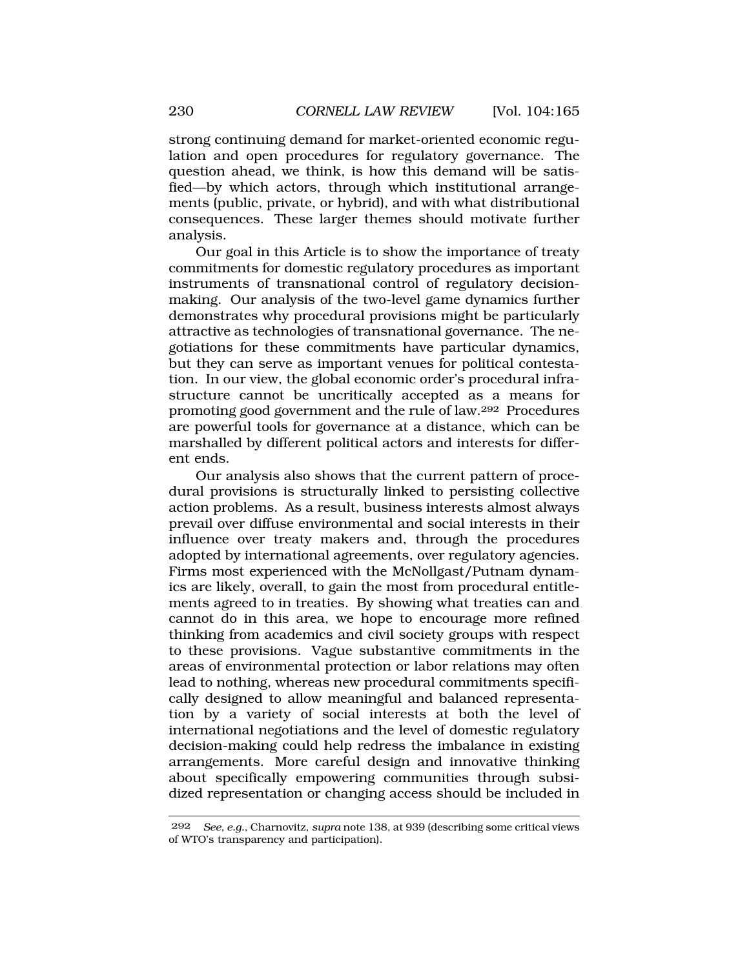strong continuing demand for market-oriented economic regulation and open procedures for regulatory governance. The question ahead, we think, is how this demand will be satisfied—by which actors, through which institutional arrangements (public, private, or hybrid), and with what distributional consequences. These larger themes should motivate further analysis.

Our goal in this Article is to show the importance of treaty commitments for domestic regulatory procedures as important instruments of transnational control of regulatory decisionmaking. Our analysis of the two-level game dynamics further demonstrates why procedural provisions might be particularly attractive as technologies of transnational governance. The negotiations for these commitments have particular dynamics, but they can serve as important venues for political contestation. In our view, the global economic order's procedural infrastructure cannot be uncritically accepted as a means for promoting good government and the rule of law.292 Procedures are powerful tools for governance at a distance, which can be marshalled by different political actors and interests for different ends.

Our analysis also shows that the current pattern of procedural provisions is structurally linked to persisting collective action problems. As a result, business interests almost always prevail over diffuse environmental and social interests in their influence over treaty makers and, through the procedures adopted by international agreements, over regulatory agencies. Firms most experienced with the McNollgast/Putnam dynamics are likely, overall, to gain the most from procedural entitlements agreed to in treaties. By showing what treaties can and cannot do in this area, we hope to encourage more refined thinking from academics and civil society groups with respect to these provisions. Vague substantive commitments in the areas of environmental protection or labor relations may often lead to nothing, whereas new procedural commitments specifically designed to allow meaningful and balanced representation by a variety of social interests at both the level of international negotiations and the level of domestic regulatory decision-making could help redress the imbalance in existing arrangements. More careful design and innovative thinking about specifically empowering communities through subsidized representation or changing access should be included in

<sup>292</sup> *See, e.g.*, Charnovitz, *supra* note 138, at 939 (describing some critical views of WTO's transparency and participation).